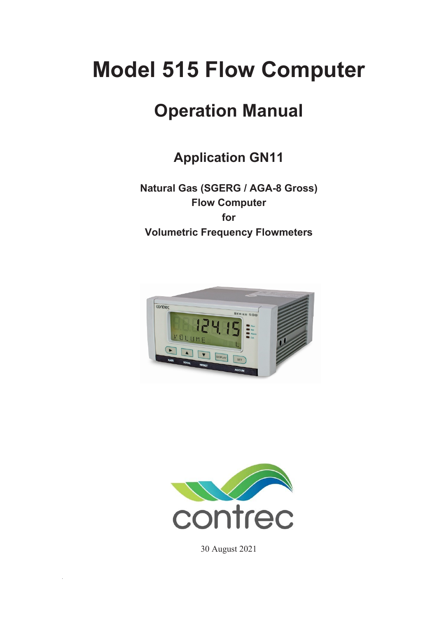# **Model 515 Flow Computer**

# **Operation Manual**

# **Application GN11**

**Natural Gas (SGERG / AGA-8 Gross) Flow Computer for Volumetric Frequency Flowmeters** 





30 August 2021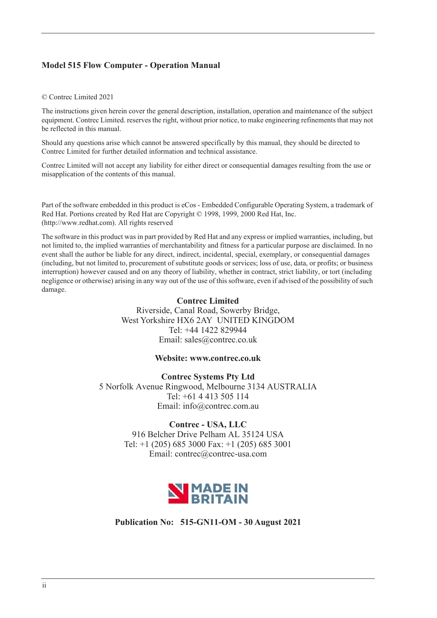#### **Model 515 Flow Computer - Operation Manual**

#### © Contrec Limited 2021

The instructions given herein cover the general description, installation, operation and maintenance of the subject equipment. Contrec Limited. reserves the right, without prior notice, to make engineering refinements that may not be reflected in this manual.

Should any questions arise which cannot be answered specifically by this manual, they should be directed to Contrec Limited for further detailed information and technical assistance.

Contrec Limited will not accept any liability for either direct or consequential damages resulting from the use or misapplication of the contents of this manual.

Part of the software embedded in this product is eCos - Embedded Configurable Operating System, a trademark of Red Hat. Portions created by Red Hat are Copyright © 1998, 1999, 2000 Red Hat, Inc. (http://www.redhat.com). All rights reserved

The software in this product was in part provided by Red Hat and any express or implied warranties, including, but not limited to, the implied warranties of merchantability and fitness for a particular purpose are disclaimed. In no event shall the author be liable for any direct, indirect, incidental, special, exemplary, or consequential damages (including, but not limited to, procurement of substitute goods or services; loss of use, data, or profits; or business interruption) however caused and on any theory of liability, whether in contract, strict liability, or tort (including negligence or otherwise) arising in any way out of the use of this software, even if advised of the possibility of such damage.

#### **Contrec Limited**

Riverside, Canal Road, Sowerby Bridge, West Yorkshire HX6 2AY UNITED KINGDOM Tel: +44 1422 829944 Email: sales@contrec.co.uk

#### **Website: www.contrec.co.uk**

**Contrec Systems Pty Ltd** 5 Norfolk Avenue Ringwood, Melbourne 3134 AUSTRALIA Tel: +61 4 413 505 114 Email: info@contrec.com.au

#### **Contrec - USA, LLC**

916 Belcher Drive Pelham AL 35124 USA Tel: +1 (205) 685 3000 Fax: +1 (205) 685 3001 Email: contrec@contrec-usa.com



**Publication No: 515-GN11-OM - 30 August 2021**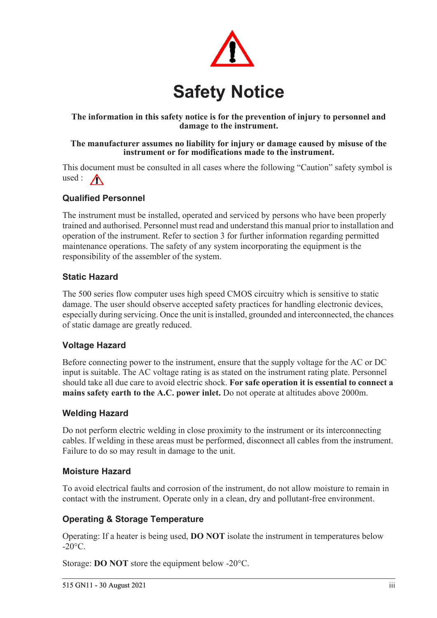

#### **The information in this safety notice is for the prevention of injury to personnel and damage to the instrument.**

#### **The manufacturer assumes no liability for injury or damage caused by misuse of the instrument or for modifications made to the instrument.**

This document must be consulted in all cases where the following "Caution" safety symbol is used :  $\bigwedge$ 

## **Qualified Personnel**

The instrument must be installed, operated and serviced by persons who have been properly trained and authorised. Personnel must read and understand this manual prior to installation and operation of the instrument. Refer to section 3 for further information regarding permitted maintenance operations. The safety of any system incorporating the equipment is the responsibility of the assembler of the system.

#### **Static Hazard**

The 500 series flow computer uses high speed CMOS circuitry which is sensitive to static damage. The user should observe accepted safety practices for handling electronic devices, especially during servicing. Once the unit is installed, grounded and interconnected, the chances of static damage are greatly reduced.

#### **Voltage Hazard**

Before connecting power to the instrument, ensure that the supply voltage for the AC or DC input is suitable. The AC voltage rating is as stated on the instrument rating plate. Personnel should take all due care to avoid electric shock. **For safe operation it is essential to connect a mains safety earth to the A.C. power inlet.** Do not operate at altitudes above 2000m.

#### **Welding Hazard**

Do not perform electric welding in close proximity to the instrument or its interconnecting cables. If welding in these areas must be performed, disconnect all cables from the instrument. Failure to do so may result in damage to the unit.

#### **Moisture Hazard**

To avoid electrical faults and corrosion of the instrument, do not allow moisture to remain in contact with the instrument. Operate only in a clean, dry and pollutant-free environment.

#### **Operating & Storage Temperature**

Operating: If a heater is being used, **DO NOT** isolate the instrument in temperatures below  $-20^{\circ}$ C.

Storage: **DO NOT** store the equipment below -20°C.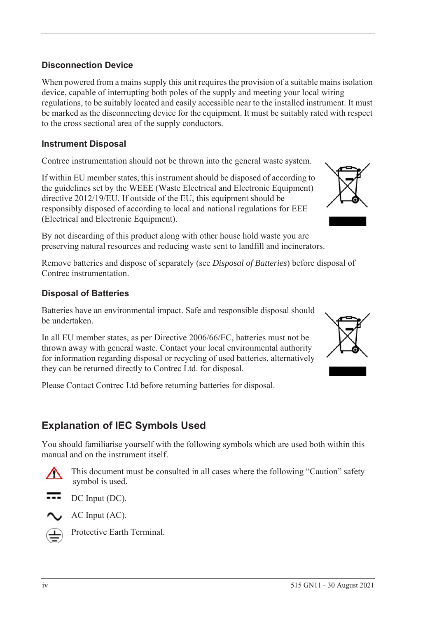#### **Disconnection Device**

When powered from a mains supply this unit requires the provision of a suitable mains isolation device, capable of interrupting both poles of the supply and meeting your local wiring regulations, to be suitably located and easily accessible near to the installed instrument. It must be marked as the disconnecting device for the equipment. It must be suitably rated with respect to the cross sectional area of the supply conductors.

#### **Instrument Disposal**

Contrec instrumentation should not be thrown into the general waste system.

If within EU member states, this instrument should be disposed of according to the guidelines set by the WEEE (Waste Electrical and Electronic Equipment) directive 2012/19/EU. If outside of the EU, this equipment should be responsibly disposed of according to local and national regulations for EEE (Electrical and Electronic Equipment).

By not discarding of this product along with other house hold waste you are preserving natural resources and reducing waste sent to landfill and incinerators.

Remove batteries and dispose of separately (see *Disposal of Batteries*) before disposal of Contrec instrumentation.

#### **Disposal of Batteries**

Batteries have an environmental impact. Safe and responsible disposal should be undertaken.

In all EU member states, as per Directive 2006/66/EC, batteries must not be thrown away with general waste. Contact your local environmental authority for information regarding disposal or recycling of used batteries, alternatively they can be returned directly to Contrec Ltd. for disposal.

Please Contact Contrec Ltd before returning batteries for disposal.

## **Explanation of IEC Symbols Used**

You should familiarise yourself with the following symbols which are used both within this manual and on the instrument itself.



 This document must be consulted in all cases where the following "Caution" safety symbol is used.



AC Input (AC).



Protective Earth Terminal.



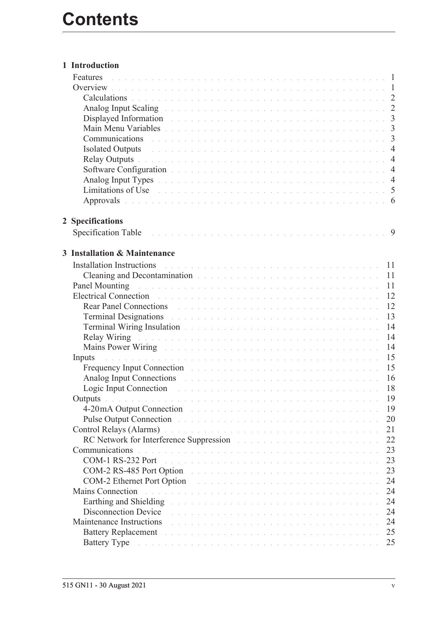| 1 Introduction                                                                                                                                                                                                                      |  |  |  |  |  |  |  |  |    |
|-------------------------------------------------------------------------------------------------------------------------------------------------------------------------------------------------------------------------------------|--|--|--|--|--|--|--|--|----|
| Features                                                                                                                                                                                                                            |  |  |  |  |  |  |  |  |    |
|                                                                                                                                                                                                                                     |  |  |  |  |  |  |  |  |    |
| Calculations de la communication de la communication de la communication de la communication de la communication                                                                                                                    |  |  |  |  |  |  |  |  |    |
| Analog Input Scaling (and a contract of the contract of the contract of the contract of 2                                                                                                                                           |  |  |  |  |  |  |  |  |    |
| Displayed Information and a contract of the contract of the contract of the contract of the 3                                                                                                                                       |  |  |  |  |  |  |  |  |    |
|                                                                                                                                                                                                                                     |  |  |  |  |  |  |  |  |    |
| Communications de la communication de la communication de la communication de la communication de la communication de la communication de la communication de la communication de la communication de la communication de la c      |  |  |  |  |  |  |  |  |    |
| Isolated Outputs and a contract the contract of the contract of the contract of the contract of the 4                                                                                                                               |  |  |  |  |  |  |  |  |    |
|                                                                                                                                                                                                                                     |  |  |  |  |  |  |  |  |    |
|                                                                                                                                                                                                                                     |  |  |  |  |  |  |  |  |    |
| Analog Input Types and a contract the contract of the contract of the contract of the 4                                                                                                                                             |  |  |  |  |  |  |  |  |    |
| Limitations of Use the community of the community of Use of the community of the community of the community of                                                                                                                      |  |  |  |  |  |  |  |  |    |
| Approvals and continuous continuous continuous continuous continuous continuous 6                                                                                                                                                   |  |  |  |  |  |  |  |  |    |
|                                                                                                                                                                                                                                     |  |  |  |  |  |  |  |  |    |
| 2 Specifications                                                                                                                                                                                                                    |  |  |  |  |  |  |  |  |    |
|                                                                                                                                                                                                                                     |  |  |  |  |  |  |  |  |    |
|                                                                                                                                                                                                                                     |  |  |  |  |  |  |  |  |    |
| 3 Installation & Maintenance                                                                                                                                                                                                        |  |  |  |  |  |  |  |  |    |
| . The second contract of the second contract of the second contract $\sim 11$<br><b>Installation Instructions</b>                                                                                                                   |  |  |  |  |  |  |  |  |    |
| Cleaning and Decontamination and the contract of the contract of the contract of the contract of the contract of the contract of the contract of the contract of the contract of the contract of the contract of the contract       |  |  |  |  |  |  |  |  | 11 |
| Panel Mounting research and contract the contract of the contract of the contract of the contract of the contract of the contract of the contract of the contract of the contract of the contract of the contract of the contr      |  |  |  |  |  |  |  |  | 11 |
| Electrical Connection and a construction of the contract of the contract of the contract of the contract of the                                                                                                                     |  |  |  |  |  |  |  |  | 12 |
| Rear Panel Connections and the contract of the contract of the contract of the contract of the contract of the contract of the contract of the contract of the contract of the contract of the contract of the contract of the      |  |  |  |  |  |  |  |  | 12 |
| Terminal Designations and a contract the contract of the contract of the contract of the contract of the contract of the contract of the contract of the contract of the contract of the contract of the contract of the contr      |  |  |  |  |  |  |  |  | 13 |
| Terminal Wiring Insulation and a contract of the contract of the contract of the contract of the contract of the contract of the contract of the contract of the contract of the contract of the contract of the contract of t      |  |  |  |  |  |  |  |  | 14 |
| Relay Wiring the common contract of the common contract of the common contract of the common contract of the common contract of the common contract of the common contract of the common contract of the common contract of th      |  |  |  |  |  |  |  |  | 14 |
| Mains Power Wiring <b>Experience Communication</b> Contract Communication Communication Communication Communication Communication Communication Communication Communication Communication Communication Communication Communication |  |  |  |  |  |  |  |  | 14 |
| a constitución de la constitución de la constitución de la constitución de la constitución de la constitución<br>Inputs                                                                                                             |  |  |  |  |  |  |  |  | 15 |
| Frequency Input Connection and a construction of the contract of the contract of the contract of the contract of the contract of the contract of the contract of the contract of the contract of the contract of the contract       |  |  |  |  |  |  |  |  | 15 |
| Analog Input Connections and a contract the contract of the contract of the state of the state of the state of the state of the state of the state of the state of the state of the state of the state of the state of the sta      |  |  |  |  |  |  |  |  |    |
| Logic Input Connection and a contract the contract of the contract of the contract of the 18                                                                                                                                        |  |  |  |  |  |  |  |  |    |
|                                                                                                                                                                                                                                     |  |  |  |  |  |  |  |  | 19 |
| 4-20 mA Output Connection and a contract of the contract of the contract of the contract of the contract of the contract of the contract of the contract of the contract of the contract of the contract of the contract of th      |  |  |  |  |  |  |  |  | 19 |
| Pulse Output Connection and a constant of the contract of the contract of the contract of the connection                                                                                                                            |  |  |  |  |  |  |  |  | 20 |
| Control Relays (Alarms) and a control of the control of the control of the control of the control of the control of the control of the control of the control of the control of the control of the control of the control of t      |  |  |  |  |  |  |  |  | 21 |
| RC Network for Interference Suppression and a contract to the contract of the set of the set of the set of the                                                                                                                      |  |  |  |  |  |  |  |  | 22 |
| Communications<br>.<br>In the second complete the complete state of the complete state of the complete state of the second complete s                                                                                               |  |  |  |  |  |  |  |  | 23 |
| COM-1 RS-232 Port<br>.<br>The contract of the contract of the contract of the contract of the contract of the contract of the contract o                                                                                            |  |  |  |  |  |  |  |  | 23 |
| COM-2 RS-485 Port Option                                                                                                                                                                                                            |  |  |  |  |  |  |  |  | 23 |
| COM-2 Ethernet Port Option                                                                                                                                                                                                          |  |  |  |  |  |  |  |  | 24 |
| <b>Mains Connection</b><br>.<br>In the second complete state of the second complete state of the second complete state of the second complete                                                                                       |  |  |  |  |  |  |  |  | 24 |
| <b>Earthing and Shielding Executive Construction Construction Construction Construction</b>                                                                                                                                         |  |  |  |  |  |  |  |  | 24 |
| Disconnection Device<br>.<br>The contract of the contract of the contract of the contract of the contract of the contract of the contract of                                                                                        |  |  |  |  |  |  |  |  | 24 |
| Maintenance Instructions<br>.<br>The contract of the contract of the contract of the contract of the contract of the contract of the contract of                                                                                    |  |  |  |  |  |  |  |  | 24 |
| Battery Replacement and a substitution of the contract of the contract of the contract of the contract of the contract of the contract of the contract of the contract of the contract of the contract of the contract of the       |  |  |  |  |  |  |  |  | 25 |
| Battery Type and a substitution of the state of the state of the state of the state of the state of the state of the state of the state of the state of the state of the state of the state of the state of the state of the s      |  |  |  |  |  |  |  |  | 25 |
|                                                                                                                                                                                                                                     |  |  |  |  |  |  |  |  |    |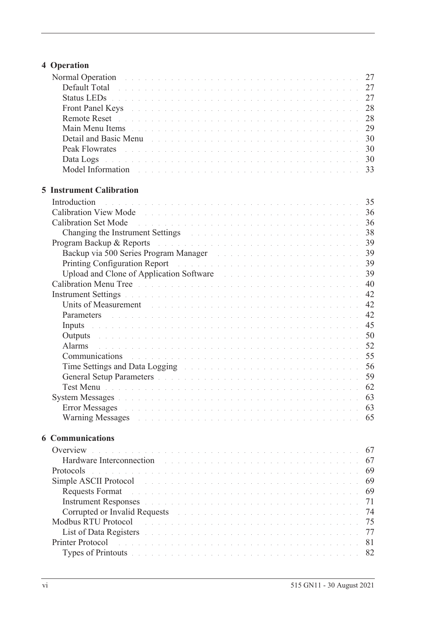## **[4 Operation](#page-36-0)**

| Normal Operation and a construction of the contract of the contract of the contract of the 27                                                                                                                                  |    |
|--------------------------------------------------------------------------------------------------------------------------------------------------------------------------------------------------------------------------------|----|
| Default Total de la commune de la commune de la commune de la commune de la commune de 27                                                                                                                                      |    |
| Status LEDs <b>Election Community 22</b> Status 27                                                                                                                                                                             |    |
| Front Panel Keys And All Albert Hans and Albert Hans and Albert Hans and Albert 28                                                                                                                                             |    |
|                                                                                                                                                                                                                                |    |
| Main Menu Items received and contract the contract of the contract of the 29                                                                                                                                                   |    |
|                                                                                                                                                                                                                                |    |
|                                                                                                                                                                                                                                |    |
| Data Logs de la component de la component de la component de la component de 30                                                                                                                                                |    |
|                                                                                                                                                                                                                                |    |
|                                                                                                                                                                                                                                |    |
| <b>5 Instrument Calibration</b>                                                                                                                                                                                                |    |
| Introduction and a construction of the construction of the construction of the construction of the 35                                                                                                                          |    |
| Calibration View Mode residence and contract the contract of the state of the State of the State of the State of the State of the State of the State of the State of the State of the State of the State of the State of the S |    |
|                                                                                                                                                                                                                                |    |
| Changing the Instrument Settings and a contract of the contract of the settings of the settings of the contract of the settings of the settings of the settings of the settings of the settings of the settings of the setting |    |
|                                                                                                                                                                                                                                |    |
| Program Backup & Reports and a contract the contract of the contract of the 200 39                                                                                                                                             |    |
| Backup via 500 Series Program Manager (and the contract of the contract of the 39                                                                                                                                              |    |
| Printing Configuration Report environment and continued and the contract of the State of the State of the State of the State of the State of the State of the State of the State of the State of the State of the State of the |    |
| Upload and Clone of Application Software Figure 2014 and Clone State and State 199                                                                                                                                             |    |
|                                                                                                                                                                                                                                |    |
|                                                                                                                                                                                                                                |    |
| Units of Measurement And All and All and All and All and All and All and All and All and All and All and All and All and All and All and All and All and All and All and All and All and All and All and All and All and All a | 42 |
| Parameters and a communication of the communication of the communication of the communication                                                                                                                                  | 42 |
| Inputs and a communication of the communication of the communication of the communication of the communication                                                                                                                 | 45 |
| Outputs and a construction of the construction of the construction of the construction of 50                                                                                                                                   |    |
| Alarms and a contract the contract of the contract of the contract of the 52                                                                                                                                                   |    |
| Communications des contracts and contracts are a series and contracts and 55                                                                                                                                                   |    |
| Time Settings and Data Logging and Library and the contract of the Settings and Data Logging and and the contract of the contract of the S6                                                                                    |    |
| General Setup Parameters and a construction of the construction of the set of the SP                                                                                                                                           |    |
| Test Menu de la componencia de la componencia de la componencia de la componenta 62                                                                                                                                            |    |
| System Messages with a community of the community of the community of the community of the community of the community of the community of the community of the community of the community of the community of the community of | 63 |
| Error Messages and a construction of the construction of the construction of the construction of the construction of the construction of the construction of the construction of the construction of the construction of the c | 63 |
| Warning Messages and a contract the contract of the contract of the contract of the contract of the contract of the contract of the contract of the contract of the contract of the contract of the contract of the contract o | 65 |
|                                                                                                                                                                                                                                |    |
| <b>6 Communications</b>                                                                                                                                                                                                        |    |
| Overview<br>.<br>In the second complete service of the second complete service services and complete services and complete services                                                                                            | 67 |
| Hardware Interconnection and the contract of the contract of the contract of the contract of the contract of the contract of the contract of the contract of the contract of the contract of the contract of the contract of t | 67 |
| Protocols<br>and the company of the company of the company of the company of the company of the company of the company of the                                                                                                  | 69 |
| Simple ASCII Protocol                                                                                                                                                                                                          | 69 |
| <b>Requests Format</b><br>.<br>In the company of the company of the company of the company of the company of the company of the company of th                                                                                  | 69 |
| Instrument Responses and a construction of the construction of the construction of the construction of the construction of the construction of the construction of the construction of the construction of the construction of | 71 |
| Corrupted or Invalid Requests and a contract to the contract the contract of the contract of                                                                                                                                   | 74 |
| Modbus RTU Protocol<br>.<br>In the second company of the second company of the second company of the second company of the second company                                                                                      | 75 |
| List of Data Registers and a consequence of the consequence of the consequence of the consequence of the consequence of the consequence of the consequence of the consequence of the consequence of the consequence of the con | 77 |
| Printer Protocol<br>.<br>In the company of the company of the company of the company of the company of the company of the company of th                                                                                        | 81 |
| Types of Printouts and a contract of the contract of the contract of the contract of the contract of the contract of the contract of the contract of the contract of the contract of the contract of the contract of the contr | 82 |
|                                                                                                                                                                                                                                |    |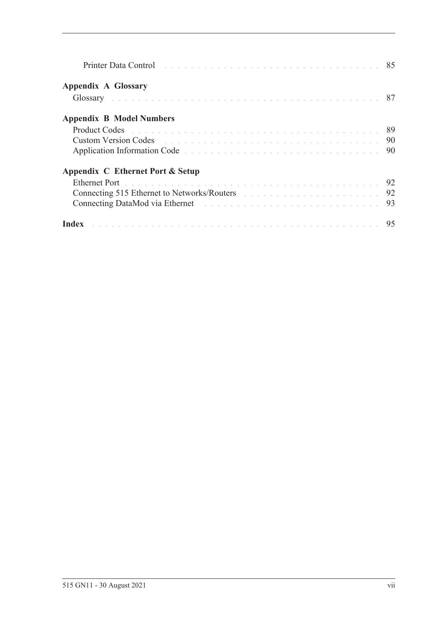| Printer Data Control entrepreneur and the control of the control of the control of the control of the control of the control of the control of the control of the control of the control of the control of the control of the  |  |
|--------------------------------------------------------------------------------------------------------------------------------------------------------------------------------------------------------------------------------|--|
| <b>Appendix A Glossary</b>                                                                                                                                                                                                     |  |
| Glossary and the contract of the contract of the contract of the contract of the contract of the contract of the state of the contract of the contract of the contract of the contract of the contract of the contract of the  |  |
| <b>Appendix B Model Numbers</b>                                                                                                                                                                                                |  |
|                                                                                                                                                                                                                                |  |
| <b>Custom Version Codes Contract Codes Codes Codes Code Reserves <b>Codes Codes Codes Codes Codes Codes Codes Codes Codes Codes Codes Codes Codes Codes Codes Codes Codes Codes Codes</b></b>                                  |  |
| Application Information Code experience in the contract of the contract of the 190                                                                                                                                             |  |
| Appendix C Ethernet Port & Setup                                                                                                                                                                                               |  |
| Ethernet Port de la communication de la communication de la communication de la S                                                                                                                                              |  |
| Connecting 515 Ethernet to Networks/Routers and a substitution of the 192                                                                                                                                                      |  |
| Connecting DataMod via Ethernet (1) and the connection of the state of the state of the state of the state of the state of the state of the state of the state of the state of the state of the state of the state of the stat |  |
| Index <b>Index Experimental Construction Construction</b> of the construction of the construction of the <b>95</b>                                                                                                             |  |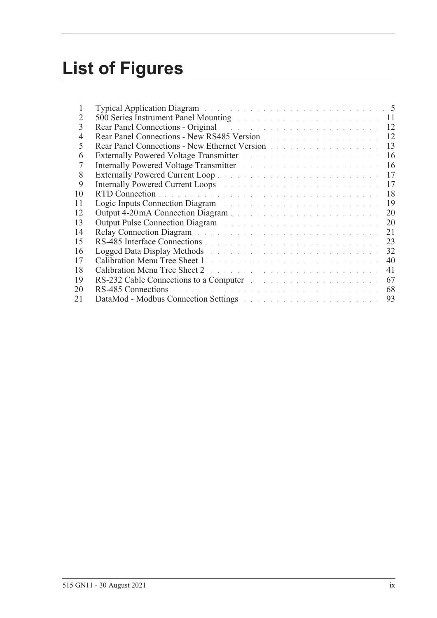# **List of Figures**

| 1  | Typical Application Diagram and a contract of the contract of the contract of the 5                                                                                                                                            |    |
|----|--------------------------------------------------------------------------------------------------------------------------------------------------------------------------------------------------------------------------------|----|
| 2  | 500 Series Instrument Panel Mounting and a contract to the contract of the series of the series of the series of the series of the series of the series of the series of the series of the series of the series of the series  | 11 |
| 3  | Rear Panel Connections - Original and the contract of the connection of the connection of the connection of the connection of the connection of the connection of the connection of the connection of the connection of the co |    |
| 4  | Rear Panel Connections - New RS485 Version                                                                                                                                                                                     | 12 |
| 5  | Rear Panel Connections - New Ethernet Version                                                                                                                                                                                  | 13 |
| 6  | Externally Powered Voltage Transmitter Marshall and Alexandre and Alexandre and Alexandre and Alexandre and Alexandre and Alexandre and Alexandre and Alexandre and Alexandre and Alexandre and Alexandre and Alexandre and Al | 16 |
| 7  | Internally Powered Voltage Transmitter March 2014 and State and State and State and                                                                                                                                            | 16 |
| 8  |                                                                                                                                                                                                                                | 17 |
| 9  | Internally Powered Current Loops and a contract to the contract of the contract of the contract of the contract of the contract of the contract of the contract of the contract of the contract of the contract of the contrac | 17 |
| 10 |                                                                                                                                                                                                                                | 18 |
| 11 | Logic Inputs Connection Diagram and a connection of the Connection of the Connection of the Connection of the Connection of the Connection of the Connection of the Connection of the Connection of the Connection of the Conn | 19 |
| 12 |                                                                                                                                                                                                                                | 20 |
| 13 |                                                                                                                                                                                                                                |    |
| 14 | Relay Connection Diagram and a connection of the connection of the Connection of the Connection of the Connection of the Connection of the Connection of the Connection of the Connection of the Connection of the Connection  | 21 |
| 15 |                                                                                                                                                                                                                                | 23 |
| 16 | Logged Data Display Methods and a contract the contract of the contract of the contract of the contract of the                                                                                                                 | 32 |
| 17 |                                                                                                                                                                                                                                | 40 |
| 18 |                                                                                                                                                                                                                                | 41 |
| 19 | RS-232 Cable Connections to a Computer and a substitution of the connection of the Connection of the Connection of the Connection of the Connection of the Connection of the Connection of the Connection of the Connection of | 67 |
| 20 |                                                                                                                                                                                                                                | 68 |
| 21 | DataMod - Modbus Connection Settings and the connection of the connection of the connection of the connection of the connection of the connection of the connection of the connection of the connection of the connection of t | 93 |
|    |                                                                                                                                                                                                                                |    |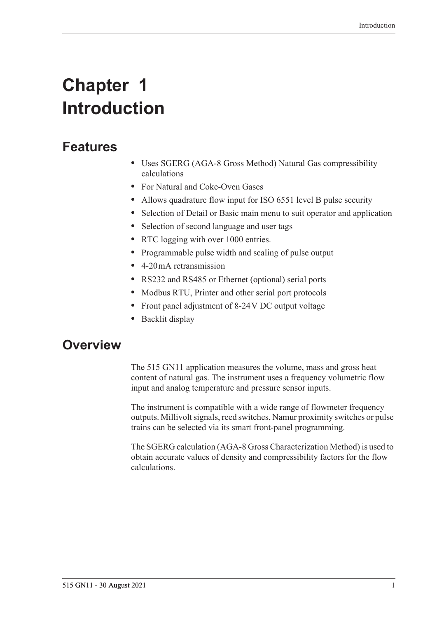# <span id="page-10-0"></span>**Chapter 1 Introduction**

## <span id="page-10-1"></span>**Features**

- **•** Uses SGERG (AGA-8 Gross Method) Natural Gas compressibility calculations
- **•** For Natural and Coke-Oven Gases
- **•** Allows quadrature flow input for ISO 6551 level B pulse security
- **•** Selection of Detail or Basic main menu to suit operator and application
- **•** Selection of second language and user tags
- RTC logging with over 1000 entries.
- **•** Programmable pulse width and scaling of pulse output
- **•** 4-20 mA retransmission
- **•** RS232 and RS485 or Ethernet (optional) serial ports
- **•** Modbus RTU, Printer and other serial port protocols
- **•** Front panel adjustment of 8-24 V DC output voltage
- **•** Backlit display

## <span id="page-10-2"></span>**Overview**

The 515 GN11 application measures the volume, mass and gross heat content of natural gas. The instrument uses a frequency volumetric flow input and analog temperature and pressure sensor inputs.

The instrument is compatible with a wide range of flowmeter frequency outputs. Millivolt signals, reed switches, Namur proximity switches or pulse trains can be selected via its smart front-panel programming.

The SGERG calculation (AGA-8 Gross Characterization Method) is used to obtain accurate values of density and compressibility factors for the flow calculations.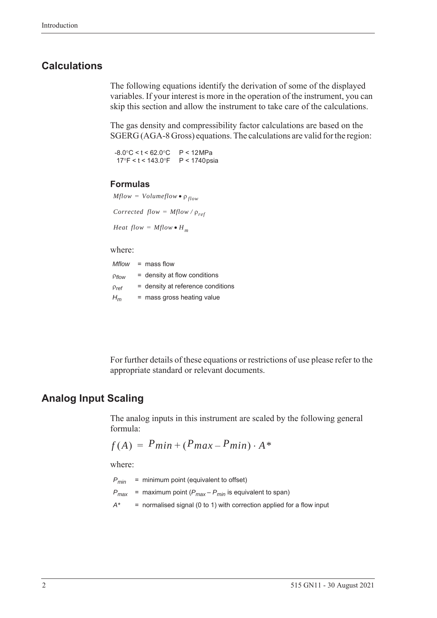#### <span id="page-11-0"></span>**Calculations**

The following equations identify the derivation of some of the displayed variables. If your interest is more in the operation of the instrument, you can skip this section and allow the instrument to take care of the calculations.

The gas density and compressibility factor calculations are based on the SGERG (AGA-8 Gross) equations. The calculations are valid for the region:

 $-8.0^{\circ}$ C < t < 62.0 $^{\circ}$ C  $17^{\circ}$ F < t < 143.0 $^{\circ}$ F P < 12 MPa P < 1740 psia

#### **Formulas**

 $Mflow = Volumeflow \bullet \rho_{flow}$ *Corrected flow = Mflow /*  $\rho_{ref}$ *Heat flow =*  $Mflow \cdot H_m$ 

#### where:

|              | $Mflow = mass flow$                 |
|--------------|-------------------------------------|
| $P$ flow     | $=$ density at flow conditions      |
| $\rho_{ref}$ | $=$ density at reference conditions |
| $H_m$        | $=$ mass gross heating value        |

For further details of these equations or restrictions of use please refer to the appropriate standard or relevant documents.

### <span id="page-11-1"></span>**Analog Input Scaling**

The analog inputs in this instrument are scaled by the following general formula:

$$
f(A) = P_{min} + (P_{max} - P_{min}) \cdot A^*
$$

where:

 $P_{min}$  = minimum point (equivalent to offset)

 $P_{\text{max}}$  = maximum point ( $P_{\text{max}} - P_{\text{min}}$  is equivalent to span)

*A\** = normalised signal (0 to 1) with correction applied for a flow input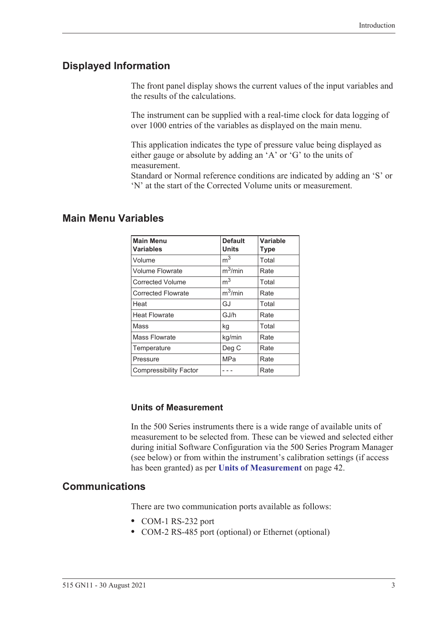### <span id="page-12-0"></span>**Displayed Information**

The front panel display shows the current values of the input variables and the results of the calculations.

The instrument can be supplied with a real-time clock for data logging of over 1000 entries of the variables as displayed on the main menu.

This application indicates the type of pressure value being displayed as either gauge or absolute by adding an 'A' or 'G' to the units of measurement.

Standard or Normal reference conditions are indicated by adding an 'S' or 'N' at the start of the Corrected Volume units or measurement.

#### <span id="page-12-1"></span>**Main Menu Variables**

| <b>Main Menu</b><br><b>Variables</b> | <b>Default</b><br><b>Units</b> | <b>Variable</b><br><b>Type</b> |
|--------------------------------------|--------------------------------|--------------------------------|
| Volume                               | m <sup>3</sup>                 | Total                          |
| <b>Volume Flowrate</b>               | $m^3/m$ in                     | Rate                           |
| Corrected Volume                     | m <sup>3</sup>                 | Total                          |
| <b>Corrected Flowrate</b>            | $m^3/m$ in                     | Rate                           |
| Heat                                 | GJ                             | Total                          |
| <b>Heat Flowrate</b>                 | GJ/h                           | Rate                           |
| Mass                                 | kg                             | Total                          |
| <b>Mass Flowrate</b>                 | kg/min                         | Rate                           |
| Temperature                          | Deg C                          | Rate                           |
| Pressure                             | <b>MPa</b>                     | Rate                           |
| <b>Compressibility Factor</b>        |                                | Rate                           |

#### **Units of Measurement**

In the 500 Series instruments there is a wide range of available units of measurement to be selected from. These can be viewed and selected either during initial Software Configuration via the 500 Series Program Manager (see below) or from within the instrument's calibration settings (if access has been granted) as per **[Units of Measurement](#page-51-3)** on page 42.

### <span id="page-12-2"></span>**Communications**

There are two communication ports available as follows:

- **•** COM-1 RS-232 port
- **•** COM-2 RS-485 port (optional) or Ethernet (optional)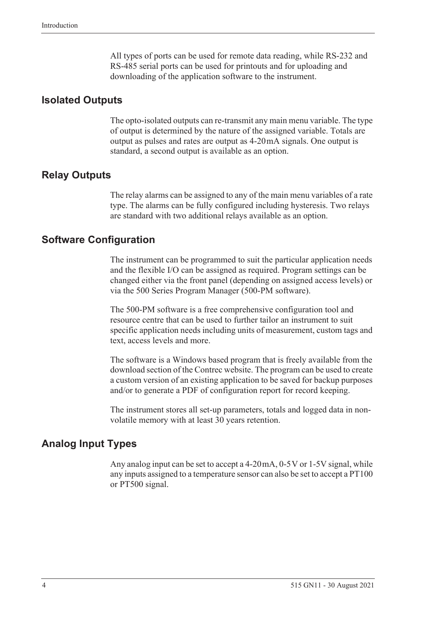All types of ports can be used for remote data reading, while RS-232 and RS-485 serial ports can be used for printouts and for uploading and downloading of the application software to the instrument.

### <span id="page-13-0"></span>**Isolated Outputs**

The opto-isolated outputs can re-transmit any main menu variable. The type of output is determined by the nature of the assigned variable. Totals are output as pulses and rates are output as 4-20 mA signals. One output is standard, a second output is available as an option.

## <span id="page-13-1"></span>**Relay Outputs**

The relay alarms can be assigned to any of the main menu variables of a rate type. The alarms can be fully configured including hysteresis. Two relays are standard with two additional relays available as an option.

## <span id="page-13-2"></span>**Software Configuration**

The instrument can be programmed to suit the particular application needs and the flexible I/O can be assigned as required. Program settings can be changed either via the front panel (depending on assigned access levels) or via the 500 Series Program Manager (500-PM software).

The 500-PM software is a free comprehensive configuration tool and resource centre that can be used to further tailor an instrument to suit specific application needs including units of measurement, custom tags and text, access levels and more.

The software is a Windows based program that is freely available from the download section of the Contrec website. The program can be used to create a custom version of an existing application to be saved for backup purposes and/or to generate a PDF of configuration report for record keeping.

The instrument stores all set-up parameters, totals and logged data in nonvolatile memory with at least 30 years retention.

## <span id="page-13-3"></span>**Analog Input Types**

Any analog input can be set to accept a 4-20 mA, 0-5 V or 1-5 V signal, while any inputs assigned to a temperature sensor can also be set to accept a PT100 or PT500 signal.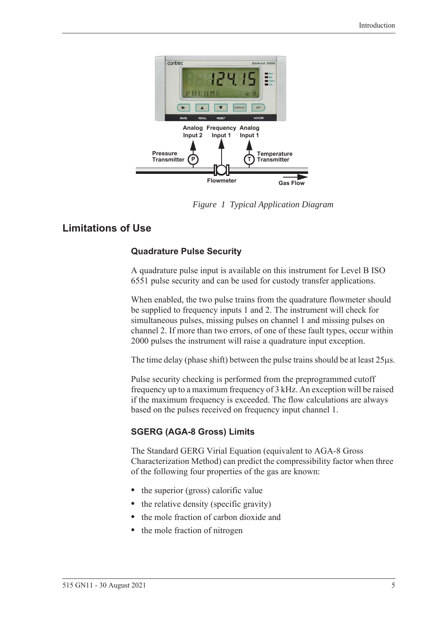

*Figure 1 Typical Application Diagram*

## <span id="page-14-0"></span>**Limitations of Use**

#### <span id="page-14-1"></span>**Quadrature Pulse Security**

A quadrature pulse input is available on this instrument for Level B ISO 6551 pulse security and can be used for custody transfer applications.

When enabled, the two pulse trains from the quadrature flowmeter should be supplied to frequency inputs 1 and 2. The instrument will check for simultaneous pulses, missing pulses on channel 1 and missing pulses on channel 2. If more than two errors, of one of these fault types, occur within 2000 pulses the instrument will raise a quadrature input exception.

The time delay (phase shift) between the pulse trains should be at least  $25\mu s$ .

Pulse security checking is performed from the preprogrammed cutoff frequency up to a maximum frequency of 3 kHz. An exception will be raised if the maximum frequency is exceeded. The flow calculations are always based on the pulses received on frequency input channel 1.

#### **SGERG (AGA-8 Gross) Limits**

The Standard GERG Virial Equation (equivalent to AGA-8 Gross Characterization Method) can predict the compressibility factor when three of the following four properties of the gas are known:

- **•** the superior (gross) calorific value
- **•** the relative density (specific gravity)
- **•** the mole fraction of carbon dioxide and
- **•** the mole fraction of nitrogen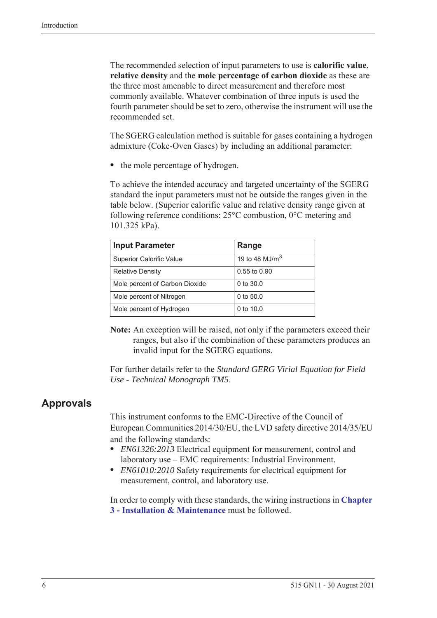The recommended selection of input parameters to use is **calorific value**, **relative density** and the **mole percentage of carbon dioxide** as these are the three most amenable to direct measurement and therefore most commonly available. Whatever combination of three inputs is used the fourth parameter should be set to zero, otherwise the instrument will use the recommended set.

The SGERG calculation method is suitable for gases containing a hydrogen admixture (Coke-Oven Gases) by including an additional parameter:

• the mole percentage of hydrogen.

To achieve the intended accuracy and targeted uncertainty of the SGERG standard the input parameters must not be outside the ranges given in the table below. (Superior calorific value and relative density range given at following reference conditions: 25°C combustion, 0°C metering and 101.325 kPa).

| <b>Input Parameter</b>          | Range             |
|---------------------------------|-------------------|
| <b>Superior Calorific Value</b> | 19 to 48 MJ/ $m3$ |
| <b>Relative Density</b>         | 0.55 to 0.90      |
| Mole percent of Carbon Dioxide  | 0 to $30.0$       |
| Mole percent of Nitrogen        | 0 to $50.0$       |
| Mole percent of Hydrogen        | 0 to $10.0$       |

**Note:** An exception will be raised, not only if the parameters exceed their ranges, but also if the combination of these parameters produces an invalid input for the SGERG equations.

For further details refer to the *Standard GERG Virial Equation for Field Use - Technical Monograph TM5*.

#### <span id="page-15-0"></span>**Approvals**

This instrument conforms to the EMC-Directive of the Council of European Communities 2014/30/EU, the LVD safety directive 2014/35/EU and the following standards:

- **•** *EN61326:2013* Electrical equipment for measurement, control and laboratory use – EMC requirements: Industrial Environment.
- **•** *EN61010:2010* Safety requirements for electrical equipment for measurement, control, and laboratory use.

In order to comply with these standards, the wiring instructions in **[Chapter](#page-20-5)  [3 - Installation & Maintenance](#page-20-5)** must be followed.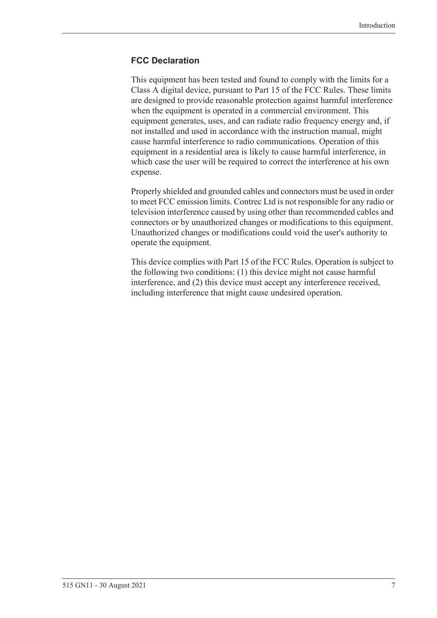### **FCC Declaration**

This equipment has been tested and found to comply with the limits for a Class A digital device, pursuant to Part 15 of the FCC Rules. These limits are designed to provide reasonable protection against harmful interference when the equipment is operated in a commercial environment. This equipment generates, uses, and can radiate radio frequency energy and, if not installed and used in accordance with the instruction manual, might cause harmful interference to radio communications. Operation of this equipment in a residential area is likely to cause harmful interference, in which case the user will be required to correct the interference at his own expense.

Properly shielded and grounded cables and connectors must be used in order to meet FCC emission limits. Contrec Ltd is not responsible for any radio or television interference caused by using other than recommended cables and connectors or by unauthorized changes or modifications to this equipment. Unauthorized changes or modifications could void the user's authority to operate the equipment.

This device complies with Part 15 of the FCC Rules. Operation is subject to the following two conditions: (1) this device might not cause harmful interference, and (2) this device must accept any interference received, including interference that might cause undesired operation.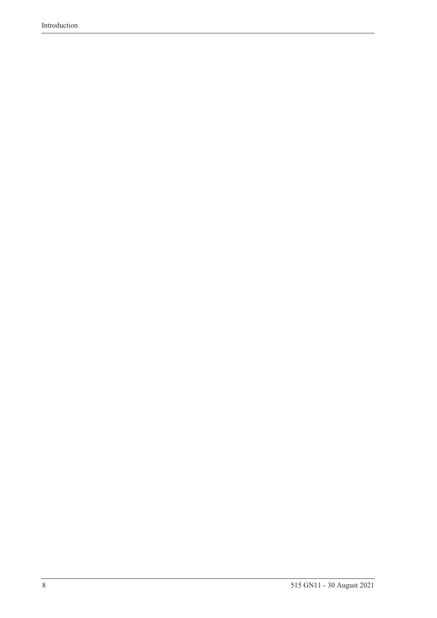Introduction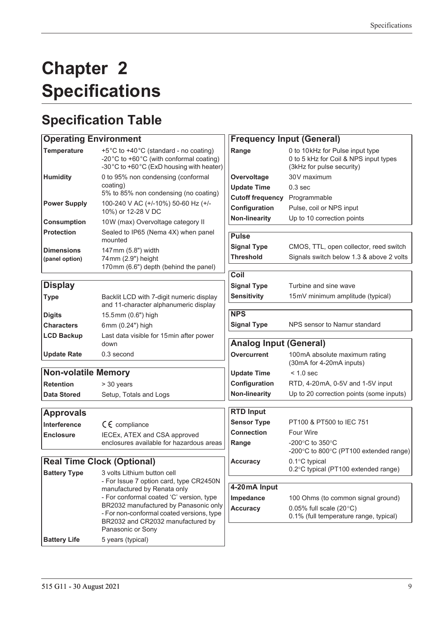# <span id="page-18-0"></span>**Chapter 2 Specifications**

# <span id="page-18-1"></span>**Specification Table**

#### **Operating Environment**

| <b>Temperature</b>                  | +5°C to +40°C (standard - no coating)<br>-20 $\degree$ C to +60 $\degree$ C (with conformal coating)<br>-30°C to +60°C (ExD housing with heater) |
|-------------------------------------|--------------------------------------------------------------------------------------------------------------------------------------------------|
| <b>Humidity</b>                     | 0 to 95% non condensing (conformal<br>coating)<br>5% to 85% non condensing (no coating)                                                          |
| <b>Power Supply</b>                 | 100-240 V AC (+/-10%) 50-60 Hz (+/-<br>10%) or 12-28 V DC                                                                                        |
| <b>Consumption</b>                  | 10W (max) Overvoltage category II                                                                                                                |
| <b>Protection</b>                   | Sealed to IP65 (Nema 4X) when panel<br>mounted                                                                                                   |
| <b>Dimensions</b><br>(panel option) | 147 mm (5.8") width<br>74 mm (2.9") height<br>170mm (6.6") depth (behind the panel)                                                              |

## **Display**

| <b>Type</b>        | Backlit LCD with 7-digit numeric display<br>and 11-character alphanumeric display |
|--------------------|-----------------------------------------------------------------------------------|
| <b>Digits</b>      | $15.5$ mm $(0.6")$ high                                                           |
| <b>Characters</b>  | 6 $mm(0.24")$ high                                                                |
| <b>LCD Backup</b>  | Last data visible for 15 min after power<br>down                                  |
| <b>Update Rate</b> | 0.3 second                                                                        |

#### 0 to 5 kHz for Coil & NPS input types (3kHz for pulse security) **Overvoltage** 30V maximum **Update Time** 0.3 sec **Cutoff frequency** Programmable **Configuration** Pulse, coil or NPS input **Non-linearity** Up to 10 correction points **Pulse Signal Type** CMOS, TTL, open collector, reed switch **Threshold** Signals switch below 1.3 & above 2 volts

**Frequency Input (General)**

**Range** 0 to 10 kHz for Pulse input type

### **Coil Signal Type** Turbine and sine wave **Sensitivity** 15mV minimum amplitude (typical)

## **NPS**

**Signal Type** NPS sensor to Namur standard

## **Analog Input (General)**

| <b>Overcurrent</b>   | 100 mA absolute maximum rating<br>(30mA for 4-20mA inputs) |
|----------------------|------------------------------------------------------------|
| <b>Update Time</b>   | $< 1.0$ sec                                                |
| <b>Configuration</b> | RTD, 4-20 mA, 0-5V and 1-5V input                          |
| Non-linearity        | Up to 20 correction points (some inputs)                   |

# **Data Stored** Setup, Totals and Logs

**Non-volatile Memory Retention** > 30 years

| <b>Approvals</b>    |                                          |
|---------------------|------------------------------------------|
| <b>Interference</b> | $C \in \mathbb{C}$ compliance            |
| <b>Enclosure</b>    | IECEX, ATEX and CSA approved             |
|                     | enclosures available for hazardous areas |

#### **Real Time Clock (Optional) Battery Type** 3 volts Lithium button cell

| <b>Dattery Type</b> | 3 YOILS LITTIUITI DULLOIT CEIL            |
|---------------------|-------------------------------------------|
|                     | - For Issue 7 option card, type CR2450N   |
|                     | manufactured by Renata only               |
|                     | - For conformal coated 'C' version, type  |
|                     | BR2032 manufactured by Panasonic only     |
|                     | - For non-conformal coated versions, type |
|                     | BR2032 and CR2032 manufactured by         |
|                     | Panasonic or Sony                         |
| <b>Battery Life</b> | 5 years (typical)                         |
|                     |                                           |

| <b>RTD Input</b>   |                                                                                                                                                                                                                                                                                                                                                                    |
|--------------------|--------------------------------------------------------------------------------------------------------------------------------------------------------------------------------------------------------------------------------------------------------------------------------------------------------------------------------------------------------------------|
| <b>Sensor Type</b> | PT100 & PT500 to IEC 751                                                                                                                                                                                                                                                                                                                                           |
| <b>Connection</b>  | <b>Four Wire</b>                                                                                                                                                                                                                                                                                                                                                   |
| Range              | $-200\degree$ C to 350 $\degree$ C<br>-200°C to 800°C (PT100 extended range)                                                                                                                                                                                                                                                                                       |
| <b>Accuracy</b>    | $0.1^{\circ}$ C typical<br>0.2°C typical (PT100 extended range)                                                                                                                                                                                                                                                                                                    |
|                    |                                                                                                                                                                                                                                                                                                                                                                    |
| $4-20$ mA Input    |                                                                                                                                                                                                                                                                                                                                                                    |
| .                  | $\overline{100.01}$ $\overline{11}$ $\overline{11}$ $\overline{11}$ $\overline{11}$ $\overline{11}$ $\overline{11}$ $\overline{11}$ $\overline{11}$ $\overline{11}$ $\overline{11}$ $\overline{11}$ $\overline{11}$ $\overline{11}$ $\overline{11}$ $\overline{11}$ $\overline{11}$ $\overline{11}$ $\overline{11}$ $\overline{11}$ $\overline{11}$ $\overline{11$ |

| Impedance       | 100 Ohms (to common signal ground)     |
|-----------------|----------------------------------------|
| <b>Accuracy</b> | 0.05% full scale $(20^{\circ}C)$       |
|                 | 0.1% (full temperature range, typical) |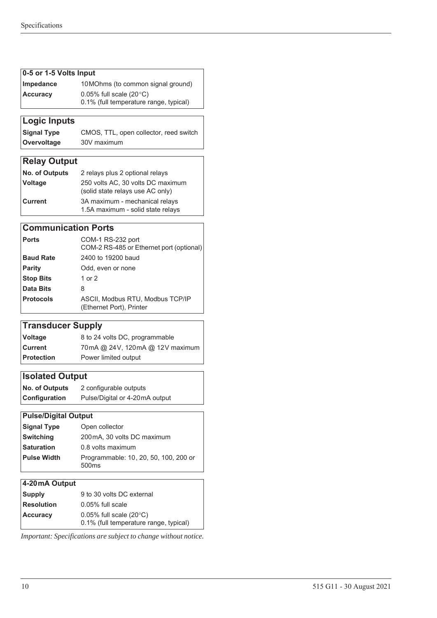| $ 0-5$ or 1-5 Volts Input |                                        |  |  |  |
|---------------------------|----------------------------------------|--|--|--|
| $ Im$ pedance             | 10 MOhms (to common signal ground)     |  |  |  |
| <b>Accuracy</b>           | 0.05% full scale $(20^{\circ}C)$       |  |  |  |
|                           | 0.1% (full temperature range, typical) |  |  |  |

## **Logic Inputs**

| <b>Signal Type</b> | CMOS, TTL, open collector, reed switch |
|--------------------|----------------------------------------|
| Overvoltage        | 30V maximum                            |

## **Relay Output**

| No. of Outputs | 2 relays plus 2 optional relays                                       |  |  |  |
|----------------|-----------------------------------------------------------------------|--|--|--|
| Voltage        | 250 volts AC, 30 volts DC maximum<br>(solid state relays use AC only) |  |  |  |
| <b>Current</b> | 3A maximum - mechanical relays<br>1.5A maximum - solid state relays   |  |  |  |

#### **Communication Ports**

| Ports            | COM-1 RS-232 port<br>COM-2 RS-485 or Ethernet port (optional) |
|------------------|---------------------------------------------------------------|
| <b>Baud Rate</b> | 2400 to 19200 baud                                            |
| Parity           | Odd, even or none                                             |
| <b>Stop Bits</b> | 1 or 2                                                        |
| Data Bits        | 8                                                             |
| <b>Protocols</b> | ASCII, Modbus RTU, Modbus TCP/IP<br>(Ethernet Port), Printer  |

## **Transducer Supply**

| <b>Voltage</b>    | 8 to 24 volts DC, programmable  |
|-------------------|---------------------------------|
| ∣Current∶         | 70mA @ 24V, 120mA @ 12V maximum |
| <b>Protection</b> | Power limited output            |

## **Isolated Output**

| <b>No. of Outputs</b> | 2 configurable outputs         |
|-----------------------|--------------------------------|
| Configuration         | Pulse/Digital or 4-20mA output |

### **Pulse/Digital Output**

| <b>Signal Type</b> | Open collector                                             |  |  |  |  |
|--------------------|------------------------------------------------------------|--|--|--|--|
| <b>Switching</b>   | 200 mA, 30 volts DC maximum                                |  |  |  |  |
| <b>Saturation</b>  | 0.8 volts maximum                                          |  |  |  |  |
| <b>Pulse Width</b> | Programmable: 10, 20, 50, 100, 200 or<br>500 <sub>ms</sub> |  |  |  |  |
|                    |                                                            |  |  |  |  |

## **4-20 mA Output**

| <b>Supply</b>     | 9 to 30 volts DC external                                                       |  |  |  |
|-------------------|---------------------------------------------------------------------------------|--|--|--|
| <b>Resolution</b> | $0.05\%$ full scale                                                             |  |  |  |
| <b>Accuracy</b>   | $0.05\%$ full scale (20 $^{\circ}$ C)<br>0.1% (full temperature range, typical) |  |  |  |
|                   |                                                                                 |  |  |  |

*Important: Specifications are subject to change without notice.*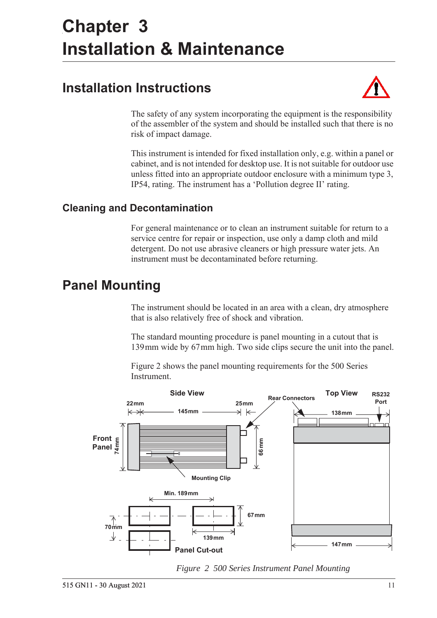# <span id="page-20-5"></span><span id="page-20-0"></span>**Chapter 3 Installation & Maintenance**

# <span id="page-20-1"></span>**Installation Instructions**



The safety of any system incorporating the equipment is the responsibility of the assembler of the system and should be installed such that there is no risk of impact damage.

This instrument is intended for fixed installation only, e.g. within a panel or cabinet, and is not intended for desktop use. It is not suitable for outdoor use unless fitted into an appropriate outdoor enclosure with a minimum type 3, IP54, rating. The instrument has a 'Pollution degree II' rating.

## <span id="page-20-2"></span>**Cleaning and Decontamination**

For general maintenance or to clean an instrument suitable for return to a service centre for repair or inspection, use only a damp cloth and mild detergent. Do not use abrasive cleaners or high pressure water jets. An instrument must be decontaminated before returning.

# <span id="page-20-3"></span>**Panel Mounting**

The instrument should be located in an area with a clean, dry atmosphere that is also relatively free of shock and vibration.

The standard mounting procedure is panel mounting in a cutout that is 139 mm wide by 67 mm high. Two side clips secure the unit into the panel.

[Figure 2](#page-20-4) shows the panel mounting requirements for the 500 Series Instrument.



<span id="page-20-4"></span>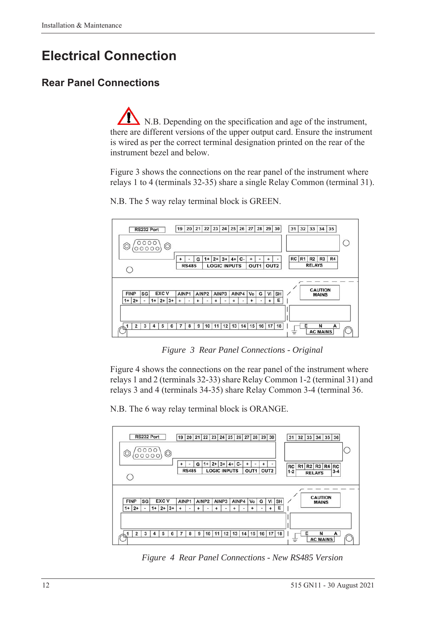# <span id="page-21-0"></span>**Electrical Connection**

## <span id="page-21-1"></span>**Rear Panel Connections**

N.B. Depending on the specification and age of the instrument, there are different versions of the upper output card. Ensure the instrument is wired as per the correct terminal designation printed on the rear of the instrument bezel and below.

[Figure 3](#page-21-2) shows the connections on the rear panel of the instrument where relays 1 to 4 (terminals 32-35) share a single Relay Common (terminal 31).



N.B. The 5 way relay terminal block is GREEN.

*Figure 3 Rear Panel Connections - Original*

<span id="page-21-2"></span>[Figure 4](#page-21-3) shows the connections on the rear panel of the instrument where relays 1 and 2 (terminals 32-33) share Relay Common 1-2 (terminal 31) and relays 3 and 4 (terminals 34-35) share Relay Common 3-4 (terminal 36.

N.B. The 6 way relay terminal block is ORANGE.



<span id="page-21-3"></span>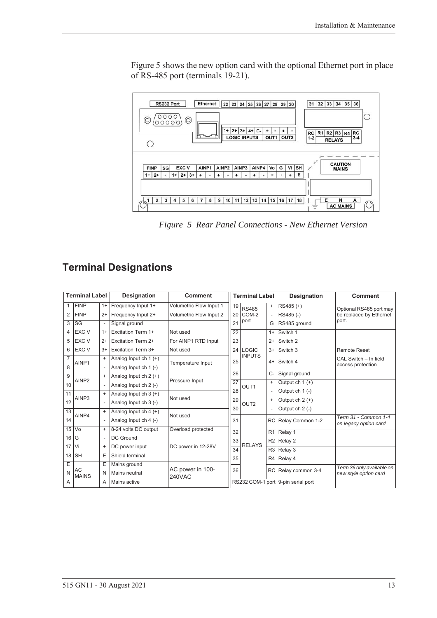[Figure 5](#page-22-1) shows the new option card with the optional Ethernet port in place of RS-485 port (terminals 19-21).



<span id="page-22-1"></span>*Figure 5 Rear Panel Connections - New Ethernet Version*

## <span id="page-22-0"></span>**Terminal Designations**

| <b>Terminal Label</b> |                   |                          | Designation               | <b>Comment</b>          | <b>Terminal Label</b> |                                     |                | <b>Designation</b>                 | <b>Comment</b>            |
|-----------------------|-------------------|--------------------------|---------------------------|-------------------------|-----------------------|-------------------------------------|----------------|------------------------------------|---------------------------|
|                       | <b>FINP</b>       | $1+$                     | Frequency Input 1+        | Volumetric Flow Input 1 | 19                    | <b>RS485</b>                        | $\ddot{}$      | RS485 (+)                          | Optional RS485 port may   |
| 2                     | <b>FINP</b>       | $2+$                     | Frequency Input 2+        | Volumetric Flow Input 2 |                       | 20 COM-2                            |                | RS485 (-)                          | be replaced by Ethernet   |
| 3                     | SG                | $\overline{\phantom{a}}$ | Signal ground             |                         | 21                    | port                                | G              | RS485 ground                       | port.                     |
| 4                     | <b>EXC V</b>      | $1+$                     | <b>Excitation Term 1+</b> | Not used                | 22                    |                                     | $1+$           | Switch 1                           |                           |
| 5                     | EXC V             | $2+$                     | <b>Excitation Term 2+</b> | For AINP1 RTD Input     | 23                    |                                     | $2+$           | Switch 2                           |                           |
| 6                     | EXC V             | $3+$                     | Excitation Term 3+        | Not used                |                       | 24 LOGIC                            | $3+$           | Switch 3                           | <b>Remote Reset</b>       |
| $\overline{7}$        | AINP1             | $\ddot{}$                | Analog Input ch $1 (+)$   | Temperature Input       | 25                    | <b>INPUTS</b>                       | $4+$           | Switch 4                           | CAL Switch - In field     |
| 8                     |                   |                          | Analog Input ch 1 (-)     |                         | 26                    |                                     |                |                                    | access protection         |
| 9                     |                   | $\ddot{}$                | Analog Input ch $2 (+)$   | Pressure Input          |                       |                                     | $C-$           | Signal ground                      |                           |
| 10                    | AINP <sub>2</sub> |                          | Analog Input ch 2 (-)     |                         |                       | $\overline{27}$<br>OUT <sub>1</sub> | $\ddot{}$      | Output ch $1 (+)$                  |                           |
| 11                    |                   | $\ddot{}$                | Analog Input ch $3 (+)$   |                         | 28                    |                                     |                | Output ch 1 (-)                    |                           |
| 12                    | AINP3             |                          | Analog Input ch 3 (-)     | Not used                |                       | 29<br>OUT <sub>2</sub>              | $\ddot{}$      | Output ch $2 (+)$                  |                           |
| 13                    |                   | $\ddot{}$                | Analog Input ch $4 (+)$   |                         | 30                    |                                     |                | Output ch 2 (-)                    |                           |
| 14                    | AINP4             | $\overline{\phantom{a}}$ | Analog Input ch 4 (-)     | Not used                |                       |                                     | <b>RC</b>      | Relay Common 1-2                   | Term 31 - Common 1-4      |
| 15                    | Vo                | $\ddot{}$                | 8-24 volts DC output      | Overload protected      |                       |                                     |                |                                    | on legacy option card     |
| 16                    | G                 | $\overline{\phantom{a}}$ | <b>DC</b> Ground          |                         | 32                    |                                     | R <sub>1</sub> | Relay 1                            |                           |
| 17                    | Vi                | $\ddot{}$                | DC power input            | DC power in 12-28V      | 33<br>$\overline{34}$ | <b>RELAYS</b>                       | R <sub>2</sub> | Relay 2                            |                           |
| 18                    | <b>SH</b>         | Е                        | Shield terminal           |                         |                       |                                     | R3             | Relay 3                            |                           |
|                       |                   |                          |                           |                         | 35                    |                                     | R4             | Relay 4                            |                           |
| Ε                     | AC                | E                        | Mains ground              | AC power in 100-        | 36                    |                                     | RC             | Relay common 3-4                   | Term 36 only available on |
| N                     | <b>MAINS</b>      | Ν                        | Mains neutral             | <b>240VAC</b>           |                       |                                     |                |                                    | new style option card     |
| A                     |                   | Α                        | Mains active              |                         |                       |                                     |                | RS232 COM-1 port 9-pin serial port |                           |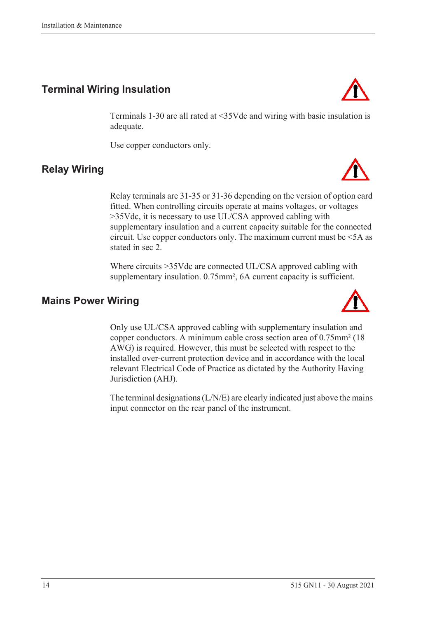## <span id="page-23-0"></span>**Terminal Wiring Insulation**

Terminals 1-30 are all rated at <35Vdc and wiring with basic insulation is adequate.

Use copper conductors only.

## <span id="page-23-1"></span>**Relay Wiring**

Relay terminals are 31-35 or 31-36 depending on the version of option card fitted. When controlling circuits operate at mains voltages, or voltages >35Vdc, it is necessary to use UL/CSA approved cabling with supplementary insulation and a current capacity suitable for the connected circuit. Use copper conductors only. The maximum current must be <5A as stated in sec 2.

Where circuits >35Vdc are connected UL/CSA approved cabling with supplementary insulation. 0.75mm<sup>2</sup>, 6A current capacity is sufficient.

## <span id="page-23-2"></span>**Mains Power Wiring**

Only use UL/CSA approved cabling with supplementary insulation and copper conductors. A minimum cable cross section area of 0.75mm² (18 AWG) is required. However, this must be selected with respect to the installed over-current protection device and in accordance with the local relevant Electrical Code of Practice as dictated by the Authority Having Jurisdiction (AHJ).

The terminal designations (L/N/E) are clearly indicated just above the mains input connector on the rear panel of the instrument.



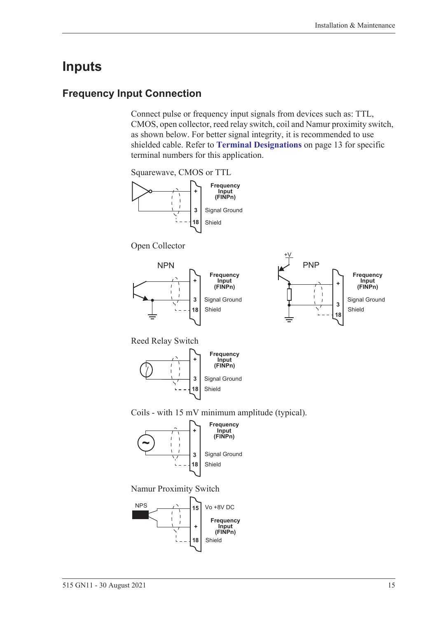# <span id="page-24-0"></span>**Inputs**

## <span id="page-24-1"></span>**Frequency Input Connection**

Connect pulse or frequency input signals from devices such as: TTL, CMOS, open collector, reed relay switch, coil and Namur proximity switch, as shown below. For better signal integrity, it is recommended to use shielded cable. Refer to **[Terminal Designations](#page-22-0)** on page 13 for specific terminal numbers for this application.

Squarewave, CMOS or TTL



Open Collector





Reed Relay Switch



Coils - with 15 mV minimum amplitude (typical).



Namur Proximity Switch

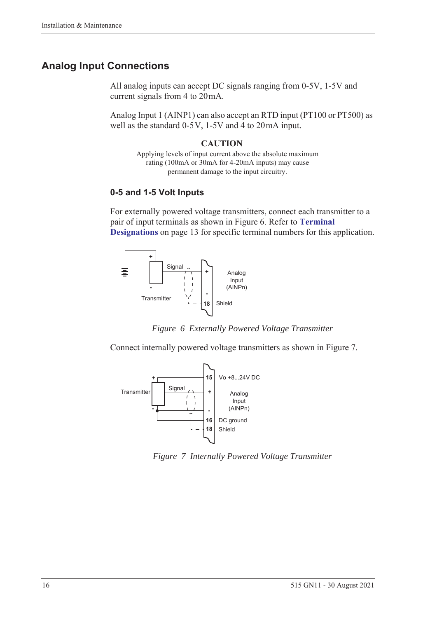## <span id="page-25-0"></span>**Analog Input Connections**

All analog inputs can accept DC signals ranging from 0-5V, 1-5V and current signals from 4 to 20 mA.

Analog Input 1 (AINP1) can also accept an RTD input (PT100 or PT500) as well as the standard  $0-5V$ ,  $1-5V$  and  $4$  to  $20mA$  input.

#### **CAUTION**

Applying levels of input current above the absolute maximum rating (100mA or 30mA for 4-20mA inputs) may cause permanent damage to the input circuitry.

#### **0-5 and 1-5 Volt Inputs**

For externally powered voltage transmitters, connect each transmitter to a pair of input terminals as shown in [Figure 6](#page-25-1). Refer to **[Terminal](#page-22-0)  [Designations](#page-22-0)** on page 13 for specific terminal numbers for this application.





<span id="page-25-1"></span>Connect internally powered voltage transmitters as shown in [Figure 7.](#page-25-2)



<span id="page-25-2"></span>*Figure 7 Internally Powered Voltage Transmitter*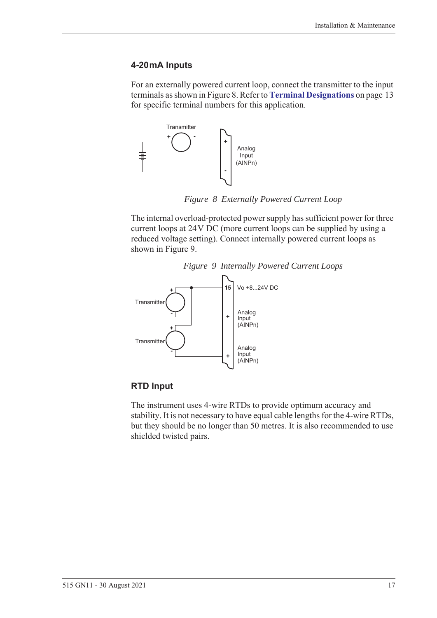#### **4-20 mA Inputs**

For an externally powered current loop, connect the transmitter to the input terminals as shown in [Figure 8.](#page-26-0) Refer to **[Terminal Designations](#page-22-0)** on page 13 for specific terminal numbers for this application.



*Figure 8 Externally Powered Current Loop*

<span id="page-26-0"></span>The internal overload-protected power supply has sufficient power for three current loops at 24 V DC (more current loops can be supplied by using a reduced voltage setting). Connect internally powered current loops as shown in [Figure 9.](#page-26-1)

<span id="page-26-1"></span>

## **RTD Input**

The instrument uses 4-wire RTDs to provide optimum accuracy and stability. It is not necessary to have equal cable lengths for the 4-wire RTDs, but they should be no longer than 50 metres. It is also recommended to use shielded twisted pairs.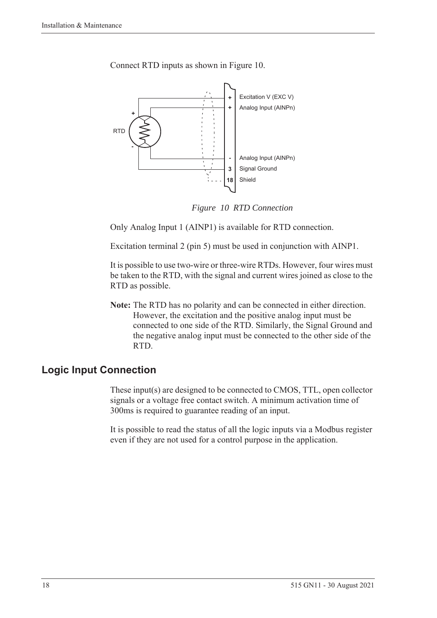

Connect RTD inputs as shown in [Figure 10.](#page-27-1)

*Figure 10 RTD Connection*

<span id="page-27-1"></span>Only Analog Input 1 (AINP1) is available for RTD connection.

Excitation terminal 2 (pin 5) must be used in conjunction with AINP1.

It is possible to use two-wire or three-wire RTDs. However, four wires must be taken to the RTD, with the signal and current wires joined as close to the RTD as possible.

**Note:** The RTD has no polarity and can be connected in either direction. However, the excitation and the positive analog input must be connected to one side of the RTD. Similarly, the Signal Ground and the negative analog input must be connected to the other side of the RTD.

## <span id="page-27-0"></span>**Logic Input Connection**

These input(s) are designed to be connected to CMOS, TTL, open collector signals or a voltage free contact switch. A minimum activation time of 300ms is required to guarantee reading of an input.

It is possible to read the status of all the logic inputs via a Modbus register even if they are not used for a control purpose in the application.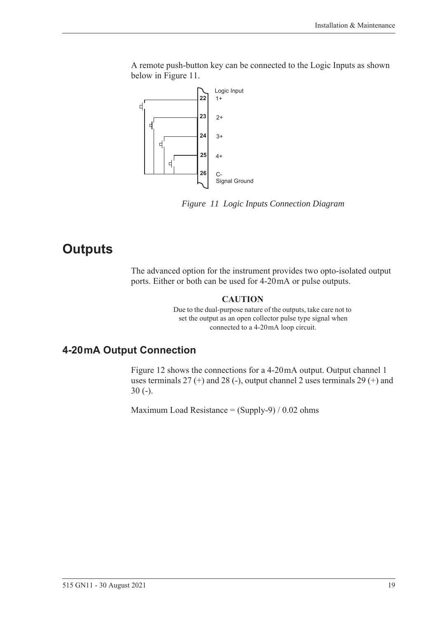A remote push-button key can be connected to the Logic Inputs as shown below in [Figure 11.](#page-28-2)



<span id="page-28-2"></span>*Figure 11 Logic Inputs Connection Diagram*

# <span id="page-28-0"></span>**Outputs**

The advanced option for the instrument provides two opto-isolated output ports. Either or both can be used for 4-20 mA or pulse outputs.

#### **CAUTION**

Due to the dual-purpose nature of the outputs, take care not to set the output as an open collector pulse type signal when connected to a 4-20mA loop circuit.

## <span id="page-28-1"></span>**4-20 mA Output Connection**

[Figure 12](#page-29-1) shows the connections for a 4-20 mA output. Output channel 1 uses terminals  $27 (+)$  and  $28 (-)$ , output channel 2 uses terminals  $29 (+)$  and 30 (-).

Maximum Load Resistance =  $(Supply-9) / 0.02$  ohms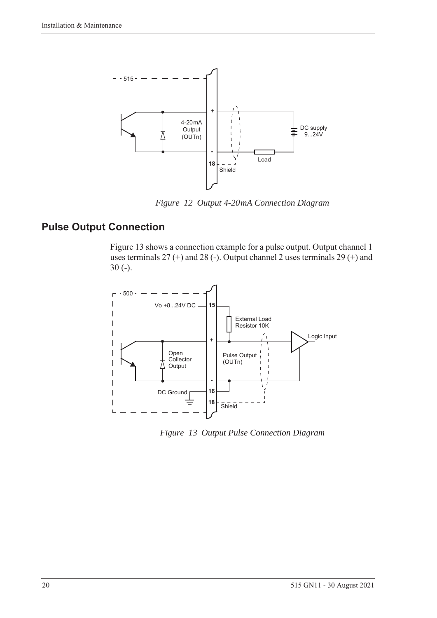

*Figure 12 Output 4-20 mA Connection Diagram*

## <span id="page-29-0"></span>**Pulse Output Connection**

<span id="page-29-1"></span>[Figure 13](#page-29-2) shows a connection example for a pulse output. Output channel 1 uses terminals 27 (+) and 28 (-). Output channel 2 uses terminals 29 (+) and 30 (-).



<span id="page-29-2"></span>*Figure 13 Output Pulse Connection Diagram*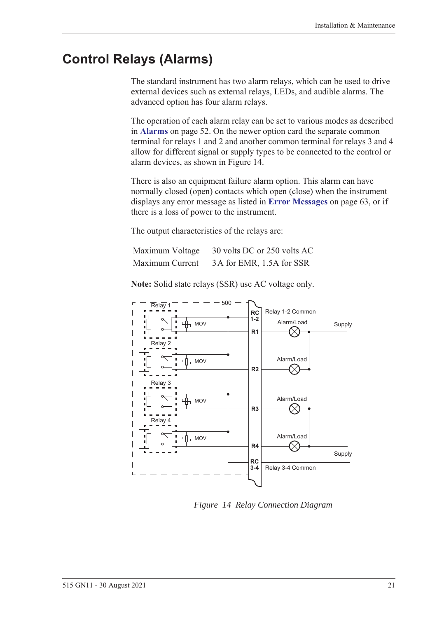## <span id="page-30-0"></span>**Control Relays (Alarms)**

The standard instrument has two alarm relays, which can be used to drive external devices such as external relays, LEDs, and audible alarms. The advanced option has four alarm relays.

The operation of each alarm relay can be set to various modes as described in **Alarms** [on page 52.](#page-61-1) On the newer option card the separate common terminal for relays 1 and 2 and another common terminal for relays 3 and 4 allow for different signal or supply types to be connected to the control or alarm devices, as shown in [Figure 14.](#page-30-1)

There is also an equipment failure alarm option. This alarm can have normally closed (open) contacts which open (close) when the instrument displays any error message as listed in **[Error Messages](#page-72-2)** on page 63, or if there is a loss of power to the instrument.

The output characteristics of the relays are:

| Maximum Voltage | 30 volts DC or 250 volts AC |
|-----------------|-----------------------------|
| Maximum Current | 3A for EMR, 1.5A for SSR    |



**Note:** Solid state relays (SSR) use AC voltage only.

<span id="page-30-1"></span>*Figure 14 Relay Connection Diagram*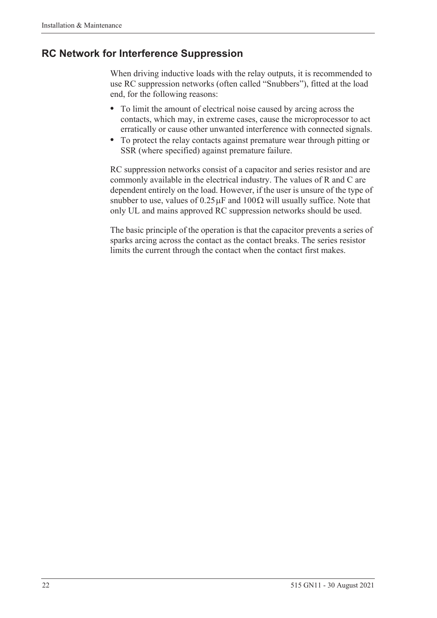## <span id="page-31-0"></span>**RC Network for Interference Suppression**

When driving inductive loads with the relay outputs, it is recommended to use RC suppression networks (often called "Snubbers"), fitted at the load end, for the following reasons:

- **•** To limit the amount of electrical noise caused by arcing across the contacts, which may, in extreme cases, cause the microprocessor to act erratically or cause other unwanted interference with connected signals.
- **•** To protect the relay contacts against premature wear through pitting or SSR (where specified) against premature failure.

RC suppression networks consist of a capacitor and series resistor and are commonly available in the electrical industry. The values of R and C are dependent entirely on the load. However, if the user is unsure of the type of snubber to use, values of  $0.25 \mu$ F and  $100 \Omega$  will usually suffice. Note that only UL and mains approved RC suppression networks should be used.

The basic principle of the operation is that the capacitor prevents a series of sparks arcing across the contact as the contact breaks. The series resistor limits the current through the contact when the contact first makes.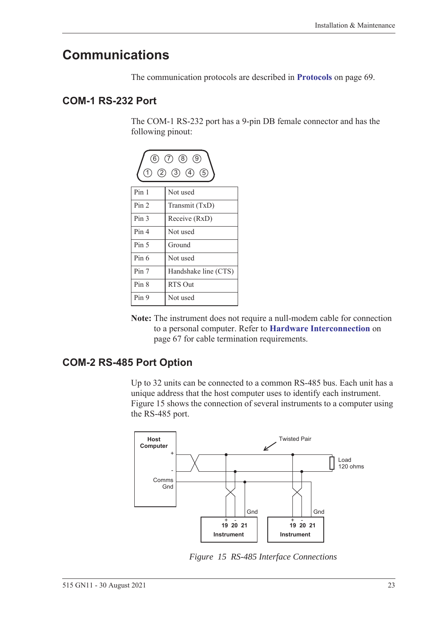## <span id="page-32-0"></span>**Communications**

The communication protocols are described in **Protocols** [on page 69](#page-78-3).

## <span id="page-32-1"></span>**COM-1 RS-232 Port**

The COM-1 RS-232 port has a 9-pin DB female connector and has the following pinout:

| $(6)$ (7) (8) (9)<br>$(2)$ $(3)$ $(4)$ $(5)$<br>T |                      |
|---------------------------------------------------|----------------------|
| Pin 1                                             | Not used             |
| Pin <sub>2</sub>                                  | Transmit (TxD)       |
| Pin <sub>3</sub>                                  | Receive (RxD)        |
| Pin 4                                             | Not used             |
| Pin <sub>5</sub>                                  | Ground               |
| Pin 6                                             | Not used             |
| Pin 7                                             | Handshake line (CTS) |
| Pin 8                                             | RTS Out              |
| Pin <sub>9</sub>                                  | Not used             |

**Note:** The instrument does not require a null-modem cable for connection to a personal computer. Refer to **[Hardware Interconnection](#page-76-4)** on [page 67](#page-76-4) for cable termination requirements.

## <span id="page-32-2"></span>**COM-2 RS-485 Port Option**

Up to 32 units can be connected to a common RS-485 bus. Each unit has a unique address that the host computer uses to identify each instrument. [Figure 15](#page-32-3) shows the connection of several instruments to a computer using the RS-485 port.



<span id="page-32-3"></span>*Figure 15 RS-485 Interface Connections*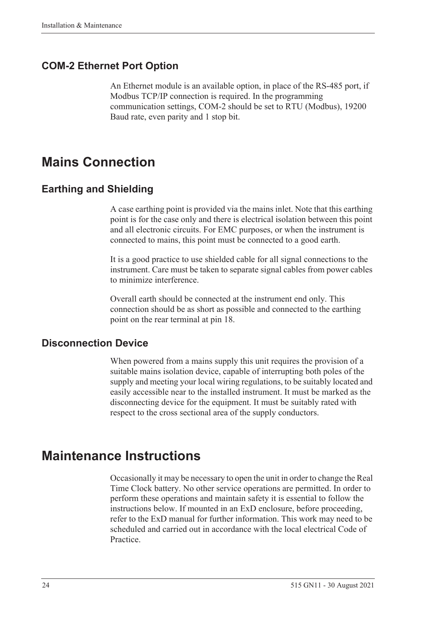## <span id="page-33-0"></span>**COM-2 Ethernet Port Option**

An Ethernet module is an available option, in place of the RS-485 port, if Modbus TCP/IP connection is required. In the programming communication settings, COM-2 should be set to RTU (Modbus), 19200 Baud rate, even parity and 1 stop bit.

# <span id="page-33-1"></span>**Mains Connection**

## <span id="page-33-2"></span>**Earthing and Shielding**

A case earthing point is provided via the mains inlet. Note that this earthing point is for the case only and there is electrical isolation between this point and all electronic circuits. For EMC purposes, or when the instrument is connected to mains, this point must be connected to a good earth.

It is a good practice to use shielded cable for all signal connections to the instrument. Care must be taken to separate signal cables from power cables to minimize interference.

Overall earth should be connected at the instrument end only. This connection should be as short as possible and connected to the earthing point on the rear terminal at pin 18.

## <span id="page-33-3"></span>**Disconnection Device**

When powered from a mains supply this unit requires the provision of a suitable mains isolation device, capable of interrupting both poles of the supply and meeting your local wiring regulations, to be suitably located and easily accessible near to the installed instrument. It must be marked as the disconnecting device for the equipment. It must be suitably rated with respect to the cross sectional area of the supply conductors.

## <span id="page-33-4"></span>**Maintenance Instructions**

Occasionally it may be necessary to open the unit in order to change the Real Time Clock battery. No other service operations are permitted. In order to perform these operations and maintain safety it is essential to follow the instructions below. If mounted in an ExD enclosure, before proceeding, refer to the ExD manual for further information. This work may need to be scheduled and carried out in accordance with the local electrical Code of Practice.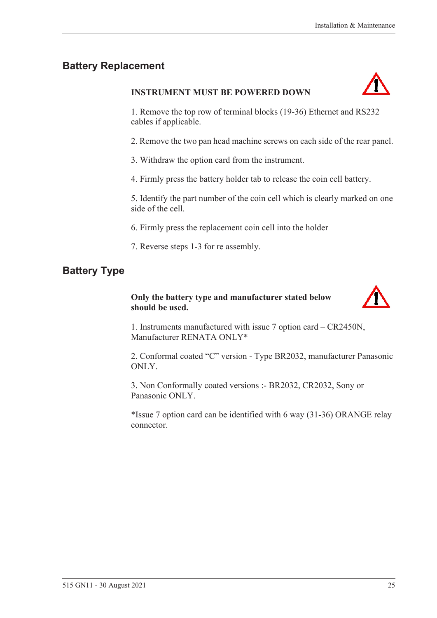## <span id="page-34-0"></span>**Battery Replacement**

#### **INSTRUMENT MUST BE POWERED DOWN**



1. Remove the top row of terminal blocks (19-36) Ethernet and RS232 cables if applicable.

2. Remove the two pan head machine screws on each side of the rear panel.

3. Withdraw the option card from the instrument.

4. Firmly press the battery holder tab to release the coin cell battery.

5. Identify the part number of the coin cell which is clearly marked on one side of the cell.

6. Firmly press the replacement coin cell into the holder

7. Reverse steps 1-3 for re assembly.

## <span id="page-34-1"></span>**Battery Type**

#### **Only the battery type and manufacturer stated below should be used.**



1. Instruments manufactured with issue 7 option card – CR2450N, Manufacturer RENATA ONLY\*

2. Conformal coated "C" version - Type BR2032, manufacturer Panasonic ONLY.

3. Non Conformally coated versions :- BR2032, CR2032, Sony or Panasonic ONLY.

\*Issue 7 option card can be identified with 6 way (31-36) ORANGE relay connector.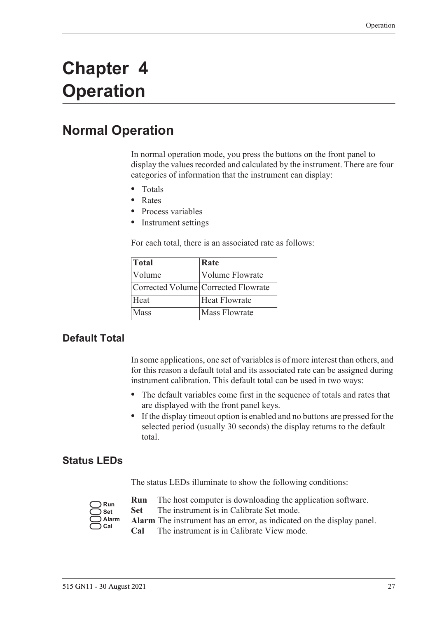# **Chapter 4 Operation**

# **Normal Operation**

In normal operation mode, you press the buttons on the front panel to display the values recorded and calculated by the instrument. There are four categories of information that the instrument can display:

- **•** Totals
- **•** Rates
- **•** Process variables
- **•** Instrument settings

For each total, there is an associated rate as follows:

| Total                       | Rate                                |  |
|-----------------------------|-------------------------------------|--|
| <i><u><b>Nolume</b></u></i> | <b>Volume Flowrate</b>              |  |
|                             | Corrected Volume Corrected Flowrate |  |
| Heat                        | <b>Heat Flowrate</b>                |  |
| Mass                        | <b>Mass Flowrate</b>                |  |

## **Default Total**

In some applications, one set of variables is of more interest than others, and for this reason a default total and its associated rate can be assigned during instrument calibration. This default total can be used in two ways:

- **•** The default variables come first in the sequence of totals and rates that are displayed with the front panel keys.
- **•** If the display timeout option is enabled and no buttons are pressed for the selected period (usually 30 seconds) the display returns to the default total.

### **Status LEDs**

The status LEDs illuminate to show the following conditions:

| Run   |
|-------|
| Set   |
| Alarm |
| Cal   |

- **Run** The host computer is downloading the application software.
- **Set** The instrument is in Calibrate Set mode.
- **Alarm** The instrument has an error, as indicated on the display panel.
	- **Cal** The instrument is in Calibrate View mode.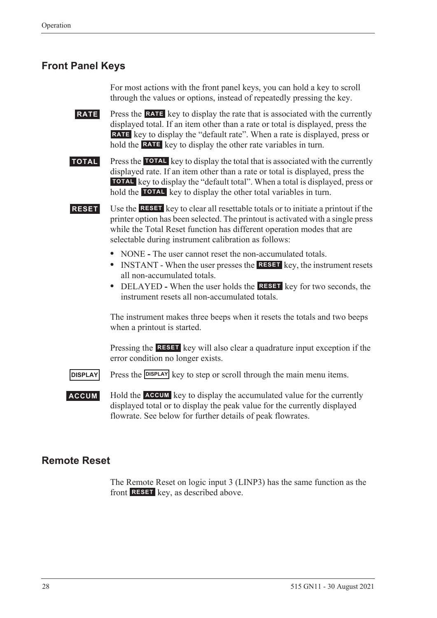### **Front Panel Keys**

For most actions with the front panel keys, you can hold a key to scroll through the values or options, instead of repeatedly pressing the key.

**RATE** Press the **RATE** key to display the rate that is associated with the currently displayed total. If an item other than a rate or total is displayed, press the RATE key to display the "default rate". When a rate is displayed, press or hold the **RATE** key to display the other rate variables in turn.

**TOTAL** Press the TOTAL key to display the total that is associated with the currently displayed rate. If an item other than a rate or total is displayed, press the **TOTAL** key to display the "default total". When a total is displayed, press or hold the **TOTAL** key to display the other total variables in turn.

**RESET** Use the **RESET** key to clear all resettable totals or to initiate a printout if the printer option has been selected. The printout is activated with a single press while the Total Reset function has different operation modes that are selectable during instrument calibration as follows:

- NONE The user cannot reset the non-accumulated totals.
- INSTANT When the user presses the **RESET** key, the instrument resets all non-accumulated totals.
- DELAYED When the user holds the **RESET** key for two seconds, the instrument resets all non-accumulated totals.

The instrument makes three beeps when it resets the totals and two beeps when a printout is started.

Pressing the **RESET** key will also clear a quadrature input exception if the error condition no longer exists.

- **DISPLAY** Press the **DISPLAY** key to step or scroll through the main menu items.
- **ACCUM** Hold the **ACCUM** key to display the accumulated value for the currently displayed total or to display the peak value for the currently displayed flowrate. See below for further details of peak flowrates.

### **Remote Reset**

The Remote Reset on logic input 3 (LINP3) has the same function as the front **RESET** key, as described above.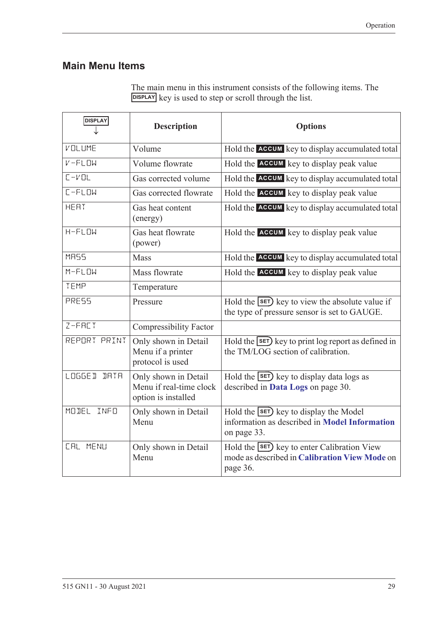# **Main Menu Items**

| The main menu in this instrument consists of the following items. The |
|-----------------------------------------------------------------------|
| DISPLAY key is used to step or scroll through the list.               |

| <b>DISPLAY</b>  | <b>Description</b>                                                     | <b>Options</b>                                                                                               |  |
|-----------------|------------------------------------------------------------------------|--------------------------------------------------------------------------------------------------------------|--|
| VOLUME          | Volume                                                                 | Hold the ACCUM key to display accumulated total                                                              |  |
| $V$ -FLOW       | Volume flowrate                                                        | Hold the ACCUM key to display peak value                                                                     |  |
| $L - VOL$       | Gas corrected volume                                                   | Hold the ACCUM key to display accumulated total                                                              |  |
| $L-FLDW$        | Gas corrected flowrate                                                 | Hold the <b>ACCUM</b> key to display peak value                                                              |  |
| <b>HEAT</b>     | Gas heat content<br>(energy)                                           | Hold the ACCUM key to display accumulated total                                                              |  |
| $H-FLDW$        | Gas heat flowrate<br>(power)                                           | Hold the <b>ACCUM</b> key to display peak value                                                              |  |
| <b>MR55</b>     | Mass                                                                   | Hold the ACCUM key to display accumulated total                                                              |  |
| $M-FLDW$        | Mass flowrate                                                          | Hold the <b>ACCUM</b> key to display peak value                                                              |  |
| TEMP            | Temperature                                                            |                                                                                                              |  |
| <b>PRESS</b>    | Pressure                                                               | Hold the SET) key to view the absolute value if<br>the type of pressure sensor is set to GAUGE.              |  |
| $Z-FHCT$        | <b>Compressibility Factor</b>                                          |                                                                                                              |  |
| REPORT PRINT    | Only shown in Detail<br>Menu if a printer<br>protocol is used          | Hold the $\overline{\text{set}}$ key to print log report as defined in<br>the TM/LOG section of calibration. |  |
| LOGGED DATA     | Only shown in Detail<br>Menu if real-time clock<br>option is installed | Hold the $\boxed{\mathsf{SET}}$ key to display data logs as<br>described in Data Logs on page 30.            |  |
| MODEL INFO      | Only shown in Detail<br>Menu                                           | Hold the <b>SET</b> key to display the Model<br>information as described in Model Information<br>on page 33. |  |
| <b>CAL MENU</b> | Only shown in Detail<br>Menu                                           | Hold the SET) key to enter Calibration View<br>mode as described in Calibration View Mode on<br>page 36.     |  |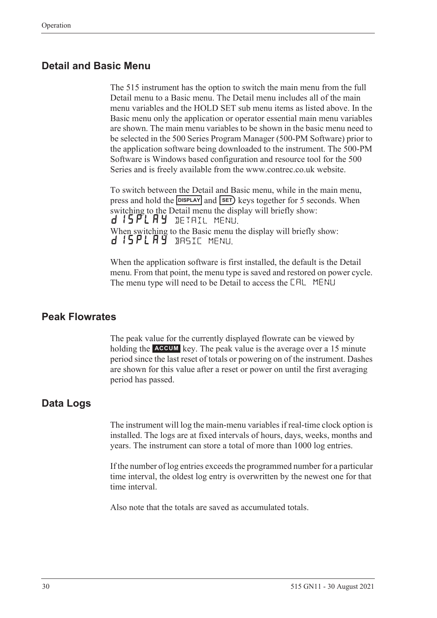### **Detail and Basic Menu**

The 515 instrument has the option to switch the main menu from the full Detail menu to a Basic menu. The Detail menu includes all of the main menu variables and the HOLD SET sub menu items as listed above. In the Basic menu only the application or operator essential main menu variables are shown. The main menu variables to be shown in the basic menu need to be selected in the 500 Series Program Manager (500-PM Software) prior to the application software being downloaded to the instrument. The 500-PM Software is Windows based configuration and resource tool for the 500 Series and is freely available from the www.contrec.co.uk website.

To switch between the Detail and Basic menu, while in the main menu, press and hold the **DISPLAY** and **SET**) keys together for 5 seconds. When switching to the Detail menu the display will briefly show: d 15 PL A Y DETAIL MENU. When switching to the Basic menu the display will briefly show: d 15PLAY BASIC MENU.

When the application software is first installed, the default is the Detail menu. From that point, the menu type is saved and restored on power cycle. The menu type will need to be Detail to access the CAL MENU

### **Peak Flowrates**

The peak value for the currently displayed flowrate can be viewed by holding the **ACCUM** key. The peak value is the average over a 15 minute period since the last reset of totals or powering on of the instrument. Dashes are shown for this value after a reset or power on until the first averaging period has passed.

#### <span id="page-39-0"></span>**Data Logs**

The instrument will log the main-menu variables if real-time clock option is installed. The logs are at fixed intervals of hours, days, weeks, months and years. The instrument can store a total of more than 1000 log entries.

If the number of log entries exceeds the programmed number for a particular time interval, the oldest log entry is overwritten by the newest one for that time interval.

Also note that the totals are saved as accumulated totals.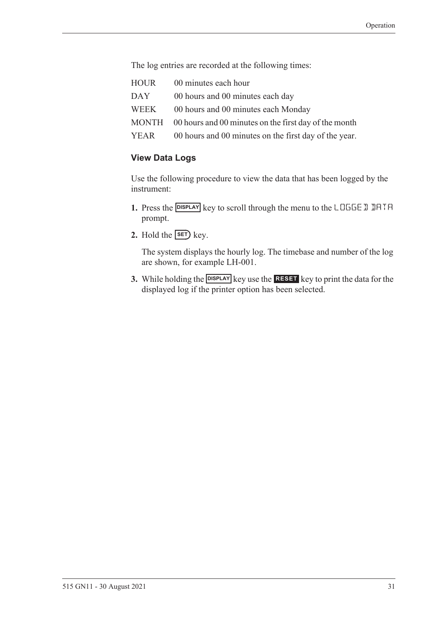The log entries are recorded at the following times:

HOUR 00 minutes each hour DAY 00 hours and 00 minutes each day WEEK 00 hours and 00 minutes each Monday MONTH 00 hours and 00 minutes on the first day of the month YEAR 00 hours and 00 minutes on the first day of the year.

#### **View Data Logs**

Use the following procedure to view the data that has been logged by the instrument:

- **1.** Press the **DISPLAY** key to scroll through the menu to the LOGGE D DATA prompt.
- **2.** Hold the  $\overline{\text{SET}}$  key.

The system displays the hourly log. The timebase and number of the log are shown, for example LH-001.

**3.** While holding the **DISPLAY** key use the **RESET** key to print the data for the displayed log if the printer option has been selected.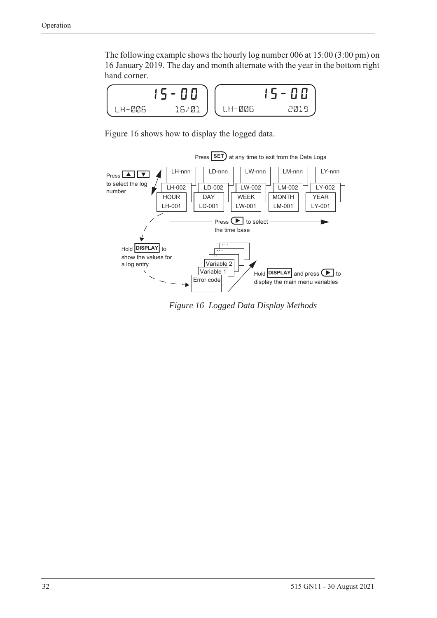The following example shows the hourly log number 006 at 15:00 (3:00 pm) on 16 January 2019. The day and month alternate with the year in the bottom right hand corner.



[Figure 16](#page-41-0) shows how to display the logged data.



<span id="page-41-0"></span>*Figure 16 Logged Data Display Methods*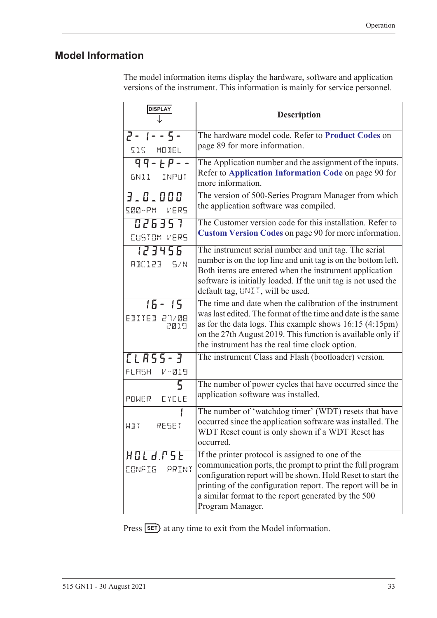# <span id="page-42-1"></span><span id="page-42-0"></span>**Model Information**

The model information items display the hardware, software and application versions of the instrument. This information is mainly for service personnel.

| <b>DISPLAY</b>                     | <b>Description</b>                                                                                                                                                                                                                                                                                                      |  |
|------------------------------------|-------------------------------------------------------------------------------------------------------------------------------------------------------------------------------------------------------------------------------------------------------------------------------------------------------------------------|--|
| $2 - 1 - 5 -$<br>SIS MODEL         | The hardware model code. Refer to Product Codes on<br>page 89 for more information.                                                                                                                                                                                                                                     |  |
| $99 - 9 - -$<br>GN11 INPUT         | The Application number and the assignment of the inputs.<br>Refer to Application Information Code on page 90 for<br>more information.                                                                                                                                                                                   |  |
| $3 - 0 - 000$<br>SØØ-PM VERS       | The version of 500-Series Program Manager from which<br>the application software was compiled.                                                                                                                                                                                                                          |  |
| 026357<br>CUSTOM VERS              | The Customer version code for this installation. Refer to<br>Custom Version Codes on page 90 for more information.                                                                                                                                                                                                      |  |
| 123456<br>RBE123 5/N               | The instrument serial number and unit tag. The serial<br>number is on the top line and unit tag is on the bottom left.<br>Both items are entered when the instrument application<br>software is initially loaded. If the unit tag is not used the<br>default tag, UNIT, will be used.                                   |  |
| $15 - 15$<br>EDITED 27/08<br>2019  | The time and date when the calibration of the instrument<br>was last edited. The format of the time and date is the same<br>as for the data logs. This example shows $16:15$ (4:15pm)<br>on the 27th August 2019. This function is available only if<br>the instrument has the real time clock option.                  |  |
| [LASS-3<br>FLASH V-019             | The instrument Class and Flash (bootloader) version.                                                                                                                                                                                                                                                                    |  |
| 5<br>POWER EYELE                   | The number of power cycles that have occurred since the<br>application software was installed.                                                                                                                                                                                                                          |  |
| WIT<br>RESET                       | The number of 'watchdog timer' (WDT) resets that have<br>occurred since the application software was installed. The<br>WDT Reset count is only shown if a WDT Reset has<br>occurred.                                                                                                                                    |  |
| HOLd.PSE<br><b>CONFIG</b><br>PRINT | If the printer protocol is assigned to one of the<br>communication ports, the prompt to print the full program<br>configuration report will be shown. Hold Reset to start the<br>printing of the configuration report. The report will be in<br>a similar format to the report generated by the 500<br>Program Manager. |  |

Press **SET**) at any time to exit from the Model information.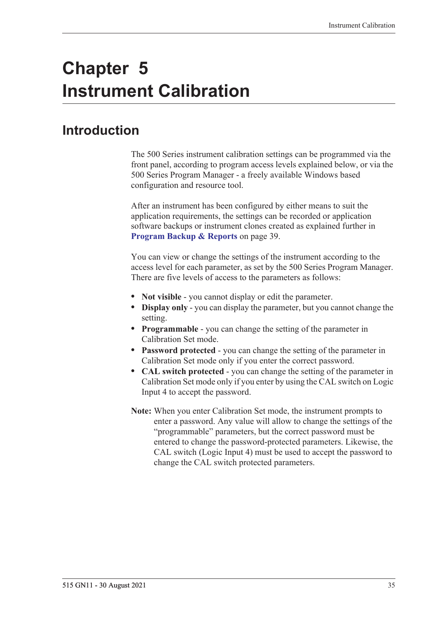# **Chapter 5 Instrument Calibration**

# **Introduction**

The 500 Series instrument calibration settings can be programmed via the front panel, according to program access levels explained below, or via the 500 Series Program Manager - a freely available Windows based configuration and resource tool.

After an instrument has been configured by either means to suit the application requirements, the settings can be recorded or application software backups or instrument clones created as explained further in **[Program Backup & Reports](#page-48-0)** on page 39.

You can view or change the settings of the instrument according to the access level for each parameter, as set by the 500 Series Program Manager. There are five levels of access to the parameters as follows:

- **• Not visible** you cannot display or edit the parameter.
- **• Display only** you can display the parameter, but you cannot change the setting.
- **• Programmable** you can change the setting of the parameter in Calibration Set mode.
- **• Password protected** you can change the setting of the parameter in Calibration Set mode only if you enter the correct password.
- **• CAL switch protected**  you can change the setting of the parameter in Calibration Set mode only if you enter by using the CAL switch on Logic Input 4 to accept the password.
- **Note:** When you enter Calibration Set mode, the instrument prompts to enter a password. Any value will allow to change the settings of the "programmable" parameters, but the correct password must be entered to change the password-protected parameters. Likewise, the CAL switch (Logic Input 4) must be used to accept the password to change the CAL switch protected parameters.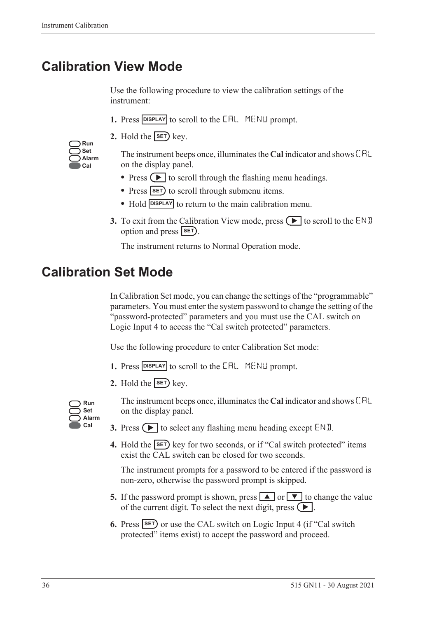# <span id="page-45-0"></span>**Calibration View Mode**

Use the following procedure to view the calibration settings of the instrument:

- 1. Press **DISPLAY** to scroll to the **CAL** MENLI prompt.
- **2.** Hold the  $\overline{\text{SET}}$  key.

| Run   |
|-------|
| Set   |
| Alarm |
| Cal   |

The instrument beeps once, illuminates the **Cal** indicator and shows CAL on the display panel.

- Press  $\left( \triangleright \right)$  to scroll through the flashing menu headings.
- Press **SET**) to scroll through submenu items.
- Hold **DISPLAY** to return to the main calibration menu.
- **3.** To exit from the Calibration View mode, press  $\Box$  to scroll to the END option and press **SET**).

The instrument returns to Normal Operation mode.

# **Calibration Set Mode**

In Calibration Set mode, you can change the settings of the "programmable" parameters. You must enter the system password to change the setting of the "password-protected" parameters and you must use the CAL switch on Logic Input 4 to access the "Cal switch protected" parameters.

Use the following procedure to enter Calibration Set mode:

- **1.** Press **DISPLAY** to scroll to the **CAL** MENLI prompt.
- **2.** Hold the  $\overline{\text{SET}}$  key.



The instrument beeps once, illuminates the **Cal** indicator and shows CAL on the display panel.

- **3.** Press  $\left( \blacktriangleright \right)$  to select any flashing menu heading except END.
- **4.** Hold the **SET** key for two seconds, or if "Cal switch protected" items exist the CAL switch can be closed for two seconds.

The instrument prompts for a password to be entered if the password is non-zero, otherwise the password prompt is skipped.

- **5.** If the password prompt is shown, press  $\boxed{\blacktriangle}$  or  $\boxed{\blacktriangledown}$  to change the value of the current digit. To select the next digit, press  $\left( \blacktriangleright \right)$ .
- **6.** Press **SET** or use the CAL switch on Logic Input 4 (if "Cal switch protected" items exist) to accept the password and proceed.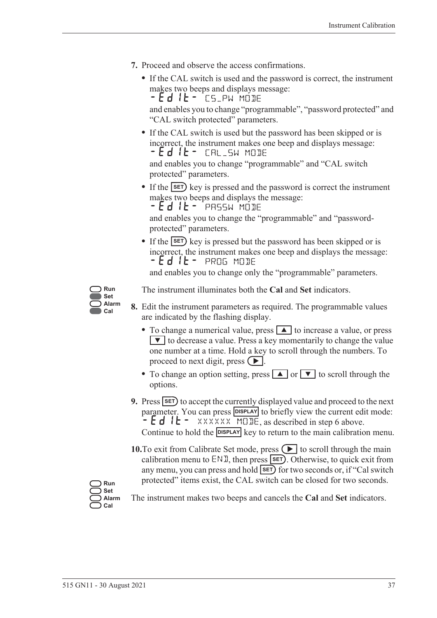- **7.** Proceed and observe the access confirmations.
	- **•** If the CAL switch is used and the password is correct, the instrument makes two beeps and displays message:  $-Ed$  it -  $TS$  pw mode

and enables you to change "programmable", "password protected" and "CAL switch protected" parameters.

**•** If the CAL switch is used but the password has been skipped or is incorrect, the instrument makes one beep and displays message: -EDIT- CAL\_SW MODE

and enables you to change "programmable" and "CAL switch protected" parameters.

• If the **SET**) key is pressed and the password is correct the instrument makes two beeps and displays the message:

 $-Ed$  it - PASSW MODE

and enables you to change the "programmable" and "passwordprotected" parameters.

• If the **SET**) key is pressed but the password has been skipped or is incorrect, the instrument makes one beep and displays the message: -EDIT- PROG MODE

and enables you to change only the "programmable" parameters.



The instrument illuminates both the **Cal** and **Set** indicators.

- **8.** Edit the instrument parameters as required. The programmable values are indicated by the flashing display.
	- To change a numerical value, press **A** to increase a value, or press  $\blacktriangledown$  to decrease a value. Press a key momentarily to change the value one number at a time. Hold a key to scroll through the numbers. To proceed to next digit, press  $( \blacktriangleright ).$
	- To change an option setting, press **A** or **V** to scroll through the options.
- **9.** Press **SET** to accept the currently displayed value and proceed to the next parameter. You can press **DISPLAY** to briefly view the current edit mode:  $\div$  E d I E – XXXXXX MODE, as described in step 6 above. Continue to hold the **DISPLAY** key to return to the main calibration menu.
- **10.**To exit from Calibrate Set mode, press  $\left( \blacktriangleright \right)$  to scroll through the main calibration menu to  $ENI$ , then press  $SET$ . Otherwise, to quick exit from any menu, you can press and hold **SET** for two seconds or, if "Cal switch protected" items exist, the CAL switch can be closed for two seconds.

**Run Set Alarm Cal**

The instrument makes two beeps and cancels the **Cal** and **Set** indicators.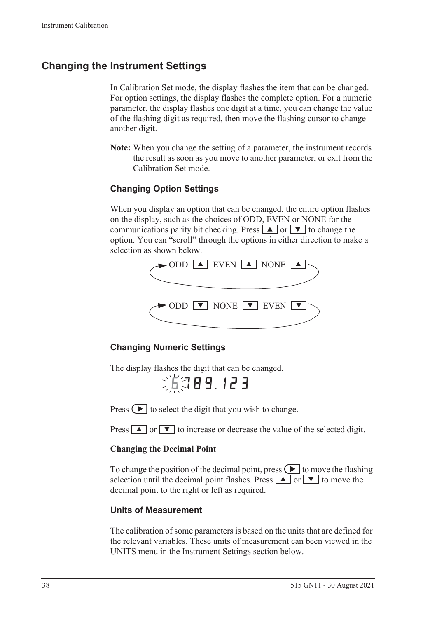## **Changing the Instrument Settings**

In Calibration Set mode, the display flashes the item that can be changed. For option settings, the display flashes the complete option. For a numeric parameter, the display flashes one digit at a time, you can change the value of the flashing digit as required, then move the flashing cursor to change another digit.

**Note:** When you change the setting of a parameter, the instrument records the result as soon as you move to another parameter, or exit from the Calibration Set mode.

### **Changing Option Settings**

When you display an option that can be changed, the entire option flashes on the display, such as the choices of ODD, EVEN or NONE for the communications parity bit checking. Press  $\boxed{\blacktriangle}$  or  $\boxed{\blacktriangledown}$  to change the option. You can "scroll" through the options in either direction to make a selection as shown below.



#### **Changing Numeric Settings**

The display flashes the digit that can be changed.

第第89.123

Press  $\left( \blacktriangleright \right)$  to select the digit that you wish to change.

Press  $\boxed{\blacktriangle}$  or  $\boxed{\blacktriangledown}$  to increase or decrease the value of the selected digit.

#### **Changing the Decimal Point**

To change the position of the decimal point, press  $\Box$  to move the flashing selection until the decimal point flashes. Press  $\boxed{\blacktriangle}$  or  $\boxed{\blacktriangledown}$  to move the decimal point to the right or left as required.

#### **Units of Measurement**

The calibration of some parameters is based on the units that are defined for the relevant variables. These units of measurement can been viewed in the UNITS menu in the Instrument Settings section below.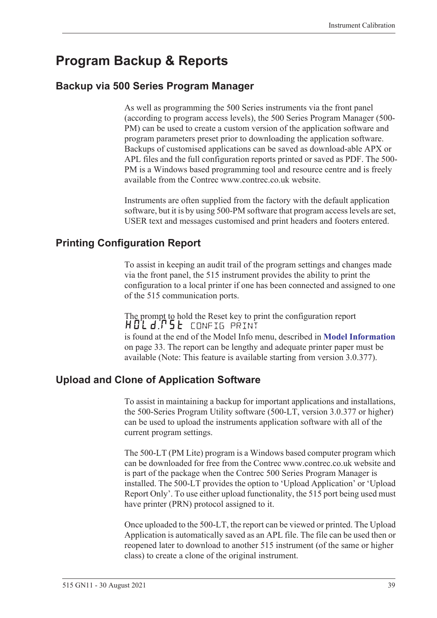# <span id="page-48-0"></span>**Program Backup & Reports**

### **Backup via 500 Series Program Manager**

As well as programming the 500 Series instruments via the front panel (according to program access levels), the 500 Series Program Manager (500- PM) can be used to create a custom version of the application software and program parameters preset prior to downloading the application software. Backups of customised applications can be saved as download-able APX or APL files and the full configuration reports printed or saved as PDF. The 500- PM is a Windows based programming tool and resource centre and is freely available from the Contrec www.contrec.co.uk website.

Instruments are often supplied from the factory with the default application software, but it is by using 500-PM software that program access levels are set, USER text and messages customised and print headers and footers entered.

### **Printing Configuration Report**

To assist in keeping an audit trail of the program settings and changes made via the front panel, the 515 instrument provides the ability to print the configuration to a local printer if one has been connected and assigned to one of the 515 communication ports.

The prompt to hold the Reset key to print the configuration report HOLd:P5E config print is found at the end of the Model Info menu, described in **[Model Information](#page-42-1)** [on page 33](#page-42-1). The report can be lengthy and adequate printer paper must be available (Note: This feature is available starting from version 3.0.377).

### **Upload and Clone of Application Software**

To assist in maintaining a backup for important applications and installations, the 500-Series Program Utility software (500-LT, version 3.0.377 or higher) can be used to upload the instruments application software with all of the current program settings.

The 500-LT (PM Lite) program is a Windows based computer program which can be downloaded for free from the Contrec www.contrec.co.uk website and is part of the package when the Contrec 500 Series Program Manager is installed. The 500-LT provides the option to 'Upload Application' or 'Upload Report Only'. To use either upload functionality, the 515 port being used must have printer (PRN) protocol assigned to it.

Once uploaded to the 500-LT, the report can be viewed or printed. The Upload Application is automatically saved as an APL file. The file can be used then or reopened later to download to another 515 instrument (of the same or higher class) to create a clone of the original instrument.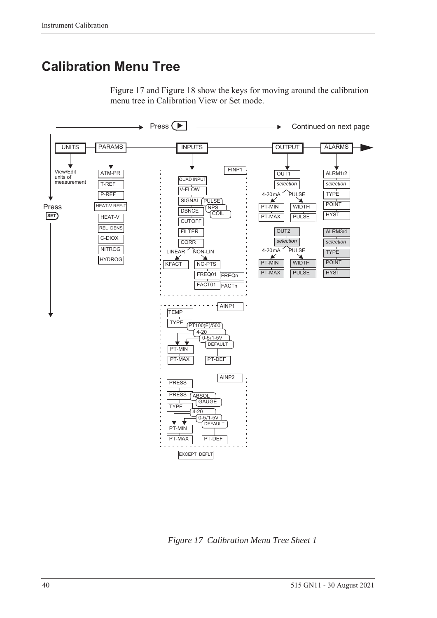# **Calibration Menu Tree**





<span id="page-49-0"></span>*Figure 17 Calibration Menu Tree Sheet 1*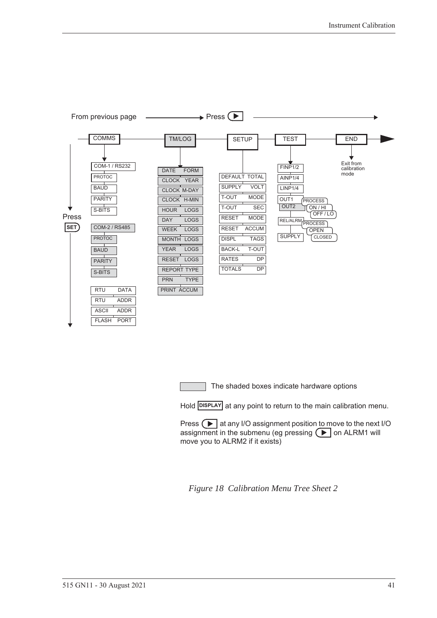

The shaded boxes indicate hardware options

Hold **DISPLAY** at any point to return to the main calibration menu.

Press  $\Box$  at any I/O assignment position to move to the next I/O assignment in the submenu (eg pressing  $\left( \blacktriangleright \right)$  on ALRM1 will move you to ALRM2 if it exists)

<span id="page-50-0"></span>*Figure 18 Calibration Menu Tree Sheet 2*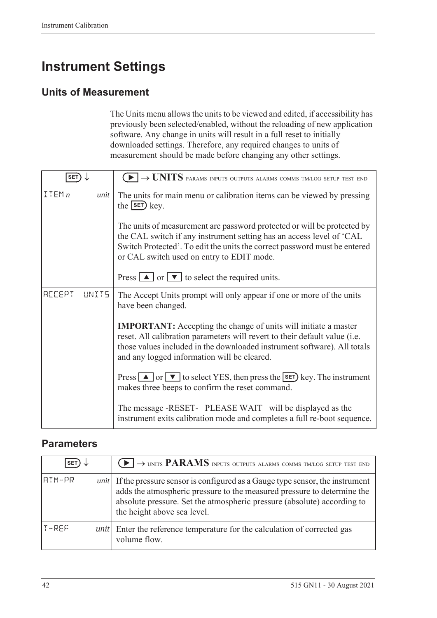# **Instrument Settings**

## **Units of Measurement**

The Units menu allows the units to be viewed and edited, if accessibility has previously been selected/enabled, without the reloading of new application software. Any change in units will result in a full reset to initially downloaded settings. Therefore, any required changes to units of measurement should be made before changing any other settings.

| <b>SET</b>              | $\blacktriangleright$ $\rightarrow$ UNITS params inputs outputs alarms comms tm/log setup test end                                                                                                                                                                              |  |  |
|-------------------------|---------------------------------------------------------------------------------------------------------------------------------------------------------------------------------------------------------------------------------------------------------------------------------|--|--|
| ITEMn<br>unit           | The units for main menu or calibration items can be viewed by pressing<br>the $\left  \text{set} \right $ key.                                                                                                                                                                  |  |  |
|                         | The units of measurement are password protected or will be protected by<br>the CAL switch if any instrument setting has an access level of 'CAL<br>Switch Protected'. To edit the units the correct password must be entered<br>or CAL switch used on entry to EDIT mode.       |  |  |
|                         | Press $\boxed{\blacktriangle}$ or $\boxed{\blacktriangledown}$ to select the required units.                                                                                                                                                                                    |  |  |
| <b>ACCEPT</b><br>LINIT5 | The Accept Units prompt will only appear if one or more of the units<br>have been changed.                                                                                                                                                                                      |  |  |
|                         | <b>IMPORTANT:</b> Accepting the change of units will initiate a master<br>reset. All calibration parameters will revert to their default value (i.e.<br>those values included in the downloaded instrument software). All totals<br>and any logged information will be cleared. |  |  |
|                         | Press $\Box$ or $\nabla$ to select YES, then press the SET key. The instrument<br>makes three beeps to confirm the reset command.                                                                                                                                               |  |  |
|                         | The message -RESET- PLEASE WAIT will be displayed as the<br>instrument exits calibration mode and completes a full re-boot sequence.                                                                                                                                            |  |  |

### **Parameters**

| <b>SET</b> | $\textcolor{blue}{\blacktriangleright} \rightarrow$ units $\textcolor{red}{PARAMS}$ inputs outputs alarms comms tm/log setup test end                                                                                                                                        |
|------------|------------------------------------------------------------------------------------------------------------------------------------------------------------------------------------------------------------------------------------------------------------------------------|
| ATM-PR     | <i>unit</i> If the pressure sensor is configured as a Gauge type sensor, the instrument<br>adds the atmospheric pressure to the measured pressure to determine the<br>absolute pressure. Set the atmospheric pressure (absolute) according to<br>the height above sea level. |
| $T-RFF$    | <i>unit</i> Enter the reference temperature for the calculation of corrected gas<br>volume flow.                                                                                                                                                                             |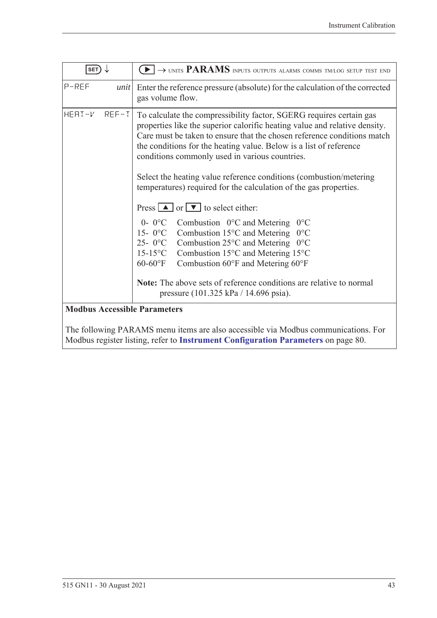| SET)                                | $\blacktriangleright$ $\rightarrow$ units PARAMS inputs outputs alarms comms tm/log setup test end                                                                                                                                                                                                                                                                                                                                                                                                                                          |  |
|-------------------------------------|---------------------------------------------------------------------------------------------------------------------------------------------------------------------------------------------------------------------------------------------------------------------------------------------------------------------------------------------------------------------------------------------------------------------------------------------------------------------------------------------------------------------------------------------|--|
| P-REF<br>unit                       | Enter the reference pressure (absolute) for the calculation of the corrected<br>gas volume flow.                                                                                                                                                                                                                                                                                                                                                                                                                                            |  |
| HERT-V REF-T                        | To calculate the compressibility factor, SGERG requires certain gas<br>properties like the superior calorific heating value and relative density.<br>Care must be taken to ensure that the chosen reference conditions match<br>the conditions for the heating value. Below is a list of reference<br>conditions commonly used in various countries.<br>Select the heating value reference conditions (combustion/metering<br>temperatures) required for the calculation of the gas properties.<br>Press $\Box$ or $\Box$ to select either: |  |
|                                     | $0 - 0$ <sup>o</sup> C Combustion $0$ <sup>o</sup> C and Metering<br>$0^{\circ}$ C<br>15- $0^{\circ}$ C<br>Combustion $15^{\circ}$ C and Metering $0^{\circ}$ C<br>$25 - 0$ °C<br>Combustion $25^{\circ}$ C and Metering $0^{\circ}$ C<br>$15-15$ °C<br>Combustion $15^{\circ}$ C and Metering $15^{\circ}$ C<br>$60-60$ °F<br>Combustion $60^{\circ}$ F and Metering $60^{\circ}$ F<br><b>Note:</b> The above sets of reference conditions are relative to normal<br>pressure (101.325 kPa / 14.696 psia).                                 |  |
| <b>Modbus Accessible Parameters</b> |                                                                                                                                                                                                                                                                                                                                                                                                                                                                                                                                             |  |

The following PARAMS menu items are also accessible via Modbus communications. For Modbus register listing, refer to **[Instrument Configuration Parameters](#page-89-0)** on page 80.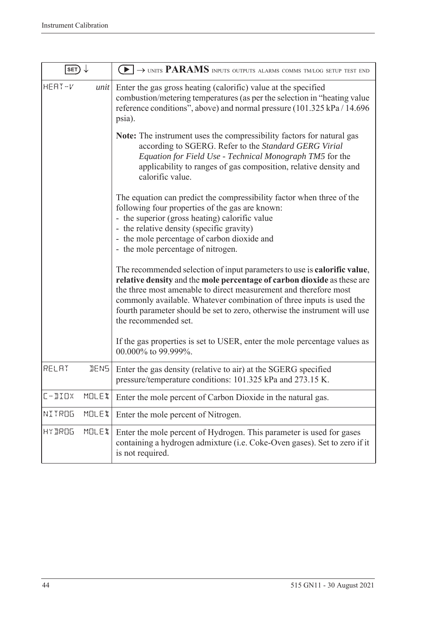| SET)           |             | $\blacktriangleright$ $\rightarrow$ units PARAMS inputs outputs alarms comms tm/log setup test end                                                                                                                                                                                                                                                                                                           |
|----------------|-------------|--------------------------------------------------------------------------------------------------------------------------------------------------------------------------------------------------------------------------------------------------------------------------------------------------------------------------------------------------------------------------------------------------------------|
| HERT-V         | unit        | Enter the gas gross heating (calorific) value at the specified<br>combustion/metering temperatures (as per the selection in "heating value"<br>reference conditions", above) and normal pressure (101.325 kPa / 14.696<br>psia).                                                                                                                                                                             |
|                |             | Note: The instrument uses the compressibility factors for natural gas<br>according to SGERG. Refer to the Standard GERG Virial<br>Equation for Field Use - Technical Monograph TM5 for the<br>applicability to ranges of gas composition, relative density and<br>calorific value.                                                                                                                           |
|                |             | The equation can predict the compressibility factor when three of the<br>following four properties of the gas are known:<br>- the superior (gross heating) calorific value<br>- the relative density (specific gravity)<br>- the mole percentage of carbon dioxide and<br>- the mole percentage of nitrogen.                                                                                                 |
|                |             | The recommended selection of input parameters to use is <b>calorific value</b> ,<br>relative density and the mole percentage of carbon dioxide as these are<br>the three most amenable to direct measurement and therefore most<br>commonly available. Whatever combination of three inputs is used the<br>fourth parameter should be set to zero, otherwise the instrument will use<br>the recommended set. |
|                |             | If the gas properties is set to USER, enter the mole percentage values as<br>00.000% to 99.999%.                                                                                                                                                                                                                                                                                                             |
| RELAT          | <b>JENS</b> | Enter the gas density (relative to air) at the SGERG specified<br>pressure/temperature conditions: 101.325 kPa and 273.15 K.                                                                                                                                                                                                                                                                                 |
| $L - IIOX$     | MOLEX       | Enter the mole percent of Carbon Dioxide in the natural gas.                                                                                                                                                                                                                                                                                                                                                 |
| NITROG         | MOLEX       | Enter the mole percent of Nitrogen.                                                                                                                                                                                                                                                                                                                                                                          |
| <b>HY JROG</b> | MOLEX       | Enter the mole percent of Hydrogen. This parameter is used for gases<br>containing a hydrogen admixture (i.e. Coke-Oven gases). Set to zero if it<br>is not required.                                                                                                                                                                                                                                        |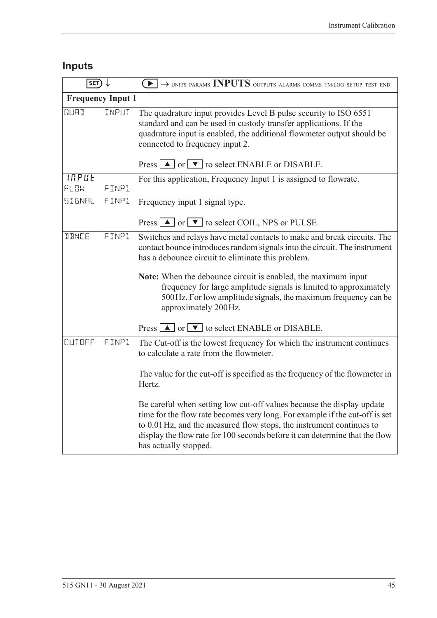# **Inputs**

| SET)          |                          | $\leftarrow$ $\rightarrow$ units params INPUTS outputs alarms comms tm/log setup test end                                                                                                                                                                                                                                                                                                                                                                                                                                                          |  |  |
|---------------|--------------------------|----------------------------------------------------------------------------------------------------------------------------------------------------------------------------------------------------------------------------------------------------------------------------------------------------------------------------------------------------------------------------------------------------------------------------------------------------------------------------------------------------------------------------------------------------|--|--|
|               | <b>Frequency Input 1</b> |                                                                                                                                                                                                                                                                                                                                                                                                                                                                                                                                                    |  |  |
| <b>GURD</b>   | INPUT                    | The quadrature input provides Level B pulse security to ISO 6551<br>standard and can be used in custody transfer applications. If the<br>quadrature input is enabled, the additional flowmeter output should be<br>connected to frequency input 2.<br>Press $\Box$ or $\nabla$ to select ENABLE or DISABLE.                                                                                                                                                                                                                                        |  |  |
|               |                          |                                                                                                                                                                                                                                                                                                                                                                                                                                                                                                                                                    |  |  |
| INPUE<br>FLOW | FINP1                    | For this application, Frequency Input 1 is assigned to flowrate.                                                                                                                                                                                                                                                                                                                                                                                                                                                                                   |  |  |
| <b>SIGNAL</b> | FINP1                    | Frequency input 1 signal type.                                                                                                                                                                                                                                                                                                                                                                                                                                                                                                                     |  |  |
|               |                          | Press $\Box$ or $\nabla$ to select COIL, NPS or PULSE.                                                                                                                                                                                                                                                                                                                                                                                                                                                                                             |  |  |
| <b>JBNCE</b>  | FINP1                    | Switches and relays have metal contacts to make and break circuits. The<br>contact bounce introduces random signals into the circuit. The instrument<br>has a debounce circuit to eliminate this problem.<br>Note: When the debounce circuit is enabled, the maximum input<br>frequency for large amplitude signals is limited to approximately<br>500 Hz. For low amplitude signals, the maximum frequency can be<br>approximately 200Hz.<br>Press $\boxed{\blacktriangle}$ or $\boxed{\blacktriangledown}$ to select ENABLE or DISABLE.          |  |  |
| CUTOFF        | FINP1                    | The Cut-off is the lowest frequency for which the instrument continues<br>to calculate a rate from the flowmeter.<br>The value for the cut-off is specified as the frequency of the flowmeter in<br>Hertz.<br>Be careful when setting low cut-off values because the display update<br>time for the flow rate becomes very long. For example if the cut-off is set<br>to 0.01 Hz, and the measured flow stops, the instrument continues to<br>display the flow rate for 100 seconds before it can determine that the flow<br>has actually stopped. |  |  |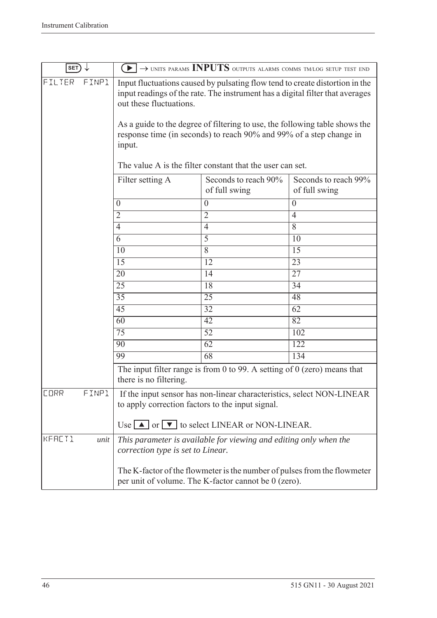| SET)                 |                                                                                                                                  | $\blacktriangleright$ $\rightarrow$ units params INPUTS outputs alarms comms tm/log setup test end                                                                                                                                                                                                                                                                                                          |                                       |  |
|----------------------|----------------------------------------------------------------------------------------------------------------------------------|-------------------------------------------------------------------------------------------------------------------------------------------------------------------------------------------------------------------------------------------------------------------------------------------------------------------------------------------------------------------------------------------------------------|---------------------------------------|--|
| FILTER<br>FINP1      | input.                                                                                                                           | Input fluctuations caused by pulsating flow tend to create distortion in the<br>input readings of the rate. The instrument has a digital filter that averages<br>out these fluctuations.<br>As a guide to the degree of filtering to use, the following table shows the<br>response time (in seconds) to reach 90% and 99% of a step change in<br>The value A is the filter constant that the user can set. |                                       |  |
|                      | Filter setting A                                                                                                                 | Seconds to reach 90%<br>of full swing                                                                                                                                                                                                                                                                                                                                                                       | Seconds to reach 99%<br>of full swing |  |
|                      | $\theta$                                                                                                                         | $\overline{0}$                                                                                                                                                                                                                                                                                                                                                                                              | $\boldsymbol{0}$                      |  |
|                      | $\overline{2}$                                                                                                                   | $\overline{2}$                                                                                                                                                                                                                                                                                                                                                                                              | $\overline{4}$                        |  |
|                      | $\overline{4}$                                                                                                                   | $\overline{4}$                                                                                                                                                                                                                                                                                                                                                                                              | $\overline{8}$                        |  |
|                      | 6                                                                                                                                | $\overline{5}$                                                                                                                                                                                                                                                                                                                                                                                              | 10                                    |  |
|                      | 10                                                                                                                               | 8                                                                                                                                                                                                                                                                                                                                                                                                           | 15                                    |  |
|                      | 15                                                                                                                               | $\overline{12}$                                                                                                                                                                                                                                                                                                                                                                                             | 23                                    |  |
|                      | 20                                                                                                                               | 14                                                                                                                                                                                                                                                                                                                                                                                                          | 27                                    |  |
|                      | $\overline{25}$                                                                                                                  | 18                                                                                                                                                                                                                                                                                                                                                                                                          | 34                                    |  |
|                      | $\overline{35}$                                                                                                                  | $\overline{25}$                                                                                                                                                                                                                                                                                                                                                                                             | 48                                    |  |
|                      | $\overline{45}$                                                                                                                  | $\overline{32}$                                                                                                                                                                                                                                                                                                                                                                                             | 62                                    |  |
|                      | 60                                                                                                                               | 42                                                                                                                                                                                                                                                                                                                                                                                                          | 82                                    |  |
|                      | $\overline{75}$                                                                                                                  | $\overline{52}$                                                                                                                                                                                                                                                                                                                                                                                             | 102                                   |  |
|                      | 90                                                                                                                               | $\overline{62}$                                                                                                                                                                                                                                                                                                                                                                                             | 122                                   |  |
|                      | 99                                                                                                                               | 68                                                                                                                                                                                                                                                                                                                                                                                                          | 134                                   |  |
|                      | there is no filtering.                                                                                                           | The input filter range is from 0 to 99. A setting of $0$ (zero) means that                                                                                                                                                                                                                                                                                                                                  |                                       |  |
| FINP1<br><b>CORR</b> |                                                                                                                                  | If the input sensor has non-linear characteristics, select NON-LINEAR<br>to apply correction factors to the input signal.<br>Use $\Box$ or $\nabla$ to select LINEAR or NON-LINEAR.                                                                                                                                                                                                                         |                                       |  |
| KFRET1               | unit                                                                                                                             | This parameter is available for viewing and editing only when the<br>correction type is set to Linear.                                                                                                                                                                                                                                                                                                      |                                       |  |
|                      | The K-factor of the flowmeter is the number of pulses from the flowmeter<br>per unit of volume. The K-factor cannot be 0 (zero). |                                                                                                                                                                                                                                                                                                                                                                                                             |                                       |  |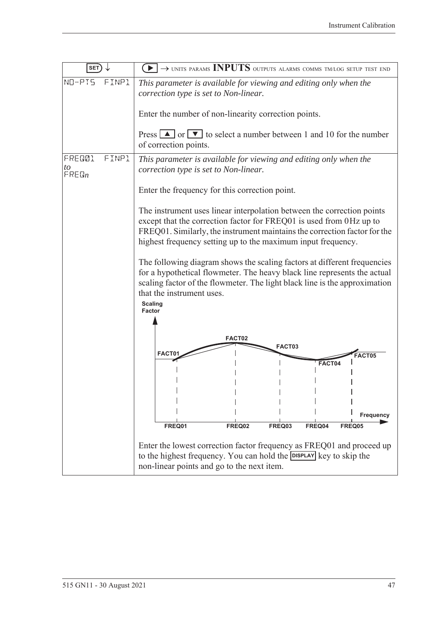| SET)                                          | $\rightarrow$ UNITS PARAMS INPUTS OUTPUTS ALARMS COMMS TM/LOG SETUP TEST END                                                                                                                                                                                                                       |
|-----------------------------------------------|----------------------------------------------------------------------------------------------------------------------------------------------------------------------------------------------------------------------------------------------------------------------------------------------------|
| NO-PIS<br>FINP1                               | This parameter is available for viewing and editing only when the<br>correction type is set to Non-linear.                                                                                                                                                                                         |
|                                               | Enter the number of non-linearity correction points.                                                                                                                                                                                                                                               |
|                                               | Press $\Box$ or $\Box$ to select a number between 1 and 10 for the number<br>of correction points.                                                                                                                                                                                                 |
| FRED01<br>FINP1<br>to<br>$F$ RE $\mathbb{G}n$ | This parameter is available for viewing and editing only when the<br>correction type is set to Non-linear.                                                                                                                                                                                         |
|                                               | Enter the frequency for this correction point.                                                                                                                                                                                                                                                     |
|                                               | The instrument uses linear interpolation between the correction points<br>except that the correction factor for FREQ01 is used from 0Hz up to<br>FREQ01. Similarly, the instrument maintains the correction factor for the<br>highest frequency setting up to the maximum input frequency.         |
|                                               | The following diagram shows the scaling factors at different frequencies<br>for a hypothetical flowmeter. The heavy black line represents the actual<br>scaling factor of the flowmeter. The light black line is the approximation<br>that the instrument uses.<br><b>Scaling</b><br><b>Factor</b> |
|                                               |                                                                                                                                                                                                                                                                                                    |
|                                               | FACT02<br>FACT03                                                                                                                                                                                                                                                                                   |
|                                               | FACT01<br><b>FACT05</b><br>FACT04                                                                                                                                                                                                                                                                  |
|                                               | Frequency                                                                                                                                                                                                                                                                                          |
|                                               | FREQ01<br>FREQ02<br>FREQ03<br>FREQ04<br>FREQ05                                                                                                                                                                                                                                                     |
|                                               | Enter the lowest correction factor frequency as FREQ01 and proceed up<br>to the highest frequency. You can hold the DISPLAY key to skip the<br>non-linear points and go to the next item.                                                                                                          |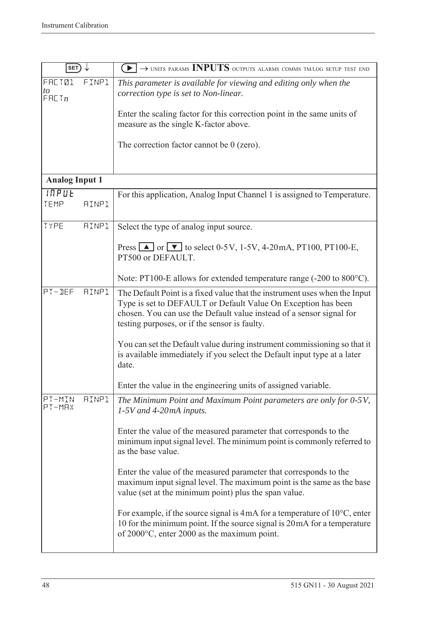| <b>SET</b>                |              | $\blacktriangleright$ $\rightarrow$ units params INPUTS outputs alarms comms tm/log setup test end                                                                                                                                                                   |
|---------------------------|--------------|----------------------------------------------------------------------------------------------------------------------------------------------------------------------------------------------------------------------------------------------------------------------|
| FACT01<br>to<br>F H C T n | FINP1        | This parameter is available for viewing and editing only when the<br>correction type is set to Non-linear.                                                                                                                                                           |
|                           |              | Enter the scaling factor for this correction point in the same units of<br>measure as the single K-factor above.                                                                                                                                                     |
|                           |              | The correction factor cannot be $0$ (zero).                                                                                                                                                                                                                          |
|                           |              |                                                                                                                                                                                                                                                                      |
| <b>Analog Input 1</b>     |              |                                                                                                                                                                                                                                                                      |
| INPUE<br>TEMP             | <b>AINP1</b> | For this application, Analog Input Channel 1 is assigned to Temperature.                                                                                                                                                                                             |
| TYPE                      | <b>AINP1</b> | Select the type of analog input source.                                                                                                                                                                                                                              |
|                           |              | Press $\Box$ or $\Box$ to select 0-5V, 1-5V, 4-20mA, PT100, PT100-E,<br>PT500 or DEFAULT.                                                                                                                                                                            |
|                           |              | Note: PT100-E allows for extended temperature range (-200 to 800°C).                                                                                                                                                                                                 |
| PT-DEF                    | <b>AINP1</b> | The Default Point is a fixed value that the instrument uses when the Input<br>Type is set to DEFAULT or Default Value On Exception has been<br>chosen. You can use the Default value instead of a sensor signal for<br>testing purposes, or if the sensor is faulty. |
|                           |              | You can set the Default value during instrument commissioning so that it<br>is available immediately if you select the Default input type at a later<br>date.                                                                                                        |
|                           |              | Enter the value in the engineering units of assigned variable.                                                                                                                                                                                                       |
| PT-MIN<br>PT-MAX          | <b>AINP1</b> | The Minimum Point and Maximum Point parameters are only for 0-5V,<br>$1-5V$ and 4-20mA inputs.                                                                                                                                                                       |
|                           |              | Enter the value of the measured parameter that corresponds to the<br>minimum input signal level. The minimum point is commonly referred to<br>as the base value.                                                                                                     |
|                           |              | Enter the value of the measured parameter that corresponds to the<br>maximum input signal level. The maximum point is the same as the base<br>value (set at the minimum point) plus the span value.                                                                  |
|                           |              | For example, if the source signal is $4 \text{ mA}$ for a temperature of $10^{\circ}$ C, enter<br>10 for the minimum point. If the source signal is 20 mA for a temperature<br>of $2000^{\circ}$ C, enter 2000 as the maximum point.                                 |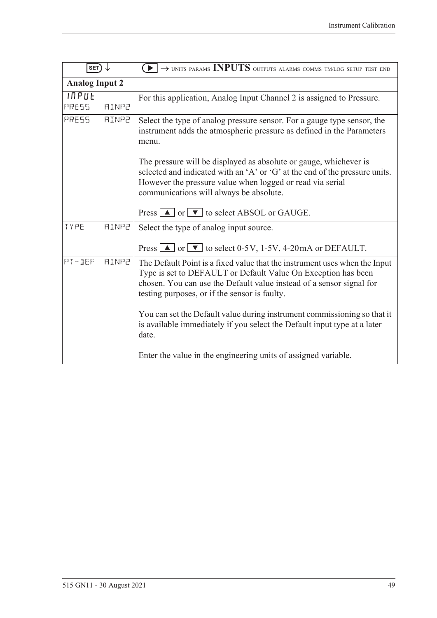| SET)                         |              | $\blacktriangleright$ $\rightarrow$ units params INPUTS outputs alarms comms tm/log setup test end                                                                                                                                                                                                                                                                                                                           |
|------------------------------|--------------|------------------------------------------------------------------------------------------------------------------------------------------------------------------------------------------------------------------------------------------------------------------------------------------------------------------------------------------------------------------------------------------------------------------------------|
| <b>Analog Input 2</b>        |              |                                                                                                                                                                                                                                                                                                                                                                                                                              |
| <b>INPUE</b><br><b>PRESS</b> | <b>AINP2</b> | For this application, Analog Input Channel 2 is assigned to Pressure.                                                                                                                                                                                                                                                                                                                                                        |
| PRESS                        | <b>AINP2</b> | Select the type of analog pressure sensor. For a gauge type sensor, the<br>instrument adds the atmospheric pressure as defined in the Parameters<br>menu.                                                                                                                                                                                                                                                                    |
|                              |              | The pressure will be displayed as absolute or gauge, whichever is<br>selected and indicated with an 'A' or 'G' at the end of the pressure units.<br>However the pressure value when logged or read via serial<br>communications will always be absolute.                                                                                                                                                                     |
|                              |              | Press $\boxed{\blacktriangle}$ or $\boxed{\blacktriangledown}$ to select ABSOL or GAUGE.                                                                                                                                                                                                                                                                                                                                     |
| TYPE                         | <b>AINP2</b> | Select the type of analog input source.<br>Press $\Box$ or $\Box$ to select 0-5V, 1-5V, 4-20mA or DEFAULT.                                                                                                                                                                                                                                                                                                                   |
| PT-DEF                       | <b>AINP2</b> | The Default Point is a fixed value that the instrument uses when the Input<br>Type is set to DEFAULT or Default Value On Exception has been<br>chosen. You can use the Default value instead of a sensor signal for<br>testing purposes, or if the sensor is faulty.<br>You can set the Default value during instrument commissioning so that it<br>is available immediately if you select the Default input type at a later |
|                              |              | date.<br>Enter the value in the engineering units of assigned variable.                                                                                                                                                                                                                                                                                                                                                      |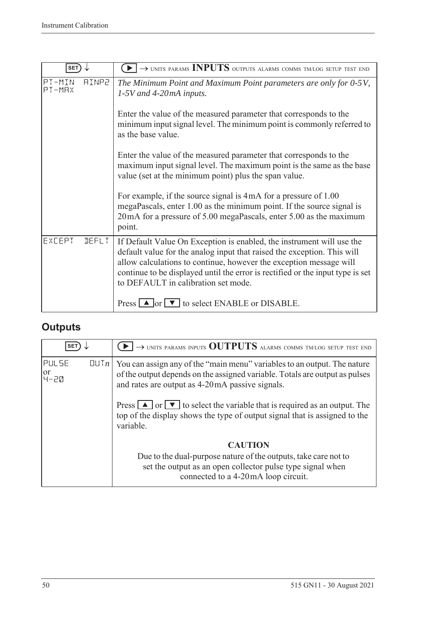| <b>SET</b>                       | $\blacktriangleright$ $\rightarrow$ units params INPUTS outputs alarms comms tm/log setup test end                                                                                                                                                                                                                                              |
|----------------------------------|-------------------------------------------------------------------------------------------------------------------------------------------------------------------------------------------------------------------------------------------------------------------------------------------------------------------------------------------------|
| PT-MIN<br><b>AINP2</b><br>PT-MAX | The Minimum Point and Maximum Point parameters are only for 0-5V,<br>$1-5V$ and 4-20mA inputs.                                                                                                                                                                                                                                                  |
|                                  | Enter the value of the measured parameter that corresponds to the<br>minimum input signal level. The minimum point is commonly referred to<br>as the base value.                                                                                                                                                                                |
|                                  | Enter the value of the measured parameter that corresponds to the<br>maximum input signal level. The maximum point is the same as the base<br>value (set at the minimum point) plus the span value.                                                                                                                                             |
|                                  | For example, if the source signal is 4mA for a pressure of 1.00<br>megaPascals, enter 1.00 as the minimum point. If the source signal is<br>20 mA for a pressure of 5.00 megaPascals, enter 5.00 as the maximum<br>point.                                                                                                                       |
| EXCEPT<br><b>DEFLT</b>           | If Default Value On Exception is enabled, the instrument will use the<br>default value for the analog input that raised the exception. This will<br>allow calculations to continue, however the exception message will<br>continue to be displayed until the error is rectified or the input type is set<br>to DEFAULT in calibration set mode. |
|                                  | Press $\Box$ or $\nabla$ to select ENABLE or DISABLE.                                                                                                                                                                                                                                                                                           |

# **Outputs**

| <b>SET</b>                                    | $\rightarrow$ units params inputs OUTPUTS alarms comms tm/log setup test end                                                                                                                                |
|-----------------------------------------------|-------------------------------------------------------------------------------------------------------------------------------------------------------------------------------------------------------------|
| <b>PULSE</b><br>$[[] \cup [n]$<br>or<br> 4-근M | You can assign any of the "main menu" variables to an output. The nature<br>of the output depends on the assigned variable. Totals are output as pulses<br>and rates are output as 4-20 mA passive signals. |
|                                               | Press $\Box$ or $\nabla$ to select the variable that is required as an output. The<br>top of the display shows the type of output signal that is assigned to the<br>variable.                               |
|                                               | <b>CAUTION</b><br>Due to the dual-purpose nature of the outputs, take care not to<br>set the output as an open collector pulse type signal when<br>connected to a 4-20mA loop circuit.                      |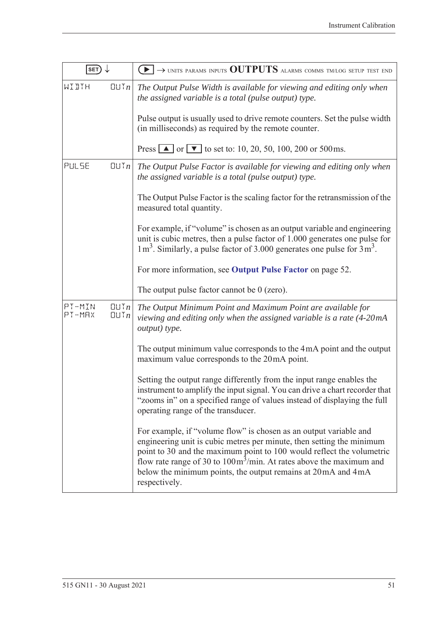| SET)             |              | $\blacktriangleright$ $\rightarrow$ units params inputs <b>OUTPUTS</b> alarms comms tm/log setup test end                                                                                                                                                                                                                                                                                     |
|------------------|--------------|-----------------------------------------------------------------------------------------------------------------------------------------------------------------------------------------------------------------------------------------------------------------------------------------------------------------------------------------------------------------------------------------------|
| WIJTH            | QUTn         | The Output Pulse Width is available for viewing and editing only when<br>the assigned variable is a total (pulse output) type.                                                                                                                                                                                                                                                                |
|                  |              | Pulse output is usually used to drive remote counters. Set the pulse width<br>(in milliseconds) as required by the remote counter.                                                                                                                                                                                                                                                            |
|                  |              | Press $\boxed{\triangle}$ or $\boxed{\triangledown}$ to set to: 10, 20, 50, 100, 200 or 500 ms.                                                                                                                                                                                                                                                                                               |
| PULSE            | QUTn         | The Output Pulse Factor is available for viewing and editing only when<br>the assigned variable is a total (pulse output) type.                                                                                                                                                                                                                                                               |
|                  |              | The Output Pulse Factor is the scaling factor for the retransmission of the<br>measured total quantity.                                                                                                                                                                                                                                                                                       |
|                  |              | For example, if "volume" is chosen as an output variable and engineering<br>unit is cubic metres, then a pulse factor of 1.000 generates one pulse for<br>$1 m3$ . Similarly, a pulse factor of 3.000 generates one pulse for $3 m3$ .                                                                                                                                                        |
|                  |              | For more information, see Output Pulse Factor on page 52.                                                                                                                                                                                                                                                                                                                                     |
|                  |              | The output pulse factor cannot be $0$ (zero).                                                                                                                                                                                                                                                                                                                                                 |
| PT-MIN<br>PT-MRX | QUTn<br>QUTn | The Output Minimum Point and Maximum Point are available for<br>viewing and editing only when the assigned variable is a rate (4-20mA<br>output) type.                                                                                                                                                                                                                                        |
|                  |              | The output minimum value corresponds to the 4mA point and the output<br>maximum value corresponds to the 20mA point.                                                                                                                                                                                                                                                                          |
|                  |              | Setting the output range differently from the input range enables the<br>instrument to amplify the input signal. You can drive a chart recorder that<br>"zooms in" on a specified range of values instead of displaying the full<br>operating range of the transducer.                                                                                                                        |
|                  |              | For example, if "volume flow" is chosen as an output variable and<br>engineering unit is cubic metres per minute, then setting the minimum<br>point to 30 and the maximum point to 100 would reflect the volumetric<br>flow rate range of 30 to $100 \text{m}^3/\text{min}$ . At rates above the maximum and<br>below the minimum points, the output remains at 20mA and 4mA<br>respectively. |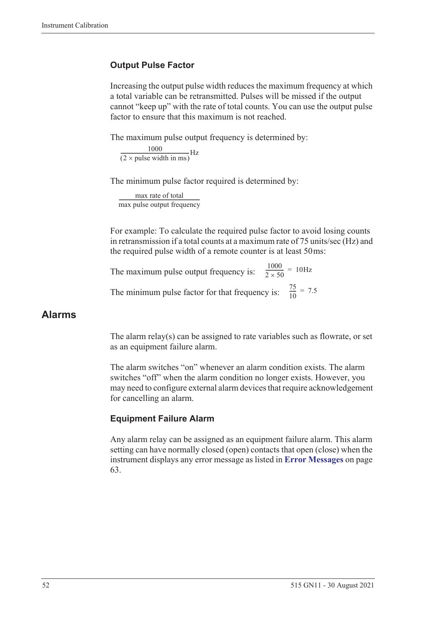#### <span id="page-61-0"></span>**Output Pulse Factor**

Increasing the output pulse width reduces the maximum frequency at which a total variable can be retransmitted. Pulses will be missed if the output cannot "keep up" with the rate of total counts. You can use the output pulse factor to ensure that this maximum is not reached.

The maximum pulse output frequency is determined by:

 $\frac{1000}{(2 \times \text{pulse width in ms})} \text{Hz}$ 

The minimum pulse factor required is determined by:

max rate of total max pulse output frequency ------------------------------------------------------------------

For example: To calculate the required pulse factor to avoid losing counts in retransmission if a total counts at a maximum rate of 75 units/sec (Hz) and the required pulse width of a remote counter is at least 50 ms:

The maximum pulse output frequency is:  $\frac{1000}{2 \times 50}$  = 10Hz The minimum pulse factor for that frequency is:  $\frac{75}{10}$  $\frac{73}{10}$  = 7.5

#### **Alarms**

The alarm relay(s) can be assigned to rate variables such as flowrate, or set as an equipment failure alarm.

The alarm switches "on" whenever an alarm condition exists. The alarm switches "off" when the alarm condition no longer exists. However, you may need to configure external alarm devices that require acknowledgement for cancelling an alarm.

#### **Equipment Failure Alarm**

Any alarm relay can be assigned as an equipment failure alarm. This alarm setting can have normally closed (open) contacts that open (close) when the instrument displays any error message as listed in **[Error Messages](#page-72-0)** on page [63](#page-72-0).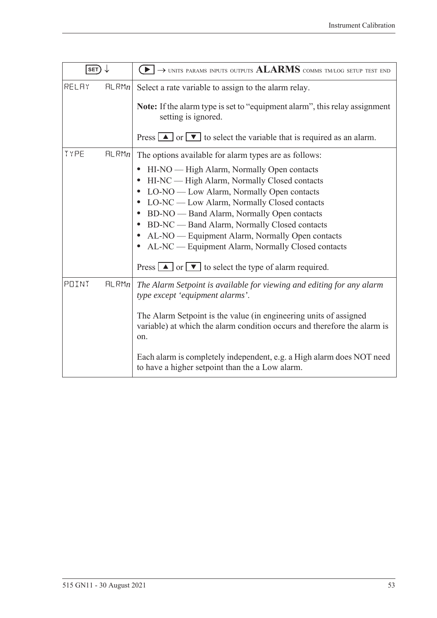| SET)  |       | $\rightarrow$ units params inputs outputs $ALARMS$ comms tm/log setup test end                                                                                                                                                                                                                                                                                                                                                                                                                                                                                                         |
|-------|-------|----------------------------------------------------------------------------------------------------------------------------------------------------------------------------------------------------------------------------------------------------------------------------------------------------------------------------------------------------------------------------------------------------------------------------------------------------------------------------------------------------------------------------------------------------------------------------------------|
| RELAY | HLRMn | Select a rate variable to assign to the alarm relay.<br>Note: If the alarm type is set to "equipment alarm", this relay assignment<br>setting is ignored.                                                                                                                                                                                                                                                                                                                                                                                                                              |
|       |       | Press $\Box$ or $\nabla$ to select the variable that is required as an alarm.                                                                                                                                                                                                                                                                                                                                                                                                                                                                                                          |
| TYPE  | HLRMn | The options available for alarm types are as follows:<br>HI-NO - High Alarm, Normally Open contacts<br>$\bullet$<br>HI-NC — High Alarm, Normally Closed contacts<br>$\bullet$<br>LO-NO — Low Alarm, Normally Open contacts<br>$\bullet$<br>LO-NC — Low Alarm, Normally Closed contacts<br>BD-NO — Band Alarm, Normally Open contacts<br>$\bullet$<br>BD-NC - Band Alarm, Normally Closed contacts<br>$\bullet$<br>AL-NO — Equipment Alarm, Normally Open contacts<br>AL-NC — Equipment Alarm, Normally Closed contacts<br>Press $\Box$ or $\Box$ to select the type of alarm required. |
| POINT | HLRMn | The Alarm Setpoint is available for viewing and editing for any alarm<br>type except 'equipment alarms'.<br>The Alarm Setpoint is the value (in engineering units of assigned<br>variable) at which the alarm condition occurs and therefore the alarm is<br>on.<br>Each alarm is completely independent, e.g. a High alarm does NOT need<br>to have a higher setpoint than the a Low alarm.                                                                                                                                                                                           |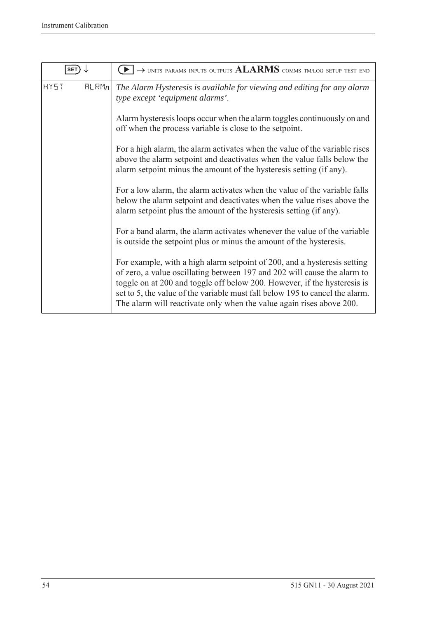| SET                  | $\rightarrow$ units params inputs outputs $ALARMS$ comms tm/log setup test end                                                                                                                                                                                                                                                                                                           |
|----------------------|------------------------------------------------------------------------------------------------------------------------------------------------------------------------------------------------------------------------------------------------------------------------------------------------------------------------------------------------------------------------------------------|
| <b>HY5T</b><br>FLRMn | The Alarm Hysteresis is available for viewing and editing for any alarm<br>type except 'equipment alarms'.                                                                                                                                                                                                                                                                               |
|                      | Alarm hysteresis loops occur when the alarm toggles continuously on and<br>off when the process variable is close to the setpoint.                                                                                                                                                                                                                                                       |
|                      | For a high alarm, the alarm activates when the value of the variable rises<br>above the alarm setpoint and deactivates when the value falls below the<br>alarm setpoint minus the amount of the hysteresis setting (if any).                                                                                                                                                             |
|                      | For a low alarm, the alarm activates when the value of the variable falls<br>below the alarm setpoint and deactivates when the value rises above the<br>alarm setpoint plus the amount of the hysteresis setting (if any).                                                                                                                                                               |
|                      | For a band alarm, the alarm activates whenever the value of the variable<br>is outside the setpoint plus or minus the amount of the hysteresis.                                                                                                                                                                                                                                          |
|                      | For example, with a high alarm setpoint of 200, and a hysteresis setting<br>of zero, a value oscillating between 197 and 202 will cause the alarm to<br>toggle on at 200 and toggle off below 200. However, if the hysteresis is<br>set to 5, the value of the variable must fall below 195 to cancel the alarm.<br>The alarm will reactivate only when the value again rises above 200. |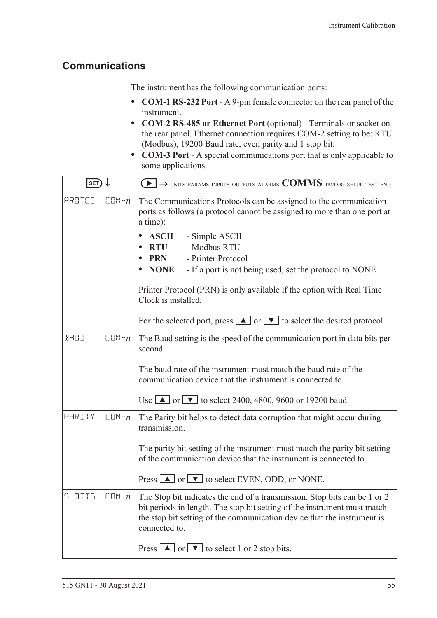### **Communications**

The instrument has the following communication ports:

- **• COM-1 RS-232 Port** A 9-pin female connector on the rear panel of the instrument.
- **• COM-2 RS-485 or Ethernet Port** (optional) Terminals or socket on the rear panel. Ethernet connection requires COM-2 setting to be: RTU (Modbus), 19200 Baud rate, even parity and 1 stop bit.
- **• COM-3 Port** A special communications port that is only applicable to some applications.

| $\ket{\texttt{SET}} \downarrow$ |           | $\textcolor{blue}{\blacktriangleright} \rightarrow$ units params inputs outputs alarms $\textcolor{blue}{\mathbf{COMMS}}$ tmlog setup test end                                                                                                    |
|---------------------------------|-----------|---------------------------------------------------------------------------------------------------------------------------------------------------------------------------------------------------------------------------------------------------|
| PROTOC                          | $CDM - n$ | The Communications Protocols can be assigned to the communication<br>ports as follows (a protocol cannot be assigned to more than one port at<br>a time):                                                                                         |
|                                 |           | <b>ASCII</b><br>- Simple ASCII<br>- Modbus RTU<br><b>RTU</b>                                                                                                                                                                                      |
|                                 |           | - Printer Protocol<br><b>PRN</b>                                                                                                                                                                                                                  |
|                                 |           | <b>NONE</b><br>- If a port is not being used, set the protocol to NONE.                                                                                                                                                                           |
|                                 |           | Printer Protocol (PRN) is only available if the option with Real Time<br>Clock is installed.                                                                                                                                                      |
|                                 |           | For the selected port, press $\boxed{\blacktriangle}$ or $\boxed{\blacktriangledown}$ to select the desired protocol.                                                                                                                             |
| <b>BRUD</b>                     | $CDM - n$ | The Baud setting is the speed of the communication port in data bits per<br>second.                                                                                                                                                               |
|                                 |           | The baud rate of the instrument must match the baud rate of the<br>communication device that the instrument is connected to.                                                                                                                      |
|                                 |           | Use $\blacksquare$ or $\blacksquare$ to select 2400, 4800, 9600 or 19200 baud.                                                                                                                                                                    |
| PARITY                          | $CDM - n$ | The Parity bit helps to detect data corruption that might occur during<br>transmission.                                                                                                                                                           |
|                                 |           | The parity bit setting of the instrument must match the parity bit setting<br>of the communication device that the instrument is connected to.                                                                                                    |
|                                 |           | Press $\Box$ or $\nabla$ to select EVEN, ODD, or NONE.                                                                                                                                                                                            |
| $5 - B1T5$                      | $CDM - n$ | The Stop bit indicates the end of a transmission. Stop bits can be 1 or 2<br>bit periods in length. The stop bit setting of the instrument must match<br>the stop bit setting of the communication device that the instrument is<br>connected to. |
|                                 |           | Press $\boxed{\blacktriangle}$ or $\boxed{\blacktriangledown}$ to select 1 or 2 stop bits.                                                                                                                                                        |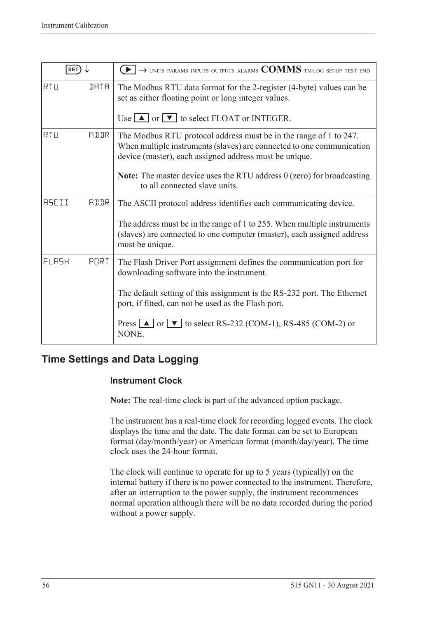| SET)         |             | $\rightarrow$ units params inputs outputs alarms $\text{COMMS}$ tm/log setup test end                                                                                                                |
|--------------|-------------|------------------------------------------------------------------------------------------------------------------------------------------------------------------------------------------------------|
| RTU          | <b>IRTR</b> | The Modbus RTU data format for the 2-register (4-byte) values can be<br>set as either floating point or long integer values.                                                                         |
|              |             | Use $\Box$ or $\nabla$ to select FLOAT or INTEGER.                                                                                                                                                   |
| RTU          | AIIR        | The Modbus RTU protocol address must be in the range of 1 to 247.<br>When multiple instruments (slaves) are connected to one communication<br>device (master), each assigned address must be unique. |
|              |             | <b>Note:</b> The master device uses the RTU address $0$ (zero) for broadcasting<br>to all connected slave units.                                                                                     |
| <b>RSCII</b> | <b>ATTR</b> | The ASCII protocol address identifies each communicating device.                                                                                                                                     |
|              |             | The address must be in the range of 1 to 255. When multiple instruments<br>(slaves) are connected to one computer (master), each assigned address<br>must be unique.                                 |
| FLASH        | PORT        | The Flash Driver Port assignment defines the communication port for<br>downloading software into the instrument.                                                                                     |
|              |             | The default setting of this assignment is the RS-232 port. The Ethernet<br>port, if fitted, can not be used as the Flash port.                                                                       |
|              |             | Press $\Box$ or $\nabla$ to select RS-232 (COM-1), RS-485 (COM-2) or<br>NONE.                                                                                                                        |

## **Time Settings and Data Logging**

#### **Instrument Clock**

**Note:** The real-time clock is part of the advanced option package.

The instrument has a real-time clock for recording logged events. The clock displays the time and the date. The date format can be set to European format (day/month/year) or American format (month/day/year). The time clock uses the 24-hour format.

The clock will continue to operate for up to 5 years (typically) on the internal battery if there is no power connected to the instrument. Therefore, after an interruption to the power supply, the instrument recommences normal operation although there will be no data recorded during the period without a power supply.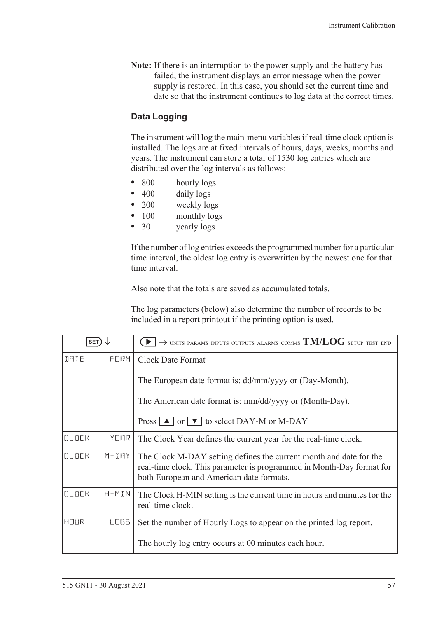**Note:** If there is an interruption to the power supply and the battery has failed, the instrument displays an error message when the power supply is restored. In this case, you should set the current time and date so that the instrument continues to log data at the correct times.

#### **Data Logging**

The instrument will log the main-menu variables if real-time clock option is installed. The logs are at fixed intervals of hours, days, weeks, months and years. The instrument can store a total of 1530 log entries which are distributed over the log intervals as follows:

- **•** 800 hourly logs
- 400 daily logs
- **•** 200 weekly logs
- 100 monthly logs
- **•** 30 yearly logs

If the number of log entries exceeds the programmed number for a particular time interval, the oldest log entry is overwritten by the newest one for that time interval.

Also note that the totals are saved as accumulated totals.

The log parameters (below) also determine the number of records to be included in a report printout if the printing option is used.

| <b>SET</b>   |           | $\rightarrow$ units params inputs outputs alarms comms $\text{TM/LOG}$ setup test end                                                                                                   |
|--------------|-----------|-----------------------------------------------------------------------------------------------------------------------------------------------------------------------------------------|
| <b>JRTE</b>  | FORM      | <b>Clock Date Format</b>                                                                                                                                                                |
|              |           | The European date format is: dd/mm/yyyy or (Day-Month).                                                                                                                                 |
|              |           | The American date format is: mm/dd/yyyy or (Month-Day).                                                                                                                                 |
|              |           | Press $\boxed{\blacktriangle}$ or $\boxed{\blacktriangledown}$ to select DAY-M or M-DAY                                                                                                 |
| <b>CLOCK</b> | YEAR      | The Clock Year defines the current year for the real-time clock.                                                                                                                        |
| <b>CLOCK</b> | $M - JHY$ | The Clock M-DAY setting defines the current month and date for the<br>real-time clock. This parameter is programmed in Month-Day format for<br>both European and American date formats. |
| <b>CLOCK</b> | H-MIN     | The Clock H-MIN setting is the current time in hours and minutes for the<br>real-time clock.                                                                                            |
| HOUR         | LOGS.     | Set the number of Hourly Logs to appear on the printed log report.                                                                                                                      |
|              |           | The hourly log entry occurs at 00 minutes each hour.                                                                                                                                    |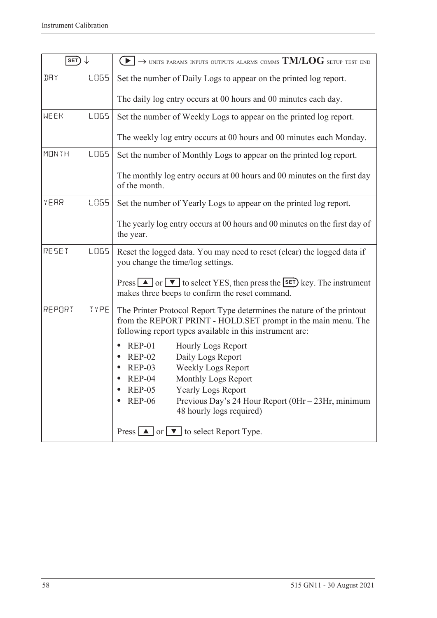| SET) $\downarrow$ |             | $\rightarrow$ units params inputs outputs alarms comms $TM/LOG$ setup test end<br>$\blacktriangleright$                                                                                                                                                                                                                            |
|-------------------|-------------|------------------------------------------------------------------------------------------------------------------------------------------------------------------------------------------------------------------------------------------------------------------------------------------------------------------------------------|
| <b>IRY</b>        | <b>LOGS</b> | Set the number of Daily Logs to appear on the printed log report.                                                                                                                                                                                                                                                                  |
|                   |             | The daily log entry occurs at 00 hours and 00 minutes each day.                                                                                                                                                                                                                                                                    |
| MEEK              | <b>LOGS</b> | Set the number of Weekly Logs to appear on the printed log report.                                                                                                                                                                                                                                                                 |
|                   |             | The weekly log entry occurs at 00 hours and 00 minutes each Monday.                                                                                                                                                                                                                                                                |
| <b>MONTH</b>      | <b>LOGS</b> | Set the number of Monthly Logs to appear on the printed log report.                                                                                                                                                                                                                                                                |
|                   |             | The monthly log entry occurs at 00 hours and 00 minutes on the first day<br>of the month.                                                                                                                                                                                                                                          |
| YEAR              | <b>LOGS</b> | Set the number of Yearly Logs to appear on the printed log report.                                                                                                                                                                                                                                                                 |
|                   |             | The yearly log entry occurs at 00 hours and 00 minutes on the first day of<br>the year.                                                                                                                                                                                                                                            |
| RESET             | <b>LOGS</b> | Reset the logged data. You may need to reset (clear) the logged data if<br>you change the time/log settings.                                                                                                                                                                                                                       |
|                   |             | Press $\Box$ or $\nabla$ to select YES, then press the <b>SET</b> ) key. The instrument<br>makes three beeps to confirm the reset command.                                                                                                                                                                                         |
| REPORT            | TYPE        | The Printer Protocol Report Type determines the nature of the printout<br>from the REPORT PRINT - HOLD.SET prompt in the main menu. The<br>following report types available in this instrument are:                                                                                                                                |
|                   |             | <b>REP-01</b><br>Hourly Logs Report<br>Daily Logs Report<br>$REP-02$<br><b>REP-03</b><br><b>Weekly Logs Report</b><br><b>REP-04</b><br>Monthly Logs Report<br><b>REP-05</b><br><b>Yearly Logs Report</b><br>$\bullet$<br><b>REP-06</b><br>Previous Day's 24 Hour Report $(0Hr - 23Hr, \text{minimum})$<br>48 hourly logs required) |
|                   |             | Press $\boxed{\blacktriangle}$ or $\boxed{\blacktriangledown}$ to select Report Type.                                                                                                                                                                                                                                              |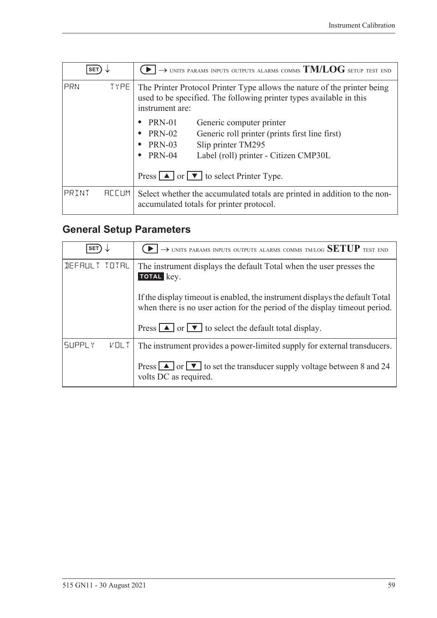| <b>SET</b> |                   | $\rightarrow$ units params inputs outputs alarms comms $\mathrm{TM/LOG}$ setup test end                                                                            |
|------------|-------------------|--------------------------------------------------------------------------------------------------------------------------------------------------------------------|
| PRN        | TYPE <sup>1</sup> | The Printer Protocol Printer Type allows the nature of the printer being<br>used to be specified. The following printer types available in this<br>instrument are: |
|            |                   | <b>PRN-01</b><br>Generic computer printer                                                                                                                          |
|            |                   | <b>PRN-02</b><br>Generic roll printer (prints first line first)                                                                                                    |
|            |                   | Slip printer TM295<br><b>PRN-03</b><br>$\bullet$                                                                                                                   |
|            |                   | <b>PRN-04</b><br>Label (roll) printer - Citizen CMP30L<br>٠                                                                                                        |
|            |                   | Press $\boxed{\blacktriangle}$ or $\boxed{\blacktriangledown}$ to select Printer Type.                                                                             |
| PRINT      | <b>REEUM</b>      | Select whether the accumulated totals are printed in addition to the non-<br>accumulated totals for printer protocol.                                              |

# <span id="page-68-0"></span>**General Setup Parameters**

| <b>SET</b>                   | $\rightarrow$ UNITS PARAMS INPUTS OUTPUTS ALARMS COMMS TM/LOG SETUP TEST END                                                                                 |
|------------------------------|--------------------------------------------------------------------------------------------------------------------------------------------------------------|
| DEFAULT TOTAL                | The instrument displays the default Total when the user presses the<br>TOTAL key.                                                                            |
|                              | If the display time out is enabled, the instrument displays the default Total<br>when there is no user action for the period of the display time out period. |
|                              | Press $\Box$ or $\Box$ to select the default total display.                                                                                                  |
| <b>SUPPLY</b><br><b>VOLT</b> | The instrument provides a power-limited supply for external transducers.                                                                                     |
|                              | Press $\boxed{\blacktriangle}$ or $\boxed{\blacktriangledown}$ to set the transducer supply voltage between 8 and 24<br>volts DC as required.                |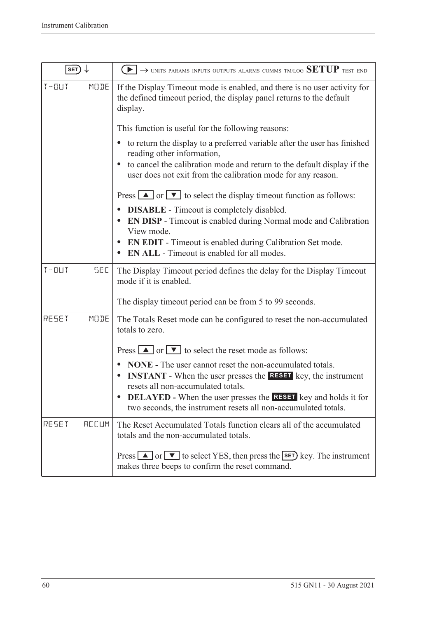| SET)                    | $\rightarrow$ units params inputs outputs alarms comms tm/log SETUP test end                                                                                                                                                                                                                                                                              |
|-------------------------|-----------------------------------------------------------------------------------------------------------------------------------------------------------------------------------------------------------------------------------------------------------------------------------------------------------------------------------------------------------|
| $T - 11T$<br>MODE       | If the Display Timeout mode is enabled, and there is no user activity for<br>the defined timeout period, the display panel returns to the default<br>display.                                                                                                                                                                                             |
|                         | This function is useful for the following reasons:                                                                                                                                                                                                                                                                                                        |
|                         | to return the display to a preferred variable after the user has finished<br>$\bullet$<br>reading other information,                                                                                                                                                                                                                                      |
|                         | to cancel the calibration mode and return to the default display if the<br>$\bullet$<br>user does not exit from the calibration mode for any reason.                                                                                                                                                                                                      |
|                         | Press $\boxed{\blacktriangle}$ or $\boxed{\blacktriangledown}$ to select the display timeout function as follows:                                                                                                                                                                                                                                         |
|                         | <b>DISABLE</b> - Timeout is completely disabled.<br>$\bullet$<br><b>EN DISP</b> - Timeout is enabled during Normal mode and Calibration<br>$\bullet$<br>View mode.                                                                                                                                                                                        |
|                         | EN EDIT - Timeout is enabled during Calibration Set mode.<br>$\bullet$<br><b>EN ALL</b> - Timeout is enabled for all modes.<br>$\bullet$                                                                                                                                                                                                                  |
| $T - 11T$<br><b>SEC</b> | The Display Timeout period defines the delay for the Display Timeout<br>mode if it is enabled.                                                                                                                                                                                                                                                            |
|                         | The display timeout period can be from 5 to 99 seconds.                                                                                                                                                                                                                                                                                                   |
| RESET<br>MODE           | The Totals Reset mode can be configured to reset the non-accumulated<br>totals to zero.                                                                                                                                                                                                                                                                   |
|                         | Press $\boxed{\blacktriangle}$ or $\boxed{\blacktriangledown}$ to select the reset mode as follows:                                                                                                                                                                                                                                                       |
|                         | NONE - The user cannot reset the non-accumulated totals.<br>$\bullet$<br><b>INSTANT</b> - When the user presses the <b>RESET</b> key, the instrument<br>$\bullet$<br>resets all non-accumulated totals.<br><b>DELAYED</b> - When the user presses the <b>RESET</b> key and holds it for<br>two seconds, the instrument resets all non-accumulated totals. |
| <b>REEUM</b>            |                                                                                                                                                                                                                                                                                                                                                           |
| RESET                   | The Reset Accumulated Totals function clears all of the accumulated<br>totals and the non-accumulated totals.                                                                                                                                                                                                                                             |
|                         | Press $\Box$ or $\nabla$ to select YES, then press the <b>SET</b> ) key. The instrument<br>makes three beeps to confirm the reset command.                                                                                                                                                                                                                |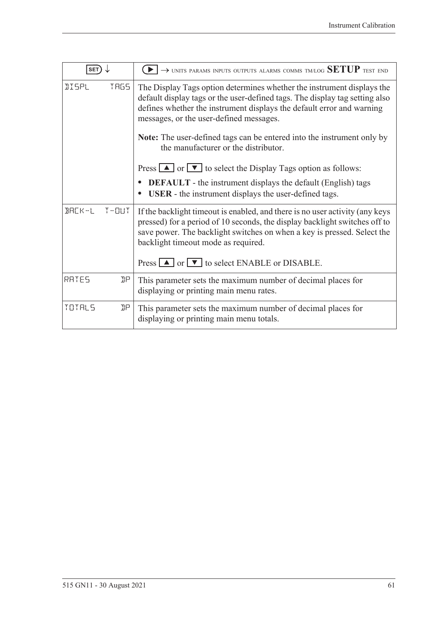| <b>SET</b>   |             | $\rightarrow$ units params inputs outputs alarms comms tm/log SETUP test end                                                                                                                                                                                                                                                                                                                       |
|--------------|-------------|----------------------------------------------------------------------------------------------------------------------------------------------------------------------------------------------------------------------------------------------------------------------------------------------------------------------------------------------------------------------------------------------------|
| <b>IISPL</b> | <b>TRGS</b> | The Display Tags option determines whether the instrument displays the<br>default display tags or the user-defined tags. The display tag setting also<br>defines whether the instrument displays the default error and warning<br>messages, or the user-defined messages.<br><b>Note:</b> The user-defined tags can be entered into the instrument only by<br>the manufacturer or the distributor. |
|              |             | Press $\boxed{\blacktriangle}$ or $\boxed{\blacktriangledown}$ to select the Display Tags option as follows:                                                                                                                                                                                                                                                                                       |
|              |             | <b>DEFAULT</b> - the instrument displays the default (English) tags<br><b>USER</b> - the instrument displays the user-defined tags.                                                                                                                                                                                                                                                                |
| BACK-L T-OUT |             | If the backlight timeout is enabled, and there is no user activity (any keys<br>pressed) for a period of 10 seconds, the display backlight switches off to<br>save power. The backlight switches on when a key is pressed. Select the<br>backlight timeout mode as required.<br>Press $\Box$ or $\nabla$ to select ENABLE or DISABLE.                                                              |
|              |             |                                                                                                                                                                                                                                                                                                                                                                                                    |
| RATES        | ηp          | This parameter sets the maximum number of decimal places for<br>displaying or printing main menu rates.                                                                                                                                                                                                                                                                                            |
| TOTALS       | ηp          | This parameter sets the maximum number of decimal places for<br>displaying or printing main menu totals.                                                                                                                                                                                                                                                                                           |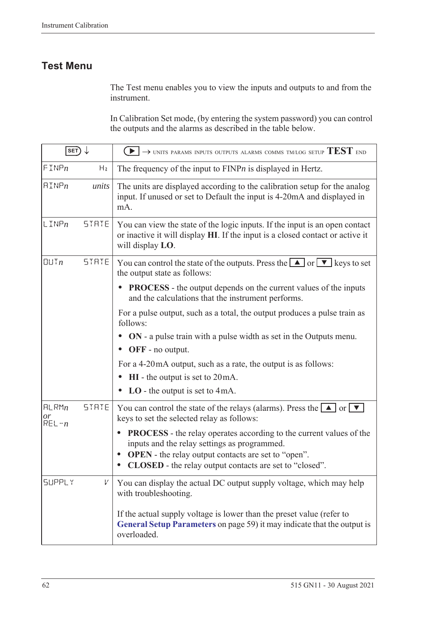# **Test Menu**

The Test menu enables you to view the inputs and outputs to and from the instrument.

In Calibration Set mode, (by entering the system password) you can control the outputs and the alarms as described in the table below.

| SET)                     |              | $\rightarrow$ units params inputs outputs alarms comms tm/log setup $\mathrm{TEST}$ end                                                                                                                                                                                                           |
|--------------------------|--------------|---------------------------------------------------------------------------------------------------------------------------------------------------------------------------------------------------------------------------------------------------------------------------------------------------|
| FINPn                    | Hz           | The frequency of the input to $FINPn$ is displayed in Hertz.                                                                                                                                                                                                                                      |
| $\text{HIMP}_n$          | units        | The units are displayed according to the calibration setup for the analog<br>input. If unused or set to Default the input is 4-20mA and displayed in<br>mA.                                                                                                                                       |
| $L$ INP $n$              | STATE        | You can view the state of the logic inputs. If the input is an open contact<br>or inactive it will display HI. If the input is a closed contact or active it<br>will display LO.                                                                                                                  |
| $Q$ $U$ $T$ $n$          | <b>STRTE</b> | You can control the state of the outputs. Press the $\Box$ or $\neg$ keys to set<br>the output state as follows:                                                                                                                                                                                  |
|                          |              | <b>PROCESS</b> - the output depends on the current values of the inputs<br>and the calculations that the instrument performs.                                                                                                                                                                     |
|                          |              | For a pulse output, such as a total, the output produces a pulse train as<br>follows:                                                                                                                                                                                                             |
|                          |              | ON - a pulse train with a pulse width as set in the Outputs menu.<br>OFF - no output.                                                                                                                                                                                                             |
|                          |              | For a 4-20 mA output, such as a rate, the output is as follows:                                                                                                                                                                                                                                   |
|                          |              | $HI$ - the output is set to $20mA$ .                                                                                                                                                                                                                                                              |
|                          |              | $LO$ - the output is set to 4mA.                                                                                                                                                                                                                                                                  |
| HLRMn<br>or<br>$REL - n$ | <b>STATE</b> | You can control the state of the relays (alarms). Press the $\Box$ or $\nabla$<br>keys to set the selected relay as follows:                                                                                                                                                                      |
|                          |              | <b>PROCESS</b> - the relay operates according to the current values of the<br>$\bullet$<br>inputs and the relay settings as programmed.<br><b>OPEN</b> - the relay output contacts are set to "open".<br>$\bullet$<br><b>CLOSED</b> - the relay output contacts are set to "closed".<br>$\bullet$ |
| <b>SUPPLY</b>            | V            | You can display the actual DC output supply voltage, which may help<br>with troubleshooting.                                                                                                                                                                                                      |
|                          |              | If the actual supply voltage is lower than the preset value (refer to<br>General Setup Parameters on page 59) it may indicate that the output is<br>overloaded.                                                                                                                                   |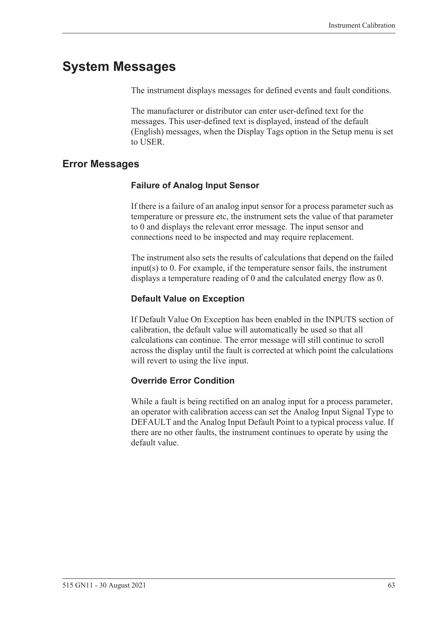# **System Messages**

<span id="page-72-4"></span>The instrument displays messages for defined events and fault conditions.

The manufacturer or distributor can enter user-defined text for the messages. This user-defined text is displayed, instead of the default (English) messages, when the Display Tags option in the Setup menu is set to USER.

## <span id="page-72-3"></span>**Error Messages**

#### <span id="page-72-0"></span>**Failure of Analog Input Sensor**

If there is a failure of an analog input sensor for a process parameter such as temperature or pressure etc, the instrument sets the value of that parameter to 0 and displays the relevant error message. The input sensor and connections need to be inspected and may require replacement.

The instrument also sets the results of calculations that depend on the failed input(s) to 0. For example, if the temperature sensor fails, the instrument displays a temperature reading of 0 and the calculated energy flow as 0.

#### <span id="page-72-1"></span>**Default Value on Exception**

If Default Value On Exception has been enabled in the INPUTS section of calibration, the default value will automatically be used so that all calculations can continue. The error message will still continue to scroll across the display until the fault is corrected at which point the calculations will revert to using the live input.

#### <span id="page-72-2"></span>**Override Error Condition**

While a fault is being rectified on an analog input for a process parameter, an operator with calibration access can set the Analog Input Signal Type to DEFAULT and the Analog Input Default Point to a typical process value. If there are no other faults, the instrument continues to operate by using the default value.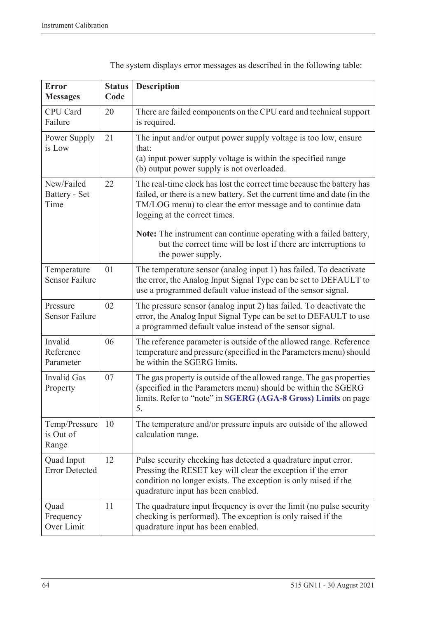<span id="page-73-0"></span>

| <b>Error</b><br><b>Messages</b>      | <b>Status</b><br>Code | <b>Description</b>                                                                                                                                                                                                                                                                                                                                                                          |
|--------------------------------------|-----------------------|---------------------------------------------------------------------------------------------------------------------------------------------------------------------------------------------------------------------------------------------------------------------------------------------------------------------------------------------------------------------------------------------|
| CPU Card<br>Failure                  | 20                    | There are failed components on the CPU card and technical support<br>is required.                                                                                                                                                                                                                                                                                                           |
| Power Supply<br>is Low               | 21                    | The input and/or output power supply voltage is too low, ensure<br>that:<br>(a) input power supply voltage is within the specified range<br>(b) output power supply is not overloaded.                                                                                                                                                                                                      |
| New/Failed<br>Battery - Set<br>Time  | 22                    | The real-time clock has lost the correct time because the battery has<br>failed, or there is a new battery. Set the current time and date (in the<br>TM/LOG menu) to clear the error message and to continue data<br>logging at the correct times.<br>Note: The instrument can continue operating with a failed battery,<br>but the correct time will be lost if there are interruptions to |
|                                      |                       | the power supply.                                                                                                                                                                                                                                                                                                                                                                           |
| Temperature<br><b>Sensor Failure</b> | 01                    | The temperature sensor (analog input 1) has failed. To deactivate<br>the error, the Analog Input Signal Type can be set to DEFAULT to<br>use a programmed default value instead of the sensor signal.                                                                                                                                                                                       |
| Pressure<br><b>Sensor Failure</b>    | 02                    | The pressure sensor (analog input 2) has failed. To deactivate the<br>error, the Analog Input Signal Type can be set to DEFAULT to use<br>a programmed default value instead of the sensor signal.                                                                                                                                                                                          |
| Invalid<br>Reference<br>Parameter    | 06                    | The reference parameter is outside of the allowed range. Reference<br>temperature and pressure (specified in the Parameters menu) should<br>be within the SGERG limits.                                                                                                                                                                                                                     |
| <b>Invalid Gas</b><br>Property       | 07                    | The gas property is outside of the allowed range. The gas properties<br>(specified in the Parameters menu) should be within the SGERG<br>limits. Refer to "note" in SGERG (AGA-8 Gross) Limits on page<br>5.                                                                                                                                                                                |
| Temp/Pressure<br>is Out of<br>Range  | 10                    | The temperature and/or pressure inputs are outside of the allowed<br>calculation range.                                                                                                                                                                                                                                                                                                     |
| Quad Input<br><b>Error Detected</b>  | 12                    | Pulse security checking has detected a quadrature input error.<br>Pressing the RESET key will clear the exception if the error<br>condition no longer exists. The exception is only raised if the<br>quadrature input has been enabled.                                                                                                                                                     |
| Quad<br>Frequency<br>Over Limit      | 11                    | The quadrature input frequency is over the limit (no pulse security<br>checking is performed). The exception is only raised if the<br>quadrature input has been enabled.                                                                                                                                                                                                                    |

The system displays error messages as described in the following table: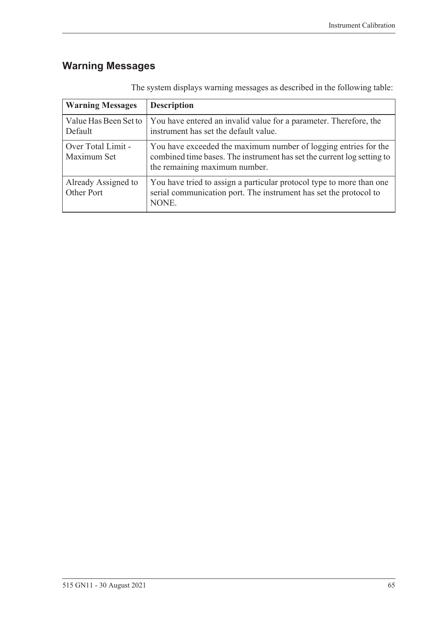# <span id="page-74-0"></span>**Warning Messages**

| <b>Warning Messages</b>           | <b>Description</b>                                                                                                                                                         |
|-----------------------------------|----------------------------------------------------------------------------------------------------------------------------------------------------------------------------|
| Value Has Been Set to<br>Default  | You have entered an invalid value for a parameter. Therefore, the<br>instrument has set the default value.                                                                 |
| Over Total Limit -<br>Maximum Set | You have exceeded the maximum number of logging entries for the<br>combined time bases. The instrument has set the current log setting to<br>the remaining maximum number. |
| Already Assigned to<br>Other Port | You have tried to assign a particular protocol type to more than one<br>serial communication port. The instrument has set the protocol to<br>NONE.                         |

The system displays warning messages as described in the following table: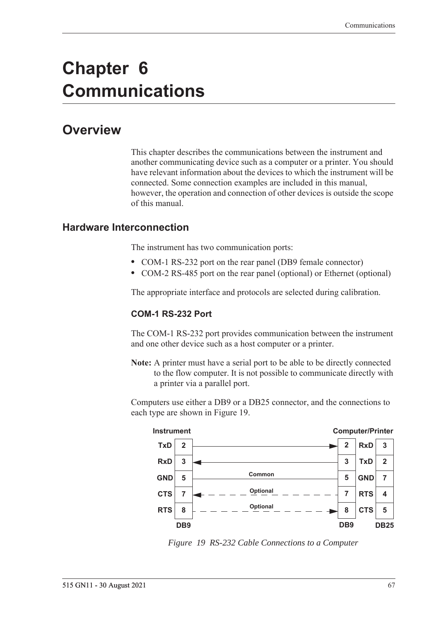# **Chapter 6 Communications**

# **Overview**

<span id="page-76-2"></span>This chapter describes the communications between the instrument and another communicating device such as a computer or a printer. You should have relevant information about the devices to which the instrument will be connected. Some connection examples are included in this manual, however, the operation and connection of other devices is outside the scope of this manual.

#### **Hardware Interconnection**

<span id="page-76-3"></span>The instrument has two communication ports:

- **•** COM-1 RS-232 port on the rear panel (DB9 female connector)
- **•** COM-2 RS-485 port on the rear panel (optional) or Ethernet (optional)

The appropriate interface and protocols are selected during calibration.

#### <span id="page-76-1"></span>**COM-1 RS-232 Port**

The COM-1 RS-232 port provides communication between the instrument and one other device such as a host computer or a printer.

**Note:** A printer must have a serial port to be able to be directly connected to the flow computer. It is not possible to communicate directly with a printer via a parallel port.

Computers use either a DB9 or a DB25 connector, and the connections to each type are shown in [Figure 19.](#page-76-0)



<span id="page-76-0"></span>*Figure 19 RS-232 Cable Connections to a Computer*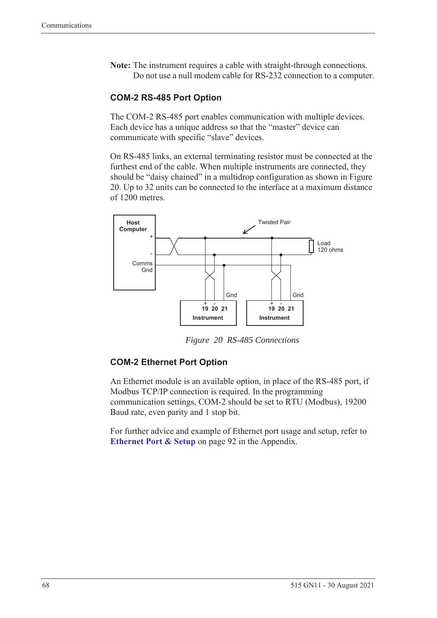**Note:** The instrument requires a cable with straight-through connections. Do not use a null modem cable for RS-232 connection to a computer.

#### <span id="page-77-1"></span>**COM-2 RS-485 Port Option**

The COM-2 RS-485 port enables communication with multiple devices. Each device has a unique address so that the "master" device can communicate with specific "slave" devices.

On RS-485 links, an external terminating resistor must be connected at the furthest end of the cable. When multiple instruments are connected, they should be "daisy chained" in a multidrop configuration as shown in Figure [20](#page-77-0). Up to 32 units can be connected to the interface at a maximum distance of 1200 metres.



<span id="page-77-2"></span>*Figure 20 RS-485 Connections*

#### <span id="page-77-0"></span>**COM-2 Ethernet Port Option**

An Ethernet module is an available option, in place of the RS-485 port, if Modbus TCP/IP connection is required. In the programming communication settings, COM-2 should be set to RTU (Modbus), 19200 Baud rate, even parity and 1 stop bit.

For further advice and example of Ethernet port usage and setup, refer to **[Ethernet Port & Setup](#page-101-0)** on page 92 in the Appendix.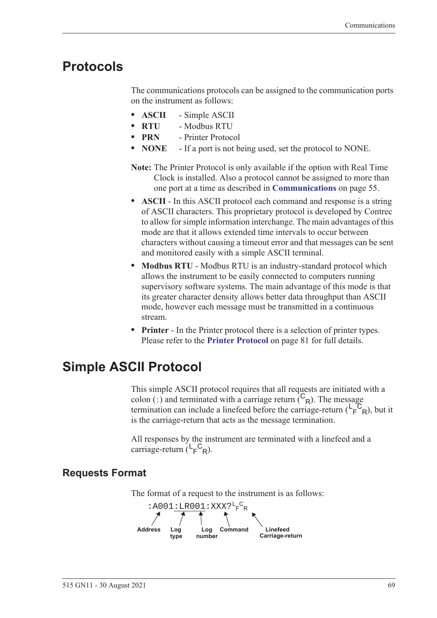# **Protocols**

<span id="page-78-1"></span>The communications protocols can be assigned to the communication ports on the instrument as follows:

- **• ASCII** Simple ASCII
- **• RTU** Modbus RTU
- **• PRN** Printer Protocol
- **• NONE** If a port is not being used, set the protocol to NONE.
- **Note:** The Printer Protocol is only available if the option with Real Time Clock is installed. Also a protocol cannot be assigned to more than one port at a time as described in **[Communications](#page-64-0)** on page 55.
- **• ASCII** In this ASCII protocol each command and response is a string of ASCII characters. This proprietary protocol is developed by Contrec to allow for simple information interchange. The main advantages of this mode are that it allows extended time intervals to occur between characters without causing a timeout error and that messages can be sent and monitored easily with a simple ASCII terminal.
- **• Modbus RTU** Modbus RTU is an industry-standard protocol which allows the instrument to be easily connected to computers running supervisory software systems. The main advantage of this mode is that its greater character density allows better data throughput than ASCII mode, however each message must be transmitted in a continuous stream.
- <span id="page-78-0"></span>**• Printer** - In the Printer protocol there is a selection of printer types. Please refer to the **[Printer Protocol](#page-90-0)** on page 81 for full details.

# **Simple ASCII Protocol**

This simple ASCII protocol requires that all requests are initiated with a colon (:) and terminated with a carriage return  $\binom{C_R}{R}$ . The message termination can include a linefeed before the carriage-return  $(\mathsf{L}_\mathsf{F}^\mathsf{C}_{\mathsf{R}})$ , but it is the carriage-return that acts as the message termination.

<span id="page-78-2"></span>All responses by the instrument are terminated with a linefeed and a carriage-return  $(L_F^C_R)$ .

## **Requests Format**

The format of a request to the instrument is as follows:

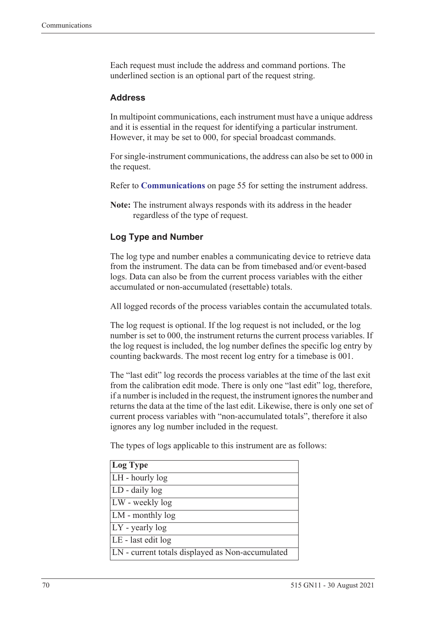Each request must include the address and command portions. The underlined section is an optional part of the request string.

#### <span id="page-79-0"></span>**Address**

In multipoint communications, each instrument must have a unique address and it is essential in the request for identifying a particular instrument. However, it may be set to 000, for special broadcast commands.

For single-instrument communications, the address can also be set to 000 in the request.

Refer to **[Communications](#page-64-0)** on page 55 for setting the instrument address.

**Note:** The instrument always responds with its address in the header regardless of the type of request.

#### **Log Type and Number**

The log type and number enables a communicating device to retrieve data from the instrument. The data can be from timebased and/or event-based logs. Data can also be from the current process variables with the either accumulated or non-accumulated (resettable) totals.

All logged records of the process variables contain the accumulated totals.

The log request is optional. If the log request is not included, or the log number is set to 000, the instrument returns the current process variables. If the log request is included, the log number defines the specific log entry by counting backwards. The most recent log entry for a timebase is 001.

The "last edit" log records the process variables at the time of the last exit from the calibration edit mode. There is only one "last edit" log, therefore, if a number is included in the request, the instrument ignores the number and returns the data at the time of the last edit. Likewise, there is only one set of current process variables with "non-accumulated totals", therefore it also ignores any log number included in the request.

The types of logs applicable to this instrument are as follows:

| Log Type                                         |
|--------------------------------------------------|
| LH - hourly log                                  |
| LD - daily log                                   |
| LW - weekly log                                  |
| LM - monthly log                                 |
| $LY$ - yearly log                                |
| LE - last edit log                               |
| LN - current totals displayed as Non-accumulated |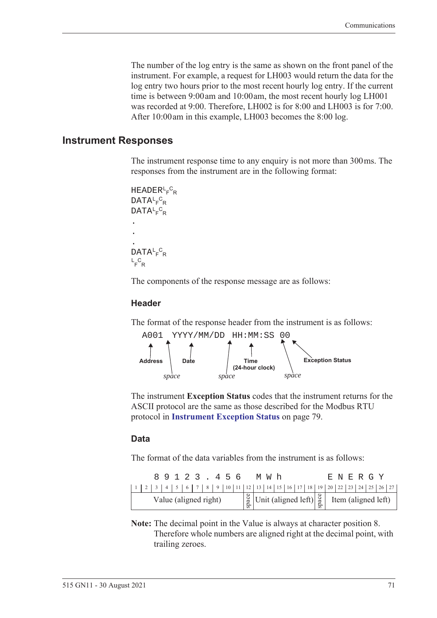The number of the log entry is the same as shown on the front panel of the instrument. For example, a request for LH003 would return the data for the log entry two hours prior to the most recent hourly log entry. If the current time is between 9:00 am and 10:00 am, the most recent hourly log LH001 was recorded at 9:00. Therefore, LH002 is for 8:00 and LH003 is for 7:00. After 10:00 am in this example, LH003 becomes the 8:00 log.

#### **Instrument Responses**

<span id="page-80-1"></span>The instrument response time to any enquiry is not more than 300 ms. The responses from the instrument are in the following format:

```
HEADER<sup>L</sup>F<sup>C</sup>R
DATA<sup>L</sup>F<sup>C</sup>R
DATA<sup>L</sup>F<sup>C</sup>R
.
.
.
DATA<sup>L</sup>F<sup>C</sup>R
L_F^CR
```
The components of the response message are as follows:

#### **Header**

The format of the response header from the instrument is as follows:



<span id="page-80-0"></span>The instrument **Exception Status** codes that the instrument returns for the ASCII protocol are the same as those described for the Modbus RTU protocol in **[Instrument Exception Status](#page-88-0)** on page 79.

#### **Data**

The format of the data variables from the instrument is as follows:

|                       |  |  |  |  | 89123.456 |  |  |  |                                                                                                                                                               | M W h |  |  |  |  | E N E R G Y |  |  |
|-----------------------|--|--|--|--|-----------|--|--|--|---------------------------------------------------------------------------------------------------------------------------------------------------------------|-------|--|--|--|--|-------------|--|--|
|                       |  |  |  |  |           |  |  |  |                                                                                                                                                               |       |  |  |  |  |             |  |  |
| Value (aligned right) |  |  |  |  |           |  |  |  | $\begin{bmatrix} \frac{8}{9} \\ \frac{8}{9} \end{bmatrix}$ Unit (aligned left) $\begin{bmatrix} \frac{8}{9} \\ \frac{8}{9} \end{bmatrix}$ Item (aligned left) |       |  |  |  |  |             |  |  |

**Note:** The decimal point in the Value is always at character position 8. Therefore whole numbers are aligned right at the decimal point, with trailing zeroes.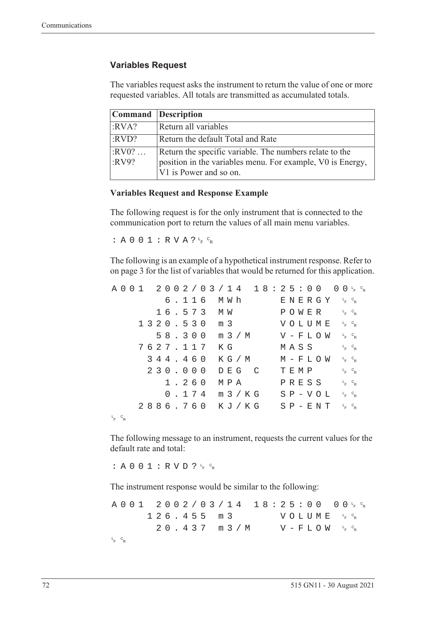#### **Variables Request**

The variables request asks the instrument to return the value of one or more requested variables. All totals are transmitted as accumulated totals.

|                  | <b>Command</b> Description                                                                                                                      |
|------------------|-------------------------------------------------------------------------------------------------------------------------------------------------|
| :RVA?            | Return all variables                                                                                                                            |
| :RVD?            | Return the default Total and Rate                                                                                                               |
| $:RV0?$<br>:RV9? | Return the specific variable. The numbers relate to the<br>position in the variables menu. For example, V0 is Energy,<br>V1 is Power and so on. |

#### **Variables Request and Response Example**

The following request is for the only instrument that is connected to the communication port to return the values of all main menu variables.

:  $A 0 0 1 : R V A ? \frac{c}{r} c_R$ 

The following is an example of a hypothetical instrument response. Refer to [on page 3](#page-12-0) for the list of variables that would be returned for this application.

|             |  |  |  |          |  |                  |  |       | $A\;0\;0\;1\;2\;0\;0\;2\;/\;0\;3\;/\;1\;4\;1\;8:2\;5:0\;0\;0\;0\;{}^{\phantom{1}}\!\!\!1^{\phantom{1}}\!\!\!\!8^{\phantom{1}}\!\!\!8^{\phantom{1}}\!\!\!8^{\phantom{1}}\!\!\!8^{\phantom{1}}\!\!\!8^{\phantom{1}}\!\!\!8^{\phantom{1}}\!\!\!8^{\phantom{1}}\!\!\!8^{\phantom{1}}\!\!\!8^{\phantom{1}}\!\!\!8^{\phantom{1}}\!\!\!8^{\phantom{1}}\!\!\!8$ |  |         |  |               |                                                       |                                   |  |
|-------------|--|--|--|----------|--|------------------|--|-------|---------------------------------------------------------------------------------------------------------------------------------------------------------------------------------------------------------------------------------------------------------------------------------------------------------------------------------------------------------|--|---------|--|---------------|-------------------------------------------------------|-----------------------------------|--|
|             |  |  |  |          |  | 6.116 MWh        |  |       |                                                                                                                                                                                                                                                                                                                                                         |  |         |  |               | $E$ N E R G Y $\begin{bmatrix} 1 & c_R \end{bmatrix}$ |                                   |  |
|             |  |  |  |          |  | 16.573 MW        |  |       |                                                                                                                                                                                                                                                                                                                                                         |  |         |  |               | POWER                                                 | $L_{F}$ $C_{R}$                   |  |
|             |  |  |  |          |  | 1320.530 m 3     |  |       |                                                                                                                                                                                                                                                                                                                                                         |  |         |  |               | VOLUME                                                | $L$ <sub>F</sub> $C$ <sub>R</sub> |  |
|             |  |  |  |          |  |                  |  |       | 58.300 m 3/M                                                                                                                                                                                                                                                                                                                                            |  |         |  |               | $V - F L O W$ $F c_R$                                 |                                   |  |
|             |  |  |  | 7627.117 |  | КG               |  |       |                                                                                                                                                                                                                                                                                                                                                         |  |         |  | MASS          |                                                       | $L_F$ $C_R$                       |  |
|             |  |  |  | 344.460  |  |                  |  |       | K G / M                                                                                                                                                                                                                                                                                                                                                 |  |         |  |               | M – F L O W                                           | $L$ <sub>F</sub> $C$ <sub>R</sub> |  |
|             |  |  |  | 230.000  |  |                  |  | DEG C |                                                                                                                                                                                                                                                                                                                                                         |  | T E M P |  |               |                                                       | $L_F$ $C_R$                       |  |
|             |  |  |  | 1.260    |  | МРА              |  |       |                                                                                                                                                                                                                                                                                                                                                         |  |         |  | PRESS         |                                                       | $L_F$ $C_R$                       |  |
|             |  |  |  |          |  | $0.174$ m $3/KG$ |  |       |                                                                                                                                                                                                                                                                                                                                                         |  |         |  | $S P - V O L$ |                                                       | $L_{F}$ $C_{R}$                   |  |
|             |  |  |  |          |  |                  |  |       | 2886.760 KJ/KG                                                                                                                                                                                                                                                                                                                                          |  |         |  |               | $S$ $P$ – $E$ $N$ $T$                                 | $L$ <sub>F</sub> $C$ <sub>R</sub> |  |
| $L_F$ $C_R$ |  |  |  |          |  |                  |  |       |                                                                                                                                                                                                                                                                                                                                                         |  |         |  |               |                                                       |                                   |  |

The following message to an instrument, requests the current values for the default rate and total:

: A 0 0 1 : R V D ?  $L_F$   $C_R$ 

The instrument response would be similar to the following:

A001 2002/03/14 18:25:00  $F$   $\circ$ <sub>R</sub>  $126.455 m3$ <sup>F</sup> <sup>C</sup> R  $20.437$  m  $3/M$  $F$   $\circ$ <sub>R</sub> L <sup>F</sup> <sup>C</sup> R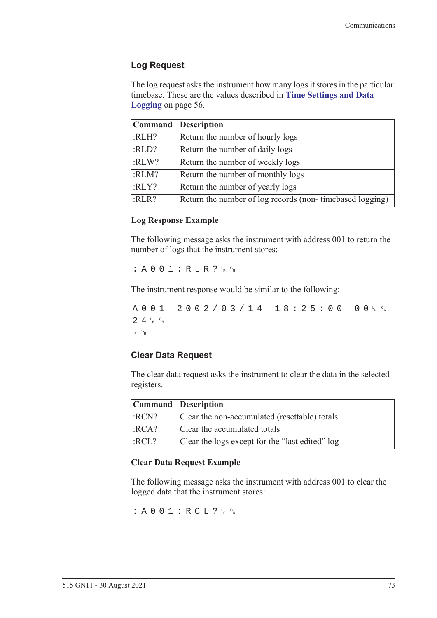#### **Log Request**

The log request asks the instrument how many logs it stores in the particular timebase. These are the values described in **[Time Settings and Data](#page-65-0)  Logging** [on page 56](#page-65-0).

|       | Command Description                                      |
|-------|----------------------------------------------------------|
| :RLH? | Return the number of hourly logs                         |
| :RLD? | Return the number of daily logs                          |
| :RLW? | Return the number of weekly logs                         |
| :RLM? | Return the number of monthly logs                        |
| :RLY? | Return the number of yearly logs                         |
| :RLR? | Return the number of log records (non-timebased logging) |

#### **Log Response Example**

The following message asks the instrument with address 001 to return the number of logs that the instrument stores:

 $: A 0 0 1 : R L R ? \nmid R$ 

The instrument response would be similar to the following:

A001 2002/03/14 18:25:00  $F$   $\circ$ R  $24r$ <sub>F</sub>  $c_R$ L <sup>F</sup> <sup>C</sup> R

#### **Clear Data Request**

The clear data request asks the instrument to clear the data in the selected registers.

| Command Description |                                                 |
|---------------------|-------------------------------------------------|
| :RCN?               | Clear the non-accumulated (resettable) totals   |
| :RCA?               | Clear the accumulated totals                    |
| :RCL?               | Clear the logs except for the "last edited" log |

#### **Clear Data Request Example**

The following message asks the instrument with address 001 to clear the logged data that the instrument stores:

: A 0 0 1 : R C L ?  $L_F$   $c_R$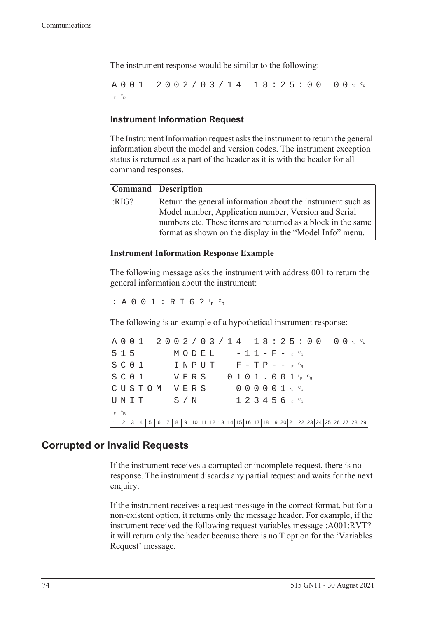The instrument response would be similar to the following:

A001 2002/03/14 18:25:00  $F$   $\circ$ <sub>R</sub> L <sup>F</sup> <sup>C</sup> R

#### **Instrument Information Request**

The Instrument Information request asks the instrument to return the general information about the model and version codes. The instrument exception status is returned as a part of the header as it is with the header for all command responses.

|      | Command Description                                                                                                      |
|------|--------------------------------------------------------------------------------------------------------------------------|
| RIG? | Return the general information about the instrument such as                                                              |
|      | Model number, Application number, Version and Serial                                                                     |
|      | numbers etc. These items are returned as a block in the same<br>format as shown on the display in the "Model Info" menu. |

#### **Instrument Information Response Example**

The following message asks the instrument with address 001 to return the general information about the instrument:

: A 0 0 1 : R I G ?  $L_F$   $C_R$ 

The following is an example of a hypothetical instrument response:

A001 2002/03/14 18:25:00 <sup>F</sup> <sup>C</sup> R  $515$   $MODEL$   $-11-F-F_{R}^{c}$  $S$  C O  $1$  I N P U T F - T P - - <sup>L</sup><sub>F</sub> <sup>C</sup>R  $S$  C O  $1$  V E R S O  $1$  O  $1$  J  $1$  , O  $0$   $1$   $1$   $1$   $6$   $8$ CUSTOM VERS 000001<sup>t</sup>F<sup>c</sup>r  $\texttt{UNIT}$  S/N 123456<sup>L</sup><sub>F</sub>  $\texttt{C}_{\texttt{R}}$ L <sup>F</sup> <sup>C</sup> R 1 2 3 4 5 6 7 8 9 10 11 12 13 14 15 16 17 18 19 20 21 22 23 24 25 26 27 28 29

#### **Corrupted or Invalid Requests**

If the instrument receives a corrupted or incomplete request, there is no response. The instrument discards any partial request and waits for the next enquiry.

If the instrument receives a request message in the correct format, but for a non-existent option, it returns only the message header. For example, if the instrument received the following request variables message :A001:RVT? it will return only the header because there is no T option for the 'Variables Request' message.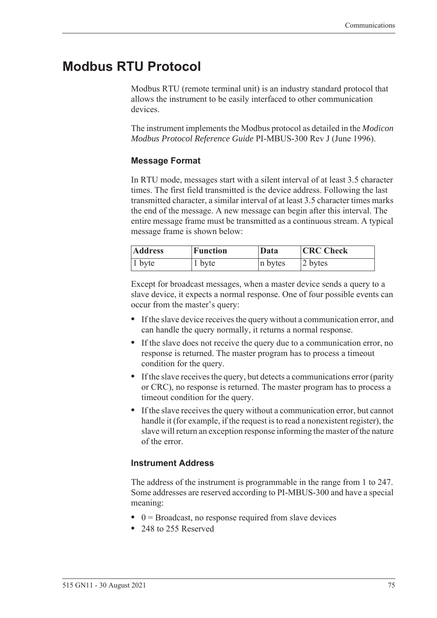# **Modbus RTU Protocol**

<span id="page-84-0"></span>Modbus RTU (remote terminal unit) is an industry standard protocol that allows the instrument to be easily interfaced to other communication devices.

The instrument implements the Modbus protocol as detailed in the *Modicon Modbus Protocol Reference Guide* PI-MBUS-300 Rev J (June 1996).

#### **Message Format**

In RTU mode, messages start with a silent interval of at least 3.5 character times. The first field transmitted is the device address. Following the last transmitted character, a similar interval of at least 3.5 character times marks the end of the message. A new message can begin after this interval. The entire message frame must be transmitted as a continuous stream. A typical message frame is shown below:

| <b>Address</b> | <b>Function</b> | Data    | <b>CRC</b> Check |
|----------------|-----------------|---------|------------------|
| $ 1$ byte      | 1 byte          | n bytes | 2 bytes          |

Except for broadcast messages, when a master device sends a query to a slave device, it expects a normal response. One of four possible events can occur from the master's query:

- **•** If the slave device receives the query without a communication error, and can handle the query normally, it returns a normal response.
- **•** If the slave does not receive the query due to a communication error, no response is returned. The master program has to process a timeout condition for the query.
- **•** If the slave receives the query, but detects a communications error (parity or CRC), no response is returned. The master program has to process a timeout condition for the query.
- **•** If the slave receives the query without a communication error, but cannot handle it (for example, if the request is to read a nonexistent register), the slave will return an exception response informing the master of the nature of the error.

#### **Instrument Address**

The address of the instrument is programmable in the range from 1 to 247. Some addresses are reserved according to PI-MBUS-300 and have a special meaning:

- 0 = Broadcast, no response required from slave devices
- **•** 248 to 255 Reserved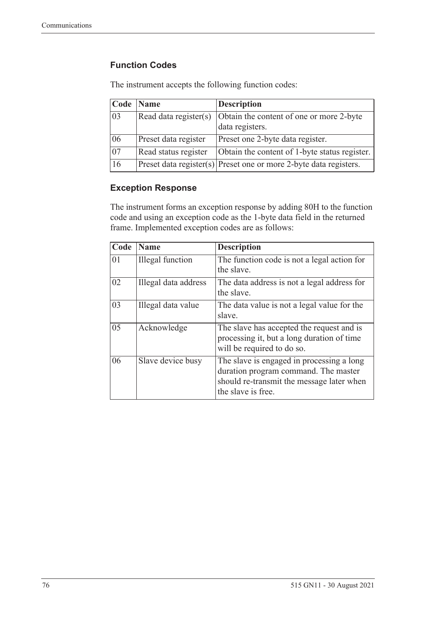#### **Function Codes**

| Code            | <b>Name</b>           | <b>Description</b>                                                    |
|-----------------|-----------------------|-----------------------------------------------------------------------|
| 03              | Read data register(s) | Obtain the content of one or more 2-byte<br>data registers.           |
| 06              | Preset data register  | Preset one 2-byte data register.                                      |
| $\overline{07}$ | Read status register  | Obtain the content of 1-byte status register.                         |
| 16              |                       | $ $ Preset data register(s) Preset one or more 2-byte data registers. |

The instrument accepts the following function codes:

#### **Exception Response**

The instrument forms an exception response by adding 80H to the function code and using an exception code as the 1-byte data field in the returned frame. Implemented exception codes are as follows:

| Code | <b>Name</b>             | <b>Description</b>                                                                                                                                   |
|------|-------------------------|------------------------------------------------------------------------------------------------------------------------------------------------------|
| 01   | <b>Illegal</b> function | The function code is not a legal action for<br>the slave.                                                                                            |
| 02   | Illegal data address    | The data address is not a legal address for<br>the slave.                                                                                            |
| 03   | Illegal data value      | The data value is not a legal value for the<br>slave.                                                                                                |
| 05   | Acknowledge             | The slave has accepted the request and is<br>processing it, but a long duration of time<br>will be required to do so.                                |
| 06   | Slave device busy       | The slave is engaged in processing a long<br>duration program command. The master<br>should re-transmit the message later when<br>the slave is free. |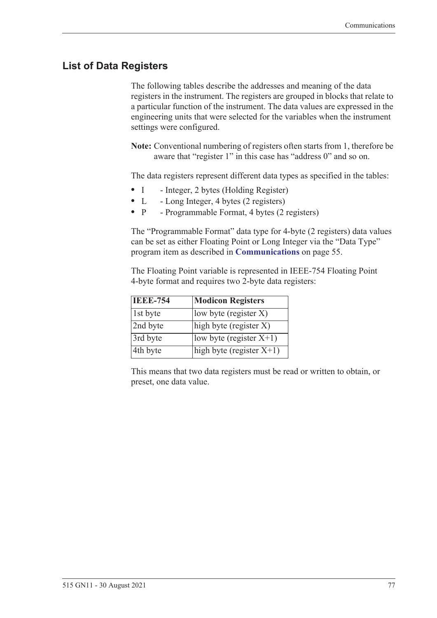### **List of Data Registers**

The following tables describe the addresses and meaning of the data registers in the instrument. The registers are grouped in blocks that relate to a particular function of the instrument. The data values are expressed in the engineering units that were selected for the variables when the instrument settings were configured.

**Note:** Conventional numbering of registers often starts from 1, therefore be aware that "register 1" in this case has "address 0" and so on.

The data registers represent different data types as specified in the tables:

- I Integer, 2 bytes (Holding Register)
- L Long Integer, 4 bytes (2 registers)
- P Programmable Format, 4 bytes (2 registers)

The "Programmable Format" data type for 4-byte (2 registers) data values can be set as either Floating Point or Long Integer via the "Data Type" program item as described in **[Communications](#page-64-0)** on page 55.

The Floating Point variable is represented in IEEE-754 Floating Point 4-byte format and requires two 2-byte data registers:

| <b>IEEE-754</b> | <b>Modicon Registers</b>                       |
|-----------------|------------------------------------------------|
| 1st byte        | low byte (register $X$ )                       |
| 2nd byte        | $\left  \text{high byte (register X)} \right $ |
| 3rd byte        | low byte (register $X+1$ )                     |
| 4th byte        | high byte (register $X+1$ )                    |

This means that two data registers must be read or written to obtain, or preset, one data value.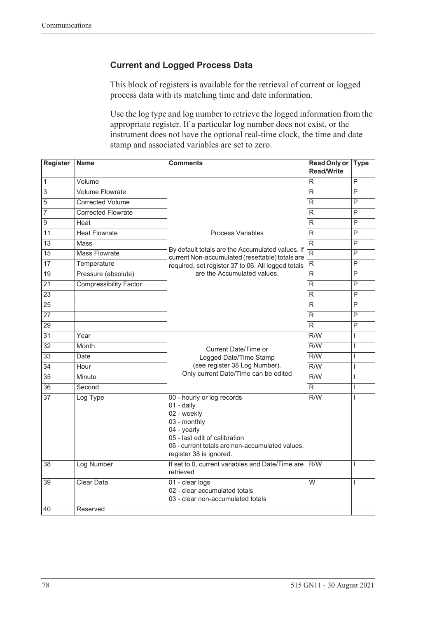#### **Current and Logged Process Data**

This block of registers is available for the retrieval of current or logged process data with its matching time and date information.

Use the log type and log number to retrieve the logged information from the appropriate register. If a particular log number does not exist, or the instrument does not have the optional real-time clock, the time and date stamp and associated variables are set to zero.

| Register         | <b>Name</b>                   | <b>Comments</b>                                                                                                                                                                                       | <b>Read Only or</b><br><b>Read/Write</b> | <b>Type</b>             |
|------------------|-------------------------------|-------------------------------------------------------------------------------------------------------------------------------------------------------------------------------------------------------|------------------------------------------|-------------------------|
| $\overline{1}$   | Volume                        |                                                                                                                                                                                                       | R                                        | $\overline{P}$          |
| $\overline{3}$   | <b>Volume Flowrate</b>        |                                                                                                                                                                                                       | R                                        | P                       |
| $\overline{5}$   | <b>Corrected Volume</b>       |                                                                                                                                                                                                       | R                                        | P                       |
| $\overline{7}$   | <b>Corrected Flowrate</b>     |                                                                                                                                                                                                       | R                                        | P                       |
| $\boldsymbol{9}$ | Heat                          |                                                                                                                                                                                                       | R                                        | P                       |
| $\overline{11}$  | <b>Heat Flowrate</b>          | <b>Process Variables</b>                                                                                                                                                                              | $\mathsf{R}$                             | $\overline{P}$          |
| $\overline{13}$  | Mass                          |                                                                                                                                                                                                       | R                                        | $\overline{\mathsf{P}}$ |
| 15               | <b>Mass Flowrate</b>          | By default totals are the Accumulated values. If<br>current Non-accumulated (resettable) totals are                                                                                                   | $\overline{R}$                           | P                       |
| $\overline{17}$  | Temperature                   | required, set register 37 to 06. All logged totals                                                                                                                                                    | $\overline{\mathsf{R}}$                  | $\overline{\mathsf{P}}$ |
| 19               | Pressure (absolute)           | are the Accumulated values.                                                                                                                                                                           | R                                        | P                       |
| 21               | <b>Compressibility Factor</b> |                                                                                                                                                                                                       | $\overline{R}$                           | P                       |
| 23               |                               |                                                                                                                                                                                                       | $\overline{\mathsf{R}}$                  | $\overline{\mathsf{P}}$ |
| $\overline{25}$  |                               |                                                                                                                                                                                                       | R                                        | $\overline{\mathsf{P}}$ |
| $\overline{27}$  |                               |                                                                                                                                                                                                       | $\overline{R}$                           | $\overline{\mathsf{P}}$ |
| $\overline{29}$  |                               |                                                                                                                                                                                                       | R.                                       | P                       |
| $\overline{31}$  | Year                          |                                                                                                                                                                                                       | R/W                                      | L                       |
| $\overline{32}$  | Month                         | Current Date/Time or                                                                                                                                                                                  | $\overline{R/W}$                         | $\mathbf{I}$            |
| $\overline{33}$  | Date                          | Logged Date/Time Stamp                                                                                                                                                                                | $\overline{R/W}$                         | L                       |
| $\overline{34}$  | Hour                          | (see register 38 Log Number).                                                                                                                                                                         | R/W                                      | $\overline{1}$          |
| $\overline{35}$  | Minute                        | Only current Date/Time can be edited                                                                                                                                                                  | $\overline{R/W}$                         | $\mathsf{I}$            |
| $\overline{36}$  | Second                        |                                                                                                                                                                                                       | $\overline{\mathsf{R}}$                  | $\mathsf{I}$            |
| $\overline{37}$  | Log Type                      | 00 - hourly or log records<br>01 - daily<br>02 - weekly<br>03 - monthly<br>04 - yearly<br>05 - last edit of calibration<br>06 - current totals are non-accumulated values,<br>register 38 is ignored. | R/W                                      | T                       |
| 38               | Log Number                    | If set to 0, current variables and Date/Time are<br>retrieved                                                                                                                                         | R/W                                      | $\overline{1}$          |
| 39               | <b>Clear Data</b>             | 01 - clear logs<br>02 - clear accumulated totals<br>03 - clear non-accumulated totals                                                                                                                 | $\overline{W}$                           | I                       |
| $\sqrt{40}$      | Reserved                      |                                                                                                                                                                                                       |                                          |                         |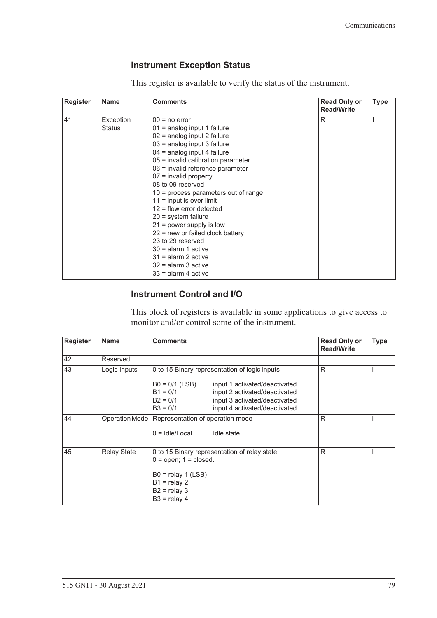#### <span id="page-88-1"></span><span id="page-88-0"></span>**Instrument Exception Status**

This register is available to verify the status of the instrument.

| <b>Register</b> | <b>Name</b> | <b>Comments</b>                        | <b>Read Only or</b><br><b>Read/Write</b> | <b>Type</b> |
|-----------------|-------------|----------------------------------------|------------------------------------------|-------------|
| 41              | Exception   | $00 = no error$                        | R                                        |             |
|                 | Status      | $01$ = analog input 1 failure          |                                          |             |
|                 |             | 02 = analog input 2 failure            |                                          |             |
|                 |             | 03 = analog input 3 failure            |                                          |             |
|                 |             | $04$ = analog input 4 failure          |                                          |             |
|                 |             | 05 = invalid calibration parameter     |                                          |             |
|                 |             | 06 = invalid reference parameter       |                                          |             |
|                 |             | $07$ = invalid property                |                                          |             |
|                 |             | 08 to 09 reserved                      |                                          |             |
|                 |             | $10$ = process parameters out of range |                                          |             |
|                 |             | $11 =$ input is over limit             |                                          |             |
|                 |             | $12$ = flow error detected             |                                          |             |
|                 |             | $20 =$ system failure                  |                                          |             |
|                 |             | $21$ = power supply is low             |                                          |             |
|                 |             | $22$ = new or failed clock battery     |                                          |             |
|                 |             | 23 to 29 reserved                      |                                          |             |
|                 |             | $30 =$ alarm 1 active                  |                                          |             |
|                 |             | $31$ = alarm 2 active                  |                                          |             |
|                 |             | $32$ = alarm 3 active                  |                                          |             |
|                 |             | $33$ = alarm 4 active                  |                                          |             |

#### **Instrument Control and I/O**

This block of registers is available in some applications to give access to monitor and/or control some of the instrument.

| <b>Register</b> | <b>Name</b>        | <b>Comments</b>                                                                                                                                                                                | <b>Read Only or</b><br><b>Read/Write</b> | <b>Type</b> |
|-----------------|--------------------|------------------------------------------------------------------------------------------------------------------------------------------------------------------------------------------------|------------------------------------------|-------------|
| 42              | Reserved           |                                                                                                                                                                                                |                                          |             |
| 43              | Logic Inputs       | 0 to 15 Binary representation of logic inputs                                                                                                                                                  | R                                        |             |
|                 |                    | $B0 = 0/1$ (LSB)<br>input 1 activated/deactivated<br>$B1 = 0/1$<br>input 2 activated/deactivated<br>$B2 = 0/1$<br>input 3 activated/deactivated<br>$B3 = 0/1$<br>input 4 activated/deactivated |                                          |             |
| 44              |                    | Operation Mode   Representation of operation mode<br>$0 =$ Idle/Local<br>Idle state                                                                                                            | R                                        |             |
| 45              | <b>Relay State</b> | 0 to 15 Binary representation of relay state.<br>$0 =$ open; $1 =$ closed.<br>$B0 =$ relay 1 (LSB)<br>$B1 =$ relay 2<br>$B2 =$ relay 3<br>$B3 =$ relay 4                                       | R                                        |             |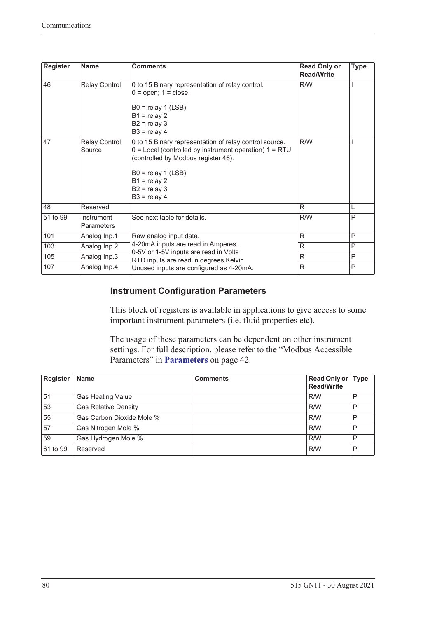| <b>Register</b> | <b>Name</b>              | <b>Comments</b>                                                                                                                                                                                                                           | <b>Read Only or</b><br><b>Read/Write</b> | <b>Type</b> |
|-----------------|--------------------------|-------------------------------------------------------------------------------------------------------------------------------------------------------------------------------------------------------------------------------------------|------------------------------------------|-------------|
| 46              | Relay Control            | 0 to 15 Binary representation of relay control.<br>$0 =$ open; $1 =$ close.<br>$B0 =$ relay 1 (LSB)<br>$B1 =$ relay 2<br>$B2 =$ relay 3<br>$B3 =$ relay 4                                                                                 | R/W                                      |             |
| 47              | Relay Control<br>Source  | 0 to 15 Binary representation of relay control source.<br>$0 =$ Local (controlled by instrument operation) $1 = RTU$<br>(controlled by Modbus register 46).<br>$B0 =$ relay 1 (LSB)<br>$B1 =$ relay 2<br>$B2 =$ relay 3<br>$B3 =$ relay 4 | R/W                                      |             |
| 48              | Reserved                 |                                                                                                                                                                                                                                           | R                                        | L           |
| 51 to 99        | Instrument<br>Parameters | See next table for details.                                                                                                                                                                                                               | R/W                                      | P           |
| 101             | Analog Inp.1             | Raw analog input data.                                                                                                                                                                                                                    | R                                        | P           |
| 103             | Analog Inp.2             | 4-20mA inputs are read in Amperes.<br>0-5V or 1-5V inputs are read in Volts                                                                                                                                                               | R                                        | P           |
| 105             | Analog Inp.3             | RTD inputs are read in degrees Kelvin.                                                                                                                                                                                                    | R                                        | P           |
| 107             | Analog Inp.4             | Unused inputs are configured as 4-20mA.                                                                                                                                                                                                   | R                                        | P           |

#### **Instrument Configuration Parameters**

This block of registers is available in applications to give access to some important instrument parameters (i.e. fluid properties etc).

The usage of these parameters can be dependent on other instrument settings. For full description, please refer to the "Modbus Accessible Parameters" in **[Parameters](#page-51-0)** on page 42.

| <b>Register</b> | <b>Name</b>                 | <b>Comments</b> | <b>Read Only or Type</b><br><b>Read/Write</b> |   |
|-----------------|-----------------------------|-----------------|-----------------------------------------------|---|
| 51              | Gas Heating Value           |                 | R/W                                           | P |
| 53              | <b>Gas Relative Density</b> |                 | R/W                                           | P |
| 55              | Gas Carbon Dioxide Mole %   |                 | R/W                                           | P |
| 57              | Gas Nitrogen Mole %         |                 | R/W                                           | P |
| 59              | Gas Hydrogen Mole %         |                 | R/W                                           | P |
| 61 to 99        | Reserved                    |                 | R/W                                           | P |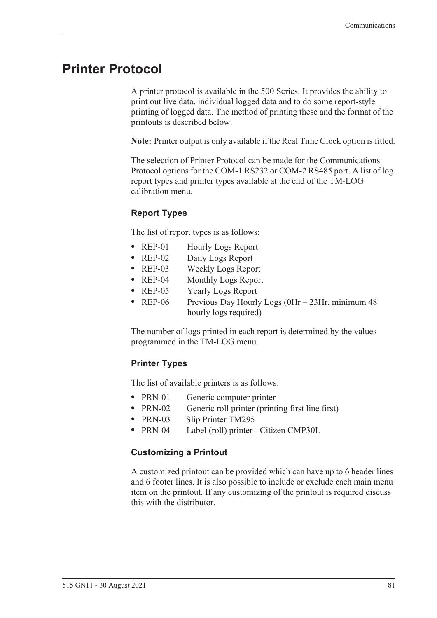# <span id="page-90-0"></span>**Printer Protocol**

<span id="page-90-2"></span>A printer protocol is available in the 500 Series. It provides the ability to print out live data, individual logged data and to do some report-style printing of logged data. The method of printing these and the format of the printouts is described below.

**Note:** Printer output is only available if the Real Time Clock option is fitted.

The selection of Printer Protocol can be made for the Communications Protocol options for the COM-1 RS232 or COM-2 RS485 port. A list of log report types and printer types available at the end of the TM-LOG calibration menu.

#### <span id="page-90-3"></span>**Report Types**

The list of report types is as follows:

- REP-01 Hourly Logs Report
- **•** REP-02 Daily Logs Report
- **•** REP-03 Weekly Logs Report
- **•** REP-04 Monthly Logs Report
- **•** REP-05 Yearly Logs Report
- REP-06 Previous Day Hourly Logs (0Hr 23Hr, minimum 48 hourly logs required)

The number of logs printed in each report is determined by the values programmed in the TM-LOG menu.

#### <span id="page-90-4"></span>**Printer Types**

The list of available printers is as follows:

- PRN-01 Generic computer printer
- PRN-02 Generic roll printer (printing first line first)
- **•** PRN-03 Slip Printer TM295
- **•** PRN-04 Label (roll) printer Citizen CMP30L

#### <span id="page-90-1"></span>**Customizing a Printout**

A customized printout can be provided which can have up to 6 header lines and 6 footer lines. It is also possible to include or exclude each main menu item on the printout. If any customizing of the printout is required discuss this with the distributor.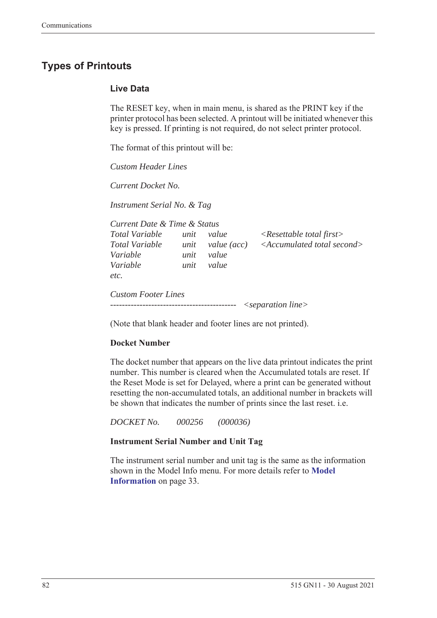## <span id="page-91-1"></span>**Types of Printouts**

#### <span id="page-91-0"></span>**Live Data**

The RESET key, when in main menu, is shared as the PRINT key if the printer protocol has been selected. A printout will be initiated whenever this key is pressed. If printing is not required, do not select printer protocol.

The format of this printout will be:

*Custom Header Lines*

*Current Docket No.* 

*Instrument Serial No. & Tag*

| Current Date & Time & Status                 |                      |                               |                                                                                   |
|----------------------------------------------|----------------------|-------------------------------|-----------------------------------------------------------------------------------|
| Total Variable<br>Total Variable<br>Variable | unit<br>unit<br>unit | value<br>value (acc)<br>value | $\langle$ Resettable total first $\rangle$<br>$\leq$ Accumulated total second $>$ |
| Variable<br>etc.                             | unit                 | value                         |                                                                                   |
| <b>Custom Footer Lines</b>                   |                      |                               | $\leq$ separation line $>$                                                        |

(Note that blank header and footer lines are not printed).

#### **Docket Number**

The docket number that appears on the live data printout indicates the print number. This number is cleared when the Accumulated totals are reset. If the Reset Mode is set for Delayed, where a print can be generated without resetting the non-accumulated totals, an additional number in brackets will be shown that indicates the number of prints since the last reset. i.e.

*DOCKET No. 000256 (000036)*

#### **Instrument Serial Number and Unit Tag**

The instrument serial number and unit tag is the same as the information shown in the Model Info menu. For more details refer to **[Model](#page-42-0)  [Information](#page-42-0)** on page 33.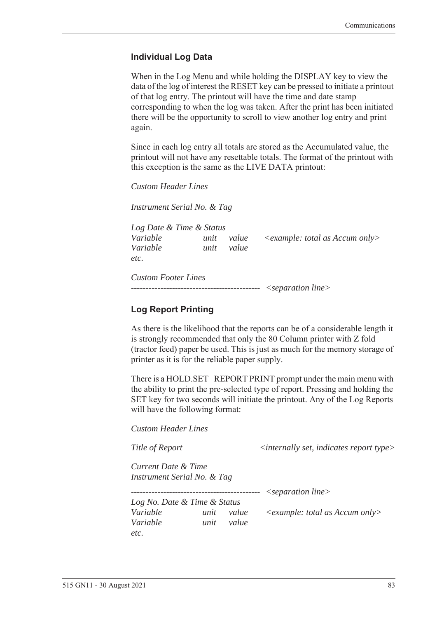#### <span id="page-92-0"></span>**Individual Log Data**

When in the Log Menu and while holding the DISPLAY key to view the data of the log of interest the RESET key can be pressed to initiate a printout of that log entry. The printout will have the time and date stamp corresponding to when the log was taken. After the print has been initiated there will be the opportunity to scroll to view another log entry and print again.

Since in each log entry all totals are stored as the Accumulated value, the printout will not have any resettable totals. The format of the printout with this exception is the same as the LIVE DATA printout:

*Custom Header Lines*

*Instrument Serial No. & Tag*

*Log Date & Time & Status Variable unit value <example: total as Accum only> Variable unit value etc.*

*Custom Footer Lines -------------------------------------------- <separation line>*

#### <span id="page-92-1"></span>**Log Report Printing**

As there is the likelihood that the reports can be of a considerable length it is strongly recommended that only the 80 Column printer with Z fold (tractor feed) paper be used. This is just as much for the memory storage of printer as it is for the reliable paper supply.

There is a HOLD.SET REPORT PRINT prompt under the main menu with the ability to print the pre-selected type of report. Pressing and holding the SET key for two seconds will initiate the printout. Any of the Log Reports will have the following format:

*Custom Header Lines*

*Title of Report*  $\langle$  *internally set, indicates report type>* 

*Current Date & Time Instrument Serial No. & Tag*

*-------------------------------------------- <separation line>*

*Log No. Date & Time & Status Variable unit value <example: total as Accum only> Variable unit value etc.*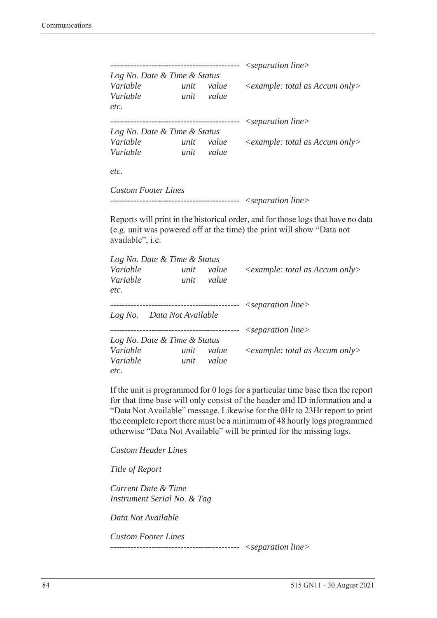|                              |      |       | $\leq$ separation line $>$              |
|------------------------------|------|-------|-----------------------------------------|
| Log No. Date & Time & Status |      |       |                                         |
| Variable                     | unit | value | $\leq$ example: total as Accum only $>$ |
| Variable                     | unit | value |                                         |
| etc.                         |      |       |                                         |
|                              |      |       | $\leq$ separation line $>$              |
| Log No. Date & Time & Status |      |       |                                         |
| Variable                     | unit | value | $\leq$ example: total as Accum only>    |
| Variable                     | unit | value |                                         |
| etc.                         |      |       |                                         |
| <b>Custom Footer Lines</b>   |      |       |                                         |

```
-------------------------------------------- <separation line>
```
Reports will print in the historical order, and for those logs that have no data (e.g. unit was powered off at the time) the print will show "Data not available", i.e.

| Log No. Date & Time & Status |      |           |                                                  |
|------------------------------|------|-----------|--------------------------------------------------|
| Variable                     | unit | value     | $\langle$ example: total as Accum only $\rangle$ |
| Variable                     | unit | value     |                                                  |
| etc.                         |      |           |                                                  |
|                              |      |           | $\leq$ separation line $>$                       |
| Log No. Data Not Available   |      |           |                                                  |
|                              |      | --------- | $\leq$ separation line $>$                       |
| Log No. Date & Time & Status |      |           |                                                  |
| Variable                     | unit | value     | $\leq$ example: total as Accum only $>$          |
| Variable                     | unit | value     |                                                  |
| etc.                         |      |           |                                                  |

If the unit is programmed for 0 logs for a particular time base then the report for that time base will only consist of the header and ID information and a "Data Not Available" message. Likewise for the 0Hr to 23Hr report to print the complete report there must be a minimum of 48 hourly logs programmed otherwise "Data Not Available" will be printed for the missing logs.

*Custom Header Lines*

*Title of Report*

*Current Date & Time Instrument Serial No. & Tag*

*Data Not Available*

*Custom Footer Lines* 

*-------------------------------------------- <separation line>*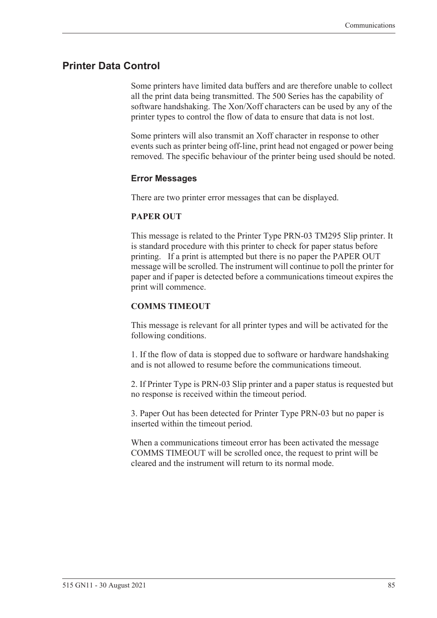#### <span id="page-94-0"></span>**Printer Data Control**

Some printers have limited data buffers and are therefore unable to collect all the print data being transmitted. The 500 Series has the capability of software handshaking. The Xon/Xoff characters can be used by any of the printer types to control the flow of data to ensure that data is not lost.

Some printers will also transmit an Xoff character in response to other events such as printer being off-line, print head not engaged or power being removed. The specific behaviour of the printer being used should be noted.

#### <span id="page-94-1"></span>**Error Messages**

There are two printer error messages that can be displayed.

#### **PAPER OUT**

This message is related to the Printer Type PRN-03 TM295 Slip printer. It is standard procedure with this printer to check for paper status before printing. If a print is attempted but there is no paper the PAPER OUT message will be scrolled. The instrument will continue to poll the printer for paper and if paper is detected before a communications timeout expires the print will commence.

#### **COMMS TIMEOUT**

This message is relevant for all printer types and will be activated for the following conditions.

1. If the flow of data is stopped due to software or hardware handshaking and is not allowed to resume before the communications timeout.

2. If Printer Type is PRN-03 Slip printer and a paper status is requested but no response is received within the timeout period.

3. Paper Out has been detected for Printer Type PRN-03 but no paper is inserted within the timeout period.

When a communications timeout error has been activated the message COMMS TIMEOUT will be scrolled once, the request to print will be cleared and the instrument will return to its normal mode.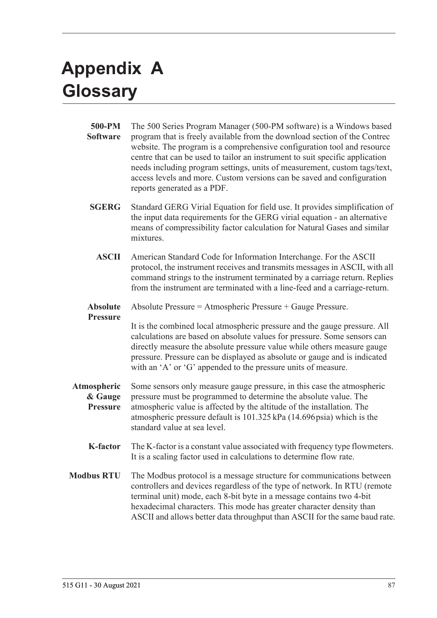# <span id="page-96-1"></span>**Appendix A Glossary**

<span id="page-96-0"></span>

| 500-PM<br><b>Software</b>                 | The 500 Series Program Manager (500-PM software) is a Windows based<br>program that is freely available from the download section of the Contrec<br>website. The program is a comprehensive configuration tool and resource<br>centre that can be used to tailor an instrument to suit specific application<br>needs including program settings, units of measurement, custom tags/text,<br>access levels and more. Custom versions can be saved and configuration<br>reports generated as a PDF. |
|-------------------------------------------|---------------------------------------------------------------------------------------------------------------------------------------------------------------------------------------------------------------------------------------------------------------------------------------------------------------------------------------------------------------------------------------------------------------------------------------------------------------------------------------------------|
| <b>SGERG</b>                              | Standard GERG Virial Equation for field use. It provides simplification of<br>the input data requirements for the GERG virial equation - an alternative<br>means of compressibility factor calculation for Natural Gases and similar<br>mixtures.                                                                                                                                                                                                                                                 |
| <b>ASCII</b>                              | American Standard Code for Information Interchange. For the ASCII<br>protocol, the instrument receives and transmits messages in ASCII, with all<br>command strings to the instrument terminated by a carriage return. Replies<br>from the instrument are terminated with a line-feed and a carriage-return.                                                                                                                                                                                      |
| <b>Absolute</b>                           | Absolute Pressure = Atmospheric Pressure + Gauge Pressure.                                                                                                                                                                                                                                                                                                                                                                                                                                        |
| <b>Pressure</b>                           | It is the combined local atmospheric pressure and the gauge pressure. All<br>calculations are based on absolute values for pressure. Some sensors can<br>directly measure the absolute pressure value while others measure gauge<br>pressure. Pressure can be displayed as absolute or gauge and is indicated<br>with an 'A' or 'G' appended to the pressure units of measure.                                                                                                                    |
| Atmospheric<br>& Gauge<br><b>Pressure</b> | Some sensors only measure gauge pressure, in this case the atmospheric<br>pressure must be programmed to determine the absolute value. The<br>atmospheric value is affected by the altitude of the installation. The<br>atmospheric pressure default is 101.325 kPa (14.696 psia) which is the<br>standard value at sea level.                                                                                                                                                                    |
| K-factor                                  | The K-factor is a constant value associated with frequency type flowmeters.<br>It is a scaling factor used in calculations to determine flow rate.                                                                                                                                                                                                                                                                                                                                                |
| <b>Modbus RTU</b>                         | The Modbus protocol is a message structure for communications between<br>controllers and devices regardless of the type of network. In RTU (remote<br>terminal unit) mode, each 8-bit byte in a message contains two 4-bit<br>hexadecimal characters. This mode has greater character density than<br>ASCII and allows better data throughput than ASCII for the same baud rate.                                                                                                                  |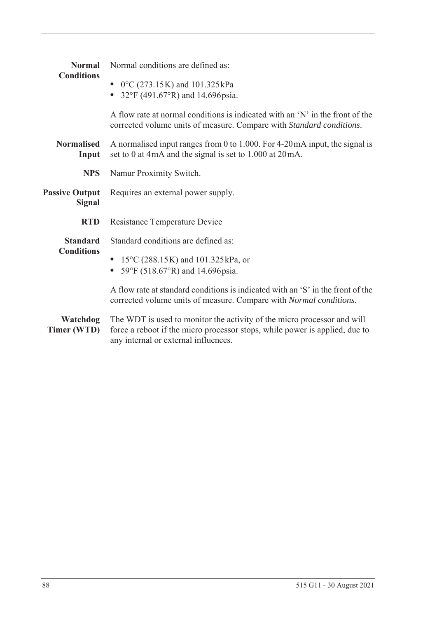| <b>Normal</b>                          | Normal conditions are defined as:                                                                                                                                                              |  |  |  |  |  |
|----------------------------------------|------------------------------------------------------------------------------------------------------------------------------------------------------------------------------------------------|--|--|--|--|--|
| <b>Conditions</b>                      | • 0°C (273.15K) and 101.325kPa<br>• 32°F (491.67°R) and 14.696 psia.                                                                                                                           |  |  |  |  |  |
|                                        | A flow rate at normal conditions is indicated with an 'N' in the front of the<br>corrected volume units of measure. Compare with Standard conditions.                                          |  |  |  |  |  |
| <b>Normalised</b><br>Input             | A normalised input ranges from 0 to 1.000. For $4-20$ mA input, the signal is<br>set to 0 at 4mA and the signal is set to 1.000 at 20mA.                                                       |  |  |  |  |  |
| <b>NPS</b>                             | Namur Proximity Switch.                                                                                                                                                                        |  |  |  |  |  |
| <b>Passive Output</b><br><b>Signal</b> | Requires an external power supply.                                                                                                                                                             |  |  |  |  |  |
| <b>RTD</b>                             | Resistance Temperature Device                                                                                                                                                                  |  |  |  |  |  |
| <b>Standard</b>                        | Standard conditions are defined as:                                                                                                                                                            |  |  |  |  |  |
| <b>Conditions</b>                      | • 15°C (288.15K) and 101.325 kPa, or<br>• 59°F (518.67°R) and 14.696 psia.                                                                                                                     |  |  |  |  |  |
|                                        | A flow rate at standard conditions is indicated with an 'S' in the front of the<br>corrected volume units of measure. Compare with Normal conditions.                                          |  |  |  |  |  |
| Watchdog<br>Timer (WTD)                | The WDT is used to monitor the activity of the micro processor and will<br>force a reboot if the micro processor stops, while power is applied, due to<br>any internal or external influences. |  |  |  |  |  |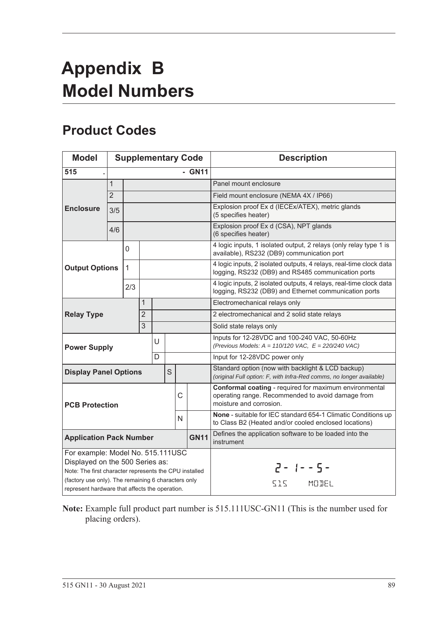# <span id="page-98-1"></span>**Appendix B Model Numbers**

# <span id="page-98-0"></span>**Product Codes**

| <b>Model</b>                                                                                                                                                                          | <b>Supplementary Code</b> |              |                                                                                                                        |   |                                                                      | <b>Description</b> |                        |                                                                                                                                        |  |  |  |  |  |  |  |  |  |  |  |  |  |  |  |  |  |  |  |  |                                                                                                                 |
|---------------------------------------------------------------------------------------------------------------------------------------------------------------------------------------|---------------------------|--------------|------------------------------------------------------------------------------------------------------------------------|---|----------------------------------------------------------------------|--------------------|------------------------|----------------------------------------------------------------------------------------------------------------------------------------|--|--|--|--|--|--|--|--|--|--|--|--|--|--|--|--|--|--|--|--|-----------------------------------------------------------------------------------------------------------------|
| 515                                                                                                                                                                                   |                           |              |                                                                                                                        |   |                                                                      |                    | - GN11                 |                                                                                                                                        |  |  |  |  |  |  |  |  |  |  |  |  |  |  |  |  |  |  |  |  |                                                                                                                 |
|                                                                                                                                                                                       | $\mathbf{1}$              |              |                                                                                                                        |   |                                                                      |                    |                        | Panel mount enclosure                                                                                                                  |  |  |  |  |  |  |  |  |  |  |  |  |  |  |  |  |  |  |  |  |                                                                                                                 |
|                                                                                                                                                                                       | $\overline{2}$            |              |                                                                                                                        |   |                                                                      |                    |                        | Field mount enclosure (NEMA 4X / IP66)                                                                                                 |  |  |  |  |  |  |  |  |  |  |  |  |  |  |  |  |  |  |  |  |                                                                                                                 |
| <b>Enclosure</b>                                                                                                                                                                      | 3/5                       |              |                                                                                                                        |   |                                                                      |                    |                        | Explosion proof Ex d (IECEx/ATEX), metric glands<br>(5 specifies heater)                                                               |  |  |  |  |  |  |  |  |  |  |  |  |  |  |  |  |  |  |  |  |                                                                                                                 |
|                                                                                                                                                                                       | 4/6                       |              |                                                                                                                        |   |                                                                      |                    |                        | Explosion proof Ex d (CSA), NPT glands<br>(6 specifies heater)                                                                         |  |  |  |  |  |  |  |  |  |  |  |  |  |  |  |  |  |  |  |  |                                                                                                                 |
|                                                                                                                                                                                       |                           | 0            |                                                                                                                        |   |                                                                      |                    |                        |                                                                                                                                        |  |  |  |  |  |  |  |  |  |  |  |  |  |  |  |  |  |  |  |  | 4 logic inputs, 1 isolated output, 2 relays (only relay type 1 is<br>available), RS232 (DB9) communication port |
| <b>Output Options</b>                                                                                                                                                                 |                           | $\mathbf{1}$ |                                                                                                                        |   |                                                                      |                    |                        | 4 logic inputs, 2 isolated outputs, 4 relays, real-time clock data<br>logging, RS232 (DB9) and RS485 communication ports               |  |  |  |  |  |  |  |  |  |  |  |  |  |  |  |  |  |  |  |  |                                                                                                                 |
|                                                                                                                                                                                       |                           | 2/3          |                                                                                                                        |   |                                                                      |                    |                        | 4 logic inputs, 2 isolated outputs, 4 relays, real-time clock data<br>logging, RS232 (DB9) and Ethernet communication ports            |  |  |  |  |  |  |  |  |  |  |  |  |  |  |  |  |  |  |  |  |                                                                                                                 |
|                                                                                                                                                                                       |                           |              | 1                                                                                                                      |   |                                                                      |                    |                        | Electromechanical relays only                                                                                                          |  |  |  |  |  |  |  |  |  |  |  |  |  |  |  |  |  |  |  |  |                                                                                                                 |
| <b>Relay Type</b>                                                                                                                                                                     |                           |              | $\overline{2}$                                                                                                         |   |                                                                      |                    |                        | 2 electromechanical and 2 solid state relays                                                                                           |  |  |  |  |  |  |  |  |  |  |  |  |  |  |  |  |  |  |  |  |                                                                                                                 |
|                                                                                                                                                                                       |                           |              | $\overline{3}$                                                                                                         |   |                                                                      |                    |                        | Solid state relays only                                                                                                                |  |  |  |  |  |  |  |  |  |  |  |  |  |  |  |  |  |  |  |  |                                                                                                                 |
| <b>Power Supply</b>                                                                                                                                                                   |                           |              |                                                                                                                        | U |                                                                      |                    |                        | Inputs for 12-28VDC and 100-240 VAC, 50-60Hz<br>(Previous Models: $A = 110/120$ VAC, $E = 220/240$ VAC)                                |  |  |  |  |  |  |  |  |  |  |  |  |  |  |  |  |  |  |  |  |                                                                                                                 |
|                                                                                                                                                                                       |                           |              |                                                                                                                        | D |                                                                      |                    |                        | Input for 12-28VDC power only                                                                                                          |  |  |  |  |  |  |  |  |  |  |  |  |  |  |  |  |  |  |  |  |                                                                                                                 |
| <b>Display Panel Options</b>                                                                                                                                                          |                           |              |                                                                                                                        |   | S                                                                    |                    |                        | Standard option (now with backlight & LCD backup)<br>(original Full option: F, with Infra-Red comms, no longer available)              |  |  |  |  |  |  |  |  |  |  |  |  |  |  |  |  |  |  |  |  |                                                                                                                 |
| <b>PCB Protection</b>                                                                                                                                                                 |                           |              |                                                                                                                        |   |                                                                      | C                  |                        | Conformal coating - required for maximum environmental<br>operating range. Recommended to avoid damage from<br>moisture and corrosion. |  |  |  |  |  |  |  |  |  |  |  |  |  |  |  |  |  |  |  |  |                                                                                                                 |
| N                                                                                                                                                                                     |                           |              | None - suitable for IEC standard 654-1 Climatic Conditions up<br>to Class B2 (Heated and/or cooled enclosed locations) |   |                                                                      |                    |                        |                                                                                                                                        |  |  |  |  |  |  |  |  |  |  |  |  |  |  |  |  |  |  |  |  |                                                                                                                 |
| <b>GN11</b><br><b>Application Pack Number</b>                                                                                                                                         |                           |              |                                                                                                                        |   | Defines the application software to be loaded into the<br>instrument |                    |                        |                                                                                                                                        |  |  |  |  |  |  |  |  |  |  |  |  |  |  |  |  |  |  |  |  |                                                                                                                 |
| For example: Model No. 515.111USC<br>Displayed on the 500 Series as:<br>Note: The first character represents the CPU installed<br>(factory use only). The remaining 6 characters only |                           |              |                                                                                                                        |   |                                                                      |                    | $2 - 1 - 5 -$<br>MODEL |                                                                                                                                        |  |  |  |  |  |  |  |  |  |  |  |  |  |  |  |  |  |  |  |  |                                                                                                                 |
| represent hardware that affects the operation.                                                                                                                                        |                           |              |                                                                                                                        |   |                                                                      |                    |                        | 515                                                                                                                                    |  |  |  |  |  |  |  |  |  |  |  |  |  |  |  |  |  |  |  |  |                                                                                                                 |

**Note:** Example full product part number is 515.111USC-GN11 (This is the number used for placing orders).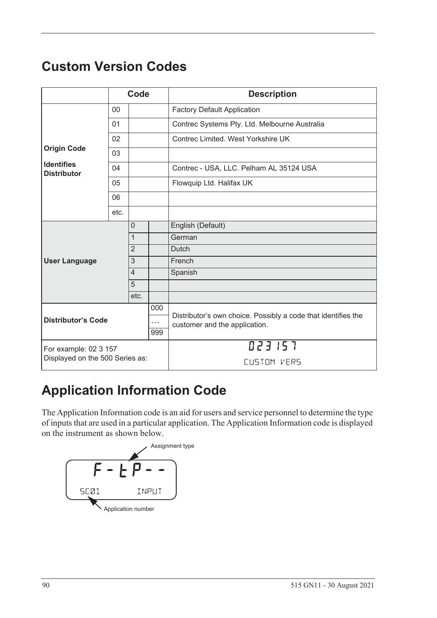# <span id="page-99-1"></span>**Custom Version Codes**

|                                              | Code |                |                                                                                                | <b>Description</b>                            |  |  |
|----------------------------------------------|------|----------------|------------------------------------------------------------------------------------------------|-----------------------------------------------|--|--|
|                                              | 00   |                |                                                                                                | <b>Factory Default Application</b>            |  |  |
|                                              | 01   |                |                                                                                                | Contrec Systems Pty. Ltd. Melbourne Australia |  |  |
|                                              | 02   |                |                                                                                                | Contrec Limited. West Yorkshire UK            |  |  |
| <b>Origin Code</b>                           | 03   |                |                                                                                                |                                               |  |  |
| <b>Identifies</b><br><b>Distributor</b>      | 04   |                |                                                                                                | Contrec - USA, LLC. Pelham AL 35124 USA       |  |  |
|                                              | 05   |                |                                                                                                | Flowquip Ltd. Halifax UK                      |  |  |
|                                              | 06   |                |                                                                                                |                                               |  |  |
|                                              | etc. |                |                                                                                                |                                               |  |  |
|                                              |      | $\Omega$       | English (Default)                                                                              |                                               |  |  |
| $\overline{1}$<br>$\overline{2}$             |      | German         |                                                                                                |                                               |  |  |
|                                              |      |                |                                                                                                | <b>Dutch</b>                                  |  |  |
| <b>User Language</b>                         | 3    |                |                                                                                                | French                                        |  |  |
|                                              |      | $\overline{4}$ |                                                                                                | Spanish                                       |  |  |
|                                              |      | $\overline{5}$ |                                                                                                |                                               |  |  |
|                                              |      | etc.           |                                                                                                |                                               |  |  |
|                                              | 000  |                |                                                                                                |                                               |  |  |
| <b>Distributor's Code</b><br>$\cdots$<br>999 |      |                | Distributor's own choice. Possibly a code that identifies the<br>customer and the application. |                                               |  |  |
|                                              |      |                |                                                                                                |                                               |  |  |
| For example: 02 3 157                        |      |                | 023157                                                                                         |                                               |  |  |
| Displayed on the 500 Series as:              |      |                | CUSTOM VERS                                                                                    |                                               |  |  |

# **Application Information Code**

The Application Information code is an aid for users and service personnel to determine the type of inputs that are used in a particular application. The Application Information code is displayed on the instrument as shown below.

<span id="page-99-0"></span>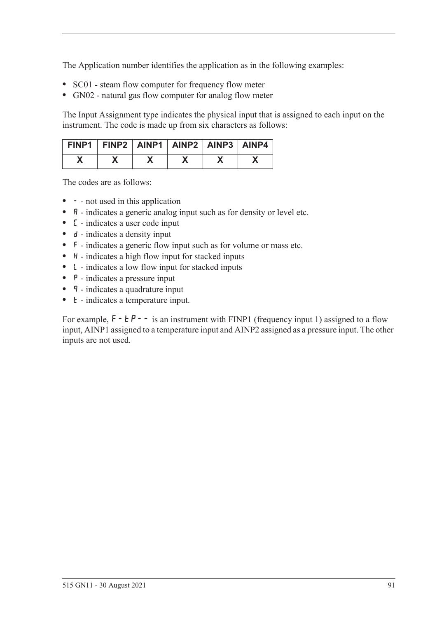The Application number identifies the application as in the following examples:

- **•** SC01 steam flow computer for frequency flow meter
- **•** GN02 natural gas flow computer for analog flow meter

The Input Assignment type indicates the physical input that is assigned to each input on the instrument. The code is made up from six characters as follows:

| FINP1   FINP2   AINP1   AINP2   AINP3   AINP4 |  |  |  |
|-----------------------------------------------|--|--|--|
|                                               |  |  |  |

The codes are as follows:

- - not used in this application
- **A** indicates a generic analog input such as for density or level etc.
- **•** C indicates a user code input
- d indicates a density input
- **•** F indicates a generic flow input such as for volume or mass etc.
- H indicates a high flow input for stacked inputs
- **•** L indicates a low flow input for stacked inputs
- **•** P indicates a pressure input
- **q** indicates a quadrature input
- *k* indicates a temperature input.

For example,  $F - F - i$  is an instrument with FINP1 (frequency input 1) assigned to a flow input, AINP1 assigned to a temperature input and AINP2 assigned as a pressure input. The other inputs are not used.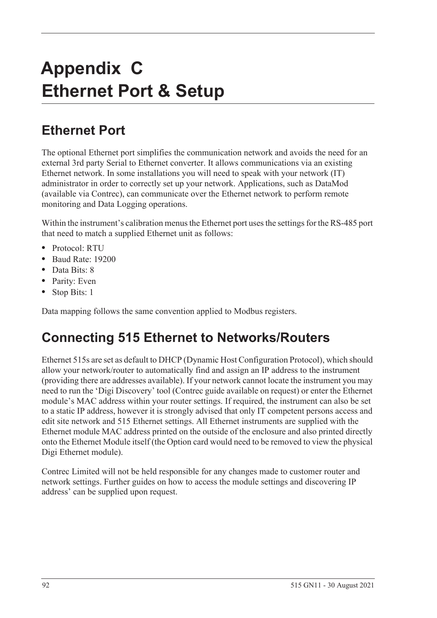# <span id="page-101-0"></span>**Appendix C Ethernet Port & Setup**

# **Ethernet Port**

The optional Ethernet port simplifies the communication network and avoids the need for an external 3rd party Serial to Ethernet converter. It allows communications via an existing Ethernet network. In some installations you will need to speak with your network (IT) administrator in order to correctly set up your network. Applications, such as DataMod (available via Contrec), can communicate over the Ethernet network to perform remote monitoring and Data Logging operations.

Within the instrument's calibration menus the Ethernet port uses the settings for the RS-485 port that need to match a supplied Ethernet unit as follows:

- **•** Protocol: RTU
- **•** Baud Rate: 19200
- **•** Data Bits: 8
- **•** Parity: Even
- **•** Stop Bits: 1

Data mapping follows the same convention applied to Modbus registers.

# **Connecting 515 Ethernet to Networks/Routers**

Ethernet 515s are set as default to DHCP (Dynamic Host Configuration Protocol), which should allow your network/router to automatically find and assign an IP address to the instrument (providing there are addresses available). If your network cannot locate the instrument you may need to run the 'Digi Discovery' tool (Contrec guide available on request) or enter the Ethernet module's MAC address within your router settings. If required, the instrument can also be set to a static IP address, however it is strongly advised that only IT competent persons access and edit site network and 515 Ethernet settings. All Ethernet instruments are supplied with the Ethernet module MAC address printed on the outside of the enclosure and also printed directly onto the Ethernet Module itself (the Option card would need to be removed to view the physical Digi Ethernet module).

Contrec Limited will not be held responsible for any changes made to customer router and network settings. Further guides on how to access the module settings and discovering IP address' can be supplied upon request.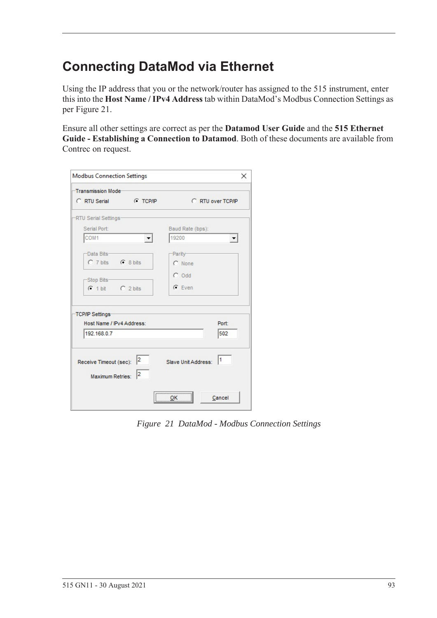# **Connecting DataMod via Ethernet**

Using the IP address that you or the network/router has assigned to the 515 instrument, enter this into the **Host Name / IPv4 Address** tab within DataMod's Modbus Connection Settings as per [Figure 21.](#page-102-0)

Ensure all other settings are correct as per the **Datamod User Guide** and the **515 Ethernet Guide - Establishing a Connection to Datamod**. Both of these documents are available from Contrec on request.

| Transmission Mode-                                   |                 |                     |                      |
|------------------------------------------------------|-----------------|---------------------|----------------------|
| C RTU Serial                                         | <b>C</b> TCP/IP | C RTU over TCP/IP   |                      |
| -RTU Serial Settings-                                |                 |                     |                      |
| Serial Port:                                         |                 | Baud Rate (bps):    |                      |
| COM1                                                 |                 | 19200               | $\blacktriangledown$ |
| -Data Bits-                                          |                 | -Parity-            |                      |
| C 7 bits C 8 bits                                    |                 | C None              |                      |
|                                                      |                 | $C$ Odd             |                      |
| -Stop Bits-                                          |                 | $G$ Even            |                      |
| $C$ 1 bit $C$ 2 bits                                 |                 |                     |                      |
| TCP/IP Settings                                      |                 |                     |                      |
| Host Name / IPv4 Address:                            |                 |                     | Port:                |
| 192.168.0.7                                          |                 |                     | 502                  |
| Receive Timeout (sec): $\vert^2$<br>Maximum Retries: | 2               | Slave Unit Address: | 11                   |
|                                                      |                 | ,                   | Cancel               |

<span id="page-102-0"></span>*Figure 21 DataMod - Modbus Connection Settings*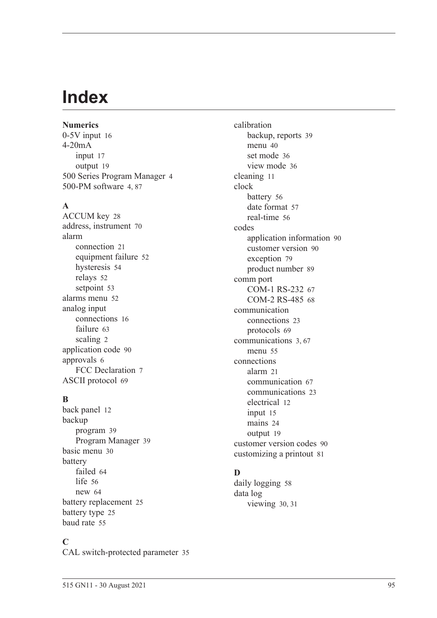# **Index**

**Numerics** 0-5V inpu[t 16](#page-25-0) 4-20mA input [17](#page-26-0) output [19](#page-28-0) 500 Series Program Manage[r 4](#page-13-0) 500-PM software [4,](#page-13-0) [87](#page-96-0)

#### **A**

ACCUM ke[y 28](#page-37-0) address, instrumen[t 70](#page-79-0) alarm connection [21](#page-30-0) equipment failur[e 52](#page-61-0) hysteresi[s 54](#page-63-0) relays [52](#page-61-1) setpoin[t 53](#page-62-0) alarms menu [52](#page-61-2) analog input connection[s 16](#page-25-1) failur[e 63](#page-72-0) scalin[g 2](#page-11-0) application cod[e 90](#page-99-0) approvals [6](#page-15-0) FCC Declaration [7](#page-16-0) ASCII protoco[l 69](#page-78-0)

#### **B**

back panel [12](#page-21-0) backup program [39](#page-48-0) Program Manage[r 39](#page-48-1) basic men[u 30](#page-39-0) battery faile[d 64](#page-73-0) lif[e 56](#page-65-1) ne[w 64](#page-73-0) battery replacemen[t 25](#page-34-0) battery typ[e 25](#page-34-1) baud rat[e 55](#page-64-1)

#### **C**

CAL switch-protected parameter [35](#page-44-0)

calibration backup, reports [39](#page-48-0) menu [40](#page-49-0) set mode [36](#page-45-0) view mode [36](#page-45-1) cleaning [11](#page-20-0) clock batter[y 56](#page-65-1) date format [57](#page-66-0) real-tim[e 56](#page-65-2) codes application information [90](#page-99-0) customer versio[n 90](#page-99-1) exception [79](#page-88-1) product numbe[r 89](#page-98-0) comm port COM-1 RS-232 [67](#page-76-1) COM-2 RS-485 [68](#page-77-1) communication connection[s 23](#page-32-0) protocols [69](#page-78-1) communication[s 3,](#page-12-1) [67](#page-76-2) menu [55](#page-64-2) connections alar[m 21](#page-30-0) communication [67](#page-76-3) communication[s 23](#page-32-0) electrical [12](#page-21-1) input [15](#page-24-0) mains [24](#page-33-0) output [19](#page-28-1) customer version codes [90](#page-99-1) customizing a printout [81](#page-90-1)

## **D**

daily logging [58](#page-67-0) data log viewing [30,](#page-39-1) [31](#page-40-0)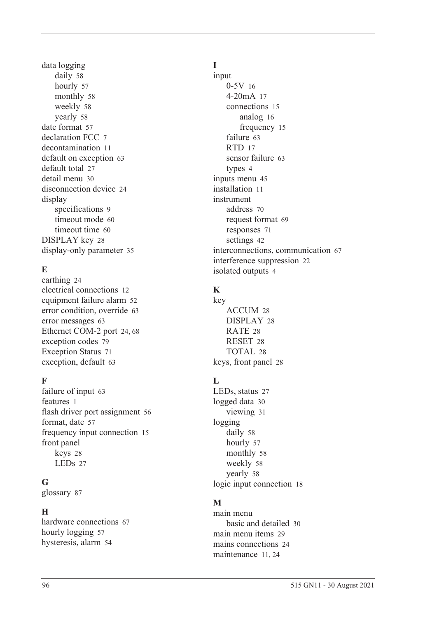data logging daily [58](#page-67-0) hourl[y 57](#page-66-1) monthly [58](#page-67-1) weekl[y 58](#page-67-2) yearly [58](#page-67-3) date format [57](#page-66-0) declaration FCC [7](#page-16-0) decontamination [11](#page-20-0) default on exception [63](#page-72-1) default tota[l 27](#page-36-0) detail men[u 30](#page-39-0) disconnection device [24](#page-33-1) display specifications [9](#page-18-0) timeout mod[e 60](#page-69-0) timeout time [60](#page-69-1) DISPLAY key [28](#page-37-1) display-only parameter [35](#page-44-1)

### **E**

earthin[g 24](#page-33-2) electrical connections [12](#page-21-1) equipment failure alarm [52](#page-61-0) error condition, overrid[e 63](#page-72-2) error message[s 63](#page-72-3) Ethernet COM-2 por[t 24,](#page-33-3) [68](#page-77-2) exception codes [79](#page-88-1) Exception Status [71](#page-80-0) exception, default [63](#page-72-1)

### **F**

failure of input [63](#page-72-0) features [1](#page-10-0) flash driver port assignmen[t 56](#page-65-3) format, date [57](#page-66-0) frequency input connection [15](#page-24-1) front panel keys [28](#page-37-2) LEDs [27](#page-36-1)

#### **G**

glossary [87](#page-96-1)

### **H**

hardware connections [67](#page-76-3) hourly logging [57](#page-66-1) hysteresis, alar[m 54](#page-63-0)

### **I**

input 0-5[V 16](#page-25-0) 4-20mA [17](#page-26-0) connections [15](#page-24-0) analog [16](#page-25-1) frequency [15](#page-24-1) failure [63](#page-72-0) RTD [17](#page-26-1) sensor failure [63](#page-72-0) types [4](#page-13-1) inputs menu [45](#page-54-0) installation [11](#page-20-1) instrument address [70](#page-79-0) request forma[t 69](#page-78-2) response[s 71](#page-80-1) setting[s 42](#page-51-1) interconnections, communication [67](#page-76-3) interference suppression [22](#page-31-0) isolated output[s 4](#page-13-2)

### **K**

key ACCUM [28](#page-37-0) DISPLA[Y 28](#page-37-1) RATE [28](#page-37-3) RESE[T 28](#page-37-4) TOTAL [28](#page-37-5) keys, front panel [28](#page-37-2)

### **L**

LEDs, status [27](#page-36-1) logged dat[a 30](#page-39-1) viewin[g 31](#page-40-0) logging daily [58](#page-67-0) hourly [57](#page-66-1) monthly [58](#page-67-1) weekl[y 58](#page-67-2) yearly [58](#page-67-3) logic input connection [18](#page-27-0)

### **M**

main menu basic and detailed [30](#page-39-0) main menu item[s 29](#page-38-0) mains connections [24](#page-33-0) maintenanc[e 11,](#page-20-1) [24](#page-33-4)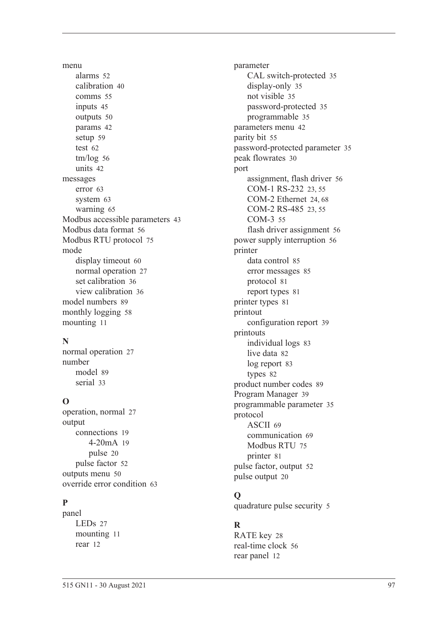menu alarm[s 52](#page-61-2) calibratio[n 40](#page-49-0) comms [55](#page-64-2) input[s 45](#page-54-0) output[s 50](#page-59-0) params [42](#page-51-2) setu[p 59](#page-68-0) test [62](#page-71-0) tm/lo[g 56](#page-65-4) unit[s 42](#page-51-3) messages erro[r 63](#page-72-3) syste[m 63](#page-72-4) warnin[g 65](#page-74-0) Modbus accessible parameters [43](#page-52-0) Modbus data forma[t 56](#page-65-5) Modbus RTU protoco[l 75](#page-84-0) mode display timeou[t 60](#page-69-0) normal operatio[n 27](#page-36-2) set calibration [36](#page-45-0) view calibration [36](#page-45-1) model number[s 89](#page-98-1) monthly logging [58](#page-67-1) mountin[g 11](#page-20-2)

#### **N**

normal operatio[n 27](#page-36-2) number mode[l 89](#page-98-1) seria[l 33](#page-42-1)

### **O**

operation, norma[l 27](#page-36-2) output connection[s 19](#page-28-1) 4-20m[A 19](#page-28-0) puls[e 20](#page-29-0) pulse facto[r 52](#page-61-3) outputs men[u 50](#page-59-0) override error condition [63](#page-72-2)

## **P**

panel LED[s 27](#page-36-1) mountin[g 11](#page-20-2) rear [12](#page-21-0)

parameter CAL switch-protected [35](#page-44-0) display-only [35](#page-44-1) not visibl[e 35](#page-44-2) password-protected [35](#page-44-3) programmable [35](#page-44-4) parameters men[u 42](#page-51-2) parity bit [55](#page-64-3) password-protected parameter [35](#page-44-3) peak flowrate[s 30](#page-39-2) port assignment, flash driver [56](#page-65-3) COM-1 RS-232 [23,](#page-32-1) [55](#page-64-4) COM-2 Ethernet [24,](#page-33-3) [68](#page-77-2) COM-2 RS-485 [23,](#page-32-2) [55](#page-64-5) COM-[3 55](#page-64-6) flash driver assignment [56](#page-65-3) power supply interruption [56](#page-65-1) printer data control [85](#page-94-0) error messages [85](#page-94-1) protocol [81](#page-90-2) report types [81](#page-90-3) printer type[s 81](#page-90-4) printout configuration repor[t 39](#page-48-2) printouts individual logs [83](#page-92-0) live data [82](#page-91-0) log report [83](#page-92-1) type[s 82](#page-91-1) product number codes [89](#page-98-0) Program Manager [39](#page-48-1) programmable parameter [35](#page-44-4) protocol ASCI[I 69](#page-78-0) communication [69](#page-78-1) Modbus RT[U 75](#page-84-0) printer [81](#page-90-2) pulse factor, output [52](#page-61-3) pulse output [20](#page-29-0)

## **Q**

quadrature pulse security [5](#page-14-1)

## **R**

RATE key [28](#page-37-3) real-time cloc[k 56](#page-65-2) rear panel [12](#page-21-0)